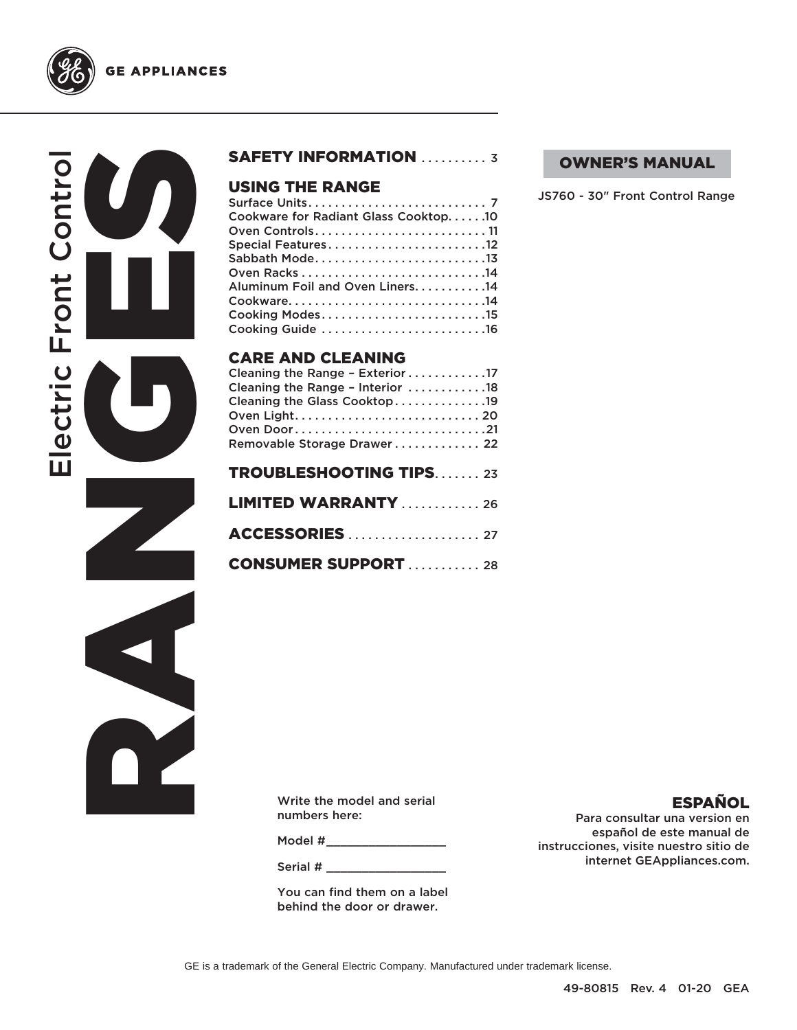

# RANGES CONTROLL Electric Front Control Electric Front Contro

**GE APPLIANCES** 

#### SAFETY INFORMATION .......... 3

#### USING THE RANGE

| <b>CARE AND CLEANING</b>             |
|--------------------------------------|
| Cooking Guide 16                     |
| Cooking Modes15                      |
| Cookware14                           |
| Aluminum Foil and Oven Liners. 14    |
|                                      |
| Sabbath Mode13                       |
| Special Features12                   |
|                                      |
| Cookware for Radiant Glass Cooktop10 |
|                                      |

| Cleaning the Range - Exterior 17 |
|----------------------------------|
| Cleaning the Range - Interior 18 |
| Cleaning the Glass Cooktop19     |
|                                  |
| Oven Door21                      |
| Removable Storage Drawer 22      |
|                                  |
| <b>TROUBLESHOOTING TIPS23</b>    |
| <b>LIMITED WARRANTY</b> 26       |
|                                  |
|                                  |
| <b>CONSUMER SUPPORT  28</b>      |
|                                  |

#### OWNER'S MANUAL

JS760 - 30" Front Control Range

Write the model and serial numbers here:

Model #\_\_\_\_\_\_\_\_\_\_\_\_\_\_\_\_\_\_\_\_\_\_

Serial #

You can find them on a label behind the door or drawer.

#### ESPAÑOL

Para consultar una version en español de este manual de instrucciones, visite nuestro sitio de internet GEAppliances.com.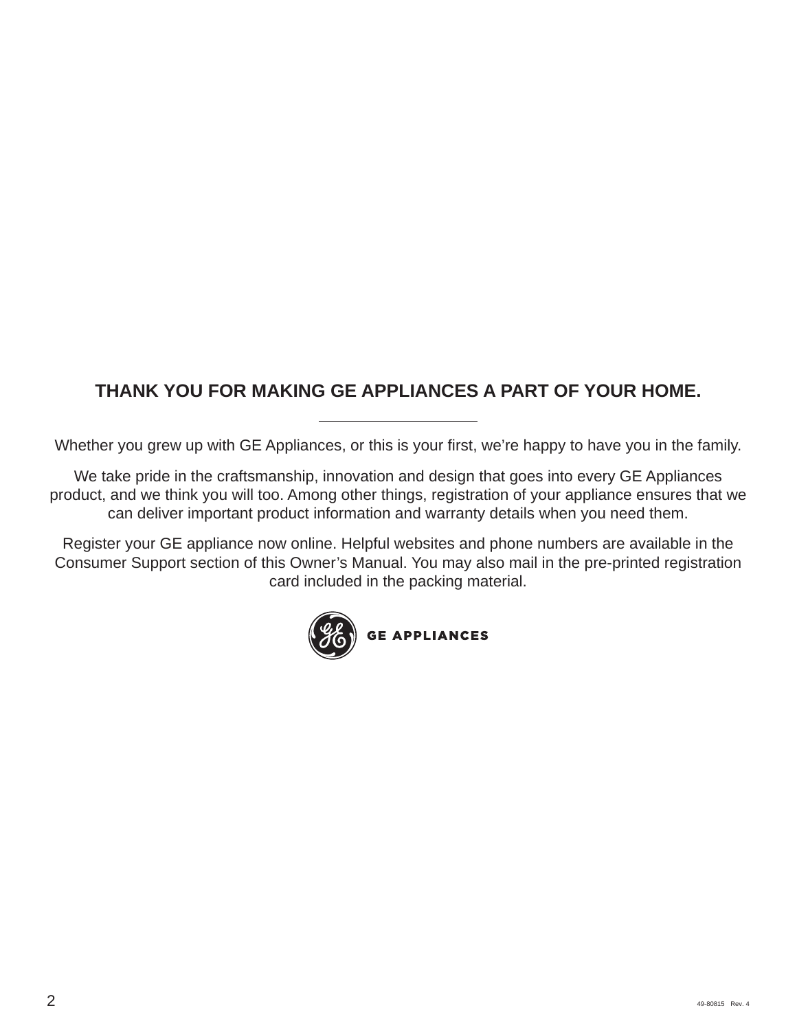## **THANK YOU FOR MAKING GE APPLIANCES A PART OF YOUR HOME.**

Whether you grew up with GE Appliances, or this is your first, we're happy to have you in the family.

We take pride in the craftsmanship, innovation and design that goes into every GE Appliances product, and we think you will too. Among other things, registration of your appliance ensures that we can deliver important product information and warranty details when you need them.

Register your GE appliance now online. Helpful websites and phone numbers are available in the Consumer Support section of this Owner's Manual. You may also mail in the pre-printed registration card included in the packing material.

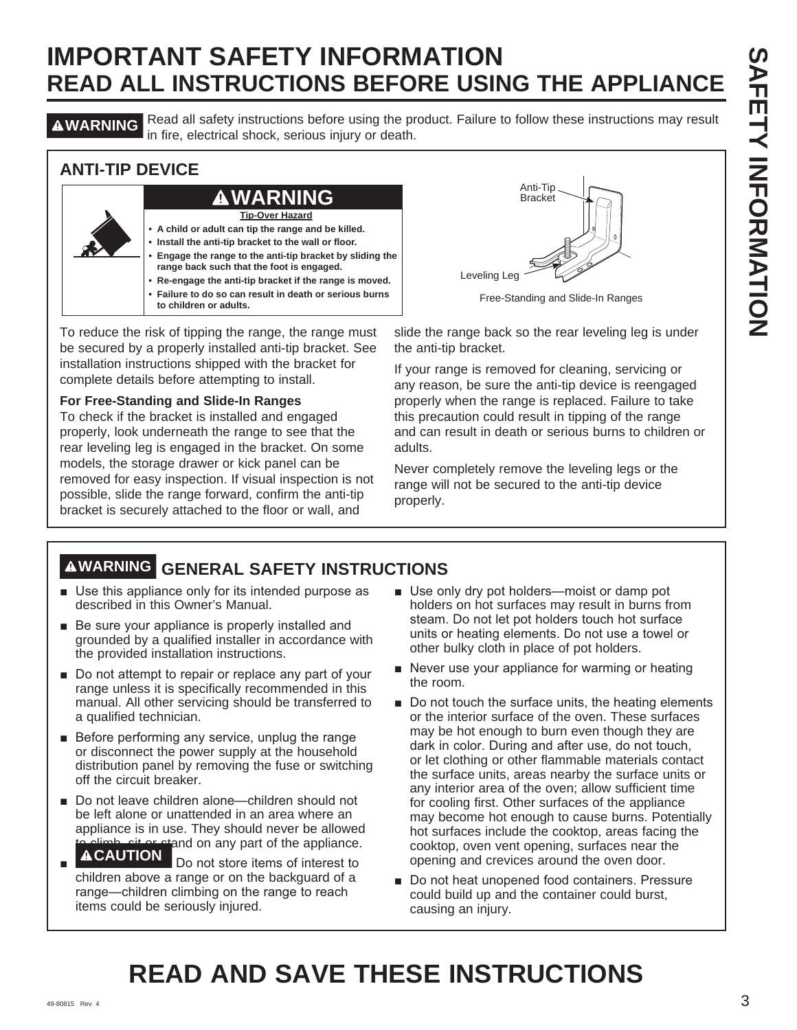**AWARNING** Read all safety instructions before using the product. Failure to follow these instructions may result in fire, electrical shock, serious injury or death.

#### **ANTI-TIP DEVICE**



To reduce the risk of tipping the range, the range must be secured by a properly installed anti-tip bracket. See installation instructions shipped with the bracket for complete details before attempting to install.

#### **For Free-Standing and Slide-In Ranges**

To check if the bracket is installed and engaged properly, look underneath the range to see that the rear leveling leg is engaged in the bracket. On some models, the storage drawer or kick panel can be removed for easy inspection. If visual inspection is not possible, slide the range forward, confirm the anti-tip bracket is securely attached to the floor or wall, and



Free-Standing and Slide-In Ranges

slide the range back so the rear leveling leg is under the anti-tip bracket.

If your range is removed for cleaning, servicing or any reason, be sure the anti-tip device is reengaged properly when the range is replaced. Failure to take this precaution could result in tipping of the range and can result in death or serious burns to children or adults.

Never completely remove the leveling legs or the range will not be secured to the anti-tip device properly.

## **WARNING GENERAL SAFETY INSTRUCTIONS**

- $\blacksquare$  Use this appliance only for its intended purpose as described in this Owner's Manual.
- $\blacksquare$  Be sure your appliance is properly installed and grounded by a qualified installer in accordance with the provided installation instructions.
- $\blacksquare$  Do not attempt to repair or replace any part of your range unless it is specifically recommended in this manual. All other servicing should be transferred to a qualified technician.
- $\blacksquare$  Before performing any service, unplug the range or disconnect the power supply at the household distribution panel by removing the fuse or switching off the circuit breaker.
- Do not leave children alone—children should not be left alone or unattended in an area where an appliance is in use. They should never be allowed  $\widehat{\Delta}$  climb, sit or stand on any part of the appliance.
- Ŷ Do not store items of interest to children above a range or on the backguard of a range—children climbing on the range to reach items could be seriously injured.
- $\blacksquare$  Use only dry pot holders—moist or damp pot holders on hot surfaces may result in burns from steam. Do not let pot holders touch hot surface units or heating elements. Do not use a towel or other bulky cloth in place of pot holders.
- $\blacksquare$  Never use your appliance for warming or heating the room.
- $\blacksquare$  Do not touch the surface units, the heating elements or the interior surface of the oven. These surfaces may be hot enough to burn even though they are dark in color. During and after use, do not touch, or let clothing or other flammable materials contact the surface units, areas nearby the surface units or any interior area of the oven; allow sufficient time for cooling first. Other surfaces of the appliance may become hot enough to cause burns. Potentially hot surfaces include the cooktop, areas facing the cooktop, oven vent opening, surfaces near the opening and crevices around the oven door.
- Do not heat unopened food containers. Pressure could build up and the container could burst, causing an injury.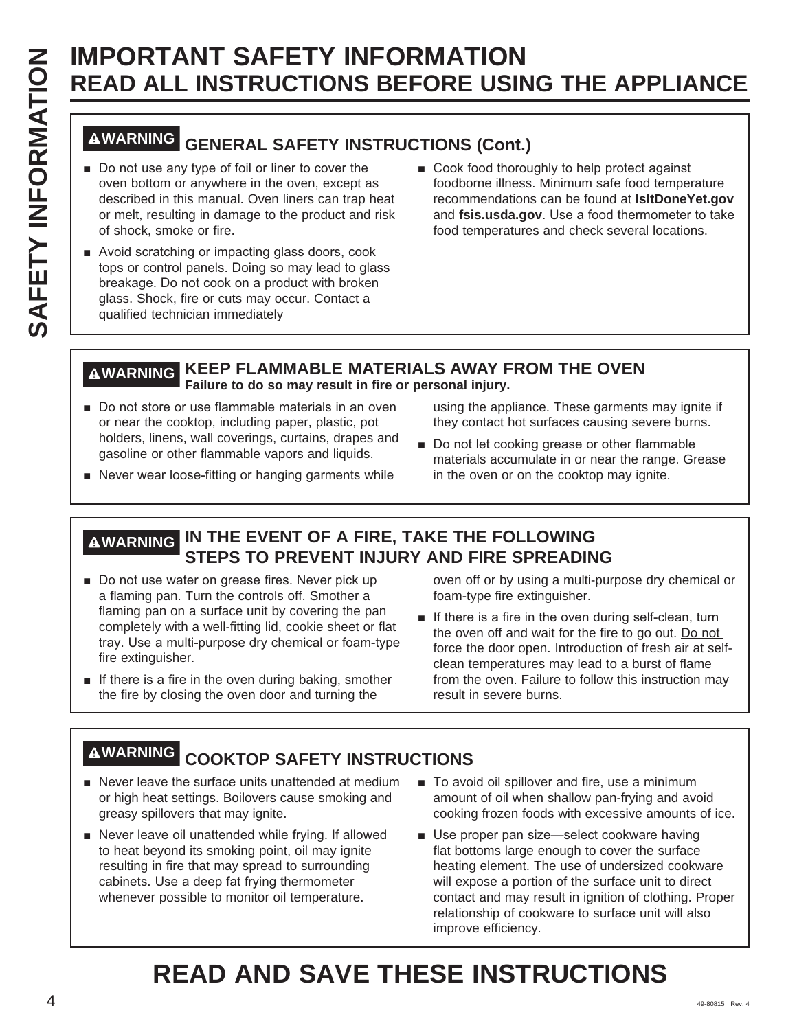# **WARNING GENERAL SAFETY INSTRUCTIONS (Cont.)**

- Do not use any type of foil or liner to cover the oven bottom or anywhere in the oven, except as described in this manual. Oven liners can trap heat or melt, resulting in damage to the product and risk of shock, smoke or fire.
- Avoid scratching or impacting glass doors, cook tops or control panels. Doing so may lead to glass breakage. Do not cook on a product with broken glass. Shock, fire or cuts may occur. Contact a qualified technician immediately
- Cook food thoroughly to help protect against foodborne illness. Minimum safe food temperature recommendations can be found at **IsItDoneYet.gov** and fsis.usda.gov. Use a food thermometer to take food temperatures and check several locations.

#### **WARNING KEEP FLAMMABLE MATERIALS AWAY FROM THE OVEN Failure to do so may result in fire or personal injury.**

Do not store or use flammable materials in an oven or near the cooktop, including paper, plastic, pot holders, linens, wall coverings, curtains, drapes and gasoline or other flammable vapors and liquids.

using the appliance. These garments may ignite if they contact hot surfaces causing severe burns.

- Do not let cooking grease or other flammable materials accumulate in or near the range. Grease in the oven or on the cooktop may ignite.
- Never wear loose-fitting or hanging garments while

#### **WARNING IN THE EVENT OF A FIRE, TAKE THE FOLLOWING STEPS TO PREVENT INJURY AND FIRE SPREADING**

- Do not use water on grease fires. Never pick up a flaming pan. Turn the controls off. Smother a flaming pan on a surface unit by covering the pan completely with a well-fitting lid, cookie sheet or flat tray. Use a multi-purpose dry chemical or foam-type fire extinguisher.
- $\blacksquare$  If there is a fire in the oven during baking, smother the fire by closing the oven door and turning the

oven off or by using a multi-purpose dry chemical or foam-type fire extinguisher.

 $\blacksquare$  If there is a fire in the oven during self-clean, turn the oven off and wait for the fire to go out. Do not force the door open. Introduction of fresh air at selfclean temperatures may lead to a burst of flame from the oven. Failure to follow this instruction may result in severe burns.

## **WARNING COOKTOP SAFETY INSTRUCTIONS**

- $\blacksquare$  Never leave the surface units unattended at medium or high heat settings. Boilovers cause smoking and greasy spillovers that may ignite.
- Never leave oil unattended while frying. If allowed to heat beyond its smoking point, oil may ignite resulting in fire that may spread to surrounding cabinets. Use a deep fat frying thermometer whenever possible to monitor oil temperature.
- To avoid oil spillover and fire, use a minimum amount of oil when shallow pan-frying and avoid cooking frozen foods with excessive amounts of ice.
- Use proper pan size-select cookware having flat bottoms large enough to cover the surface heating element. The use of undersized cookware will expose a portion of the surface unit to direct contact and may result in ignition of clothing. Proper relationship of cookware to surface unit will also improve efficiency.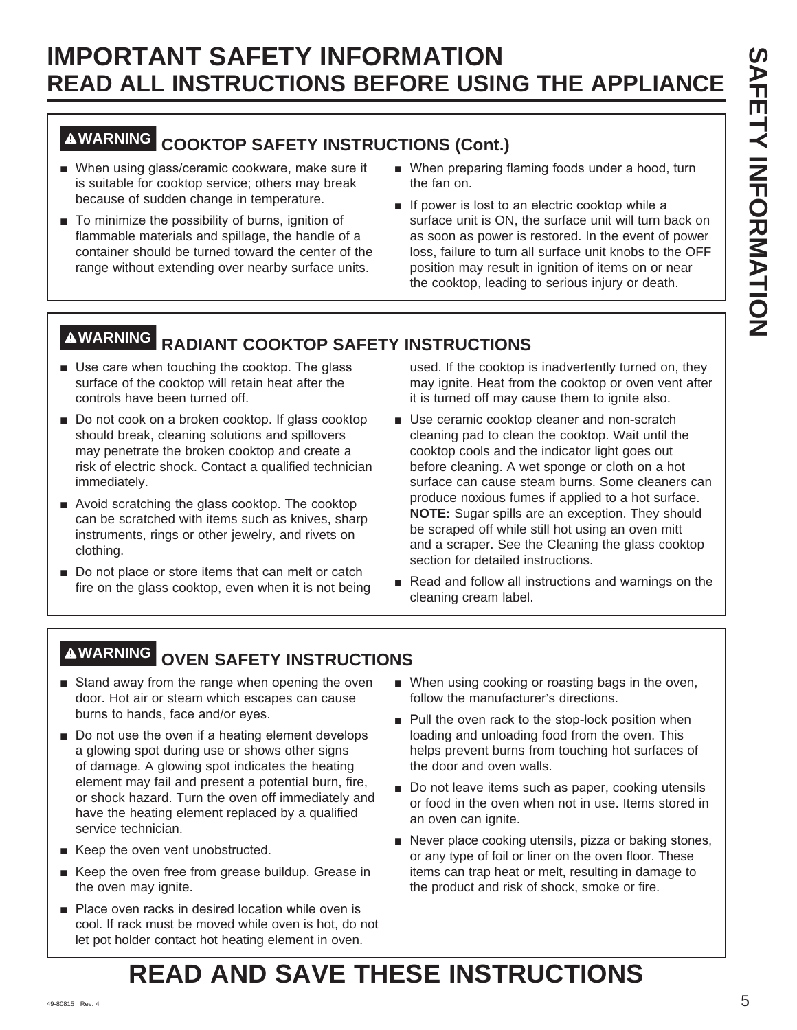## **WARNING COOKTOP SAFETY INSTRUCTIONS (Cont.)**

- When using glass/ceramic cookware, make sure it is suitable for cooktop service; others may break because of sudden change in temperature.
- $\blacksquare$  To minimize the possibility of burns, ignition of flammable materials and spillage, the handle of a container should be turned toward the center of the range without extending over nearby surface units.
- When preparing flaming foods under a hood, turn the fan on.
- $\blacksquare$  If power is lost to an electric cooktop while a surface unit is ON, the surface unit will turn back on as soon as power is restored. In the event of power loss, failure to turn all surface unit knobs to the OFF position may result in ignition of items on or near the cooktop, leading to serious injury or death.

## **WARNING RADIANT COOKTOP SAFETY INSTRUCTIONS**

- $\blacksquare$  Use care when touching the cooktop. The glass surface of the cooktop will retain heat after the controls have been turned off.
- Do not cook on a broken cooktop. If glass cooktop should break, cleaning solutions and spillovers may penetrate the broken cooktop and create a risk of electric shock. Contact a qualified technician immediately.
- $\blacksquare$  Avoid scratching the glass cooktop. The cooktop can be scratched with items such as knives, sharp instruments, rings or other jewelry, and rivets on clothing.
- $\blacksquare$  Do not place or store items that can melt or catch fire on the glass cooktop, even when it is not being

used. If the cooktop is inadvertently turned on, they may ignite. Heat from the cooktop or oven vent after it is turned off may cause them to ignite also.

- Use ceramic cooktop cleaner and non-scratch cleaning pad to clean the cooktop. Wait until the cooktop cools and the indicator light goes out before cleaning. A wet sponge or cloth on a hot surface can cause steam burns. Some cleaners can produce noxious fumes if applied to a hot surface. **NOTE:** Sugar spills are an exception. They should be scraped off while still hot using an oven mitt and a scraper. See the Cleaning the glass cooktop section for detailed instructions.
- Read and follow all instructions and warnings on the cleaning cream label.

## **WARNING OVEN SAFETY INSTRUCTIONS**

- Stand away from the range when opening the oven door. Hot air or steam which escapes can cause burns to hands, face and/or eyes.
- $\blacksquare$  Do not use the oven if a heating element develops a glowing spot during use or shows other signs of damage. A glowing spot indicates the heating element may fail and present a potential burn, fire, or shock hazard. Turn the oven off immediately and have the heating element replaced by a qualified service technician.
- Keep the oven vent unobstructed.
- Keep the oven free from grease buildup. Grease in the oven may ignite.
- Place oven racks in desired location while oven is cool. If rack must be moved while oven is hot, do not let pot holder contact hot heating element in oven.
- When using cooking or roasting bags in the oven, follow the manufacturer's directions.
- Pull the oven rack to the stop-lock position when loading and unloading food from the oven. This helps prevent burns from touching hot surfaces of the door and oven walls.
- Do not leave items such as paper, cooking utensils or food in the oven when not in use. Items stored in an oven can ignite.
- Never place cooking utensils, pizza or baking stones, or any type of foil or liner on the oven floor. These items can trap heat or melt, resulting in damage to the product and risk of shock, smoke or fire.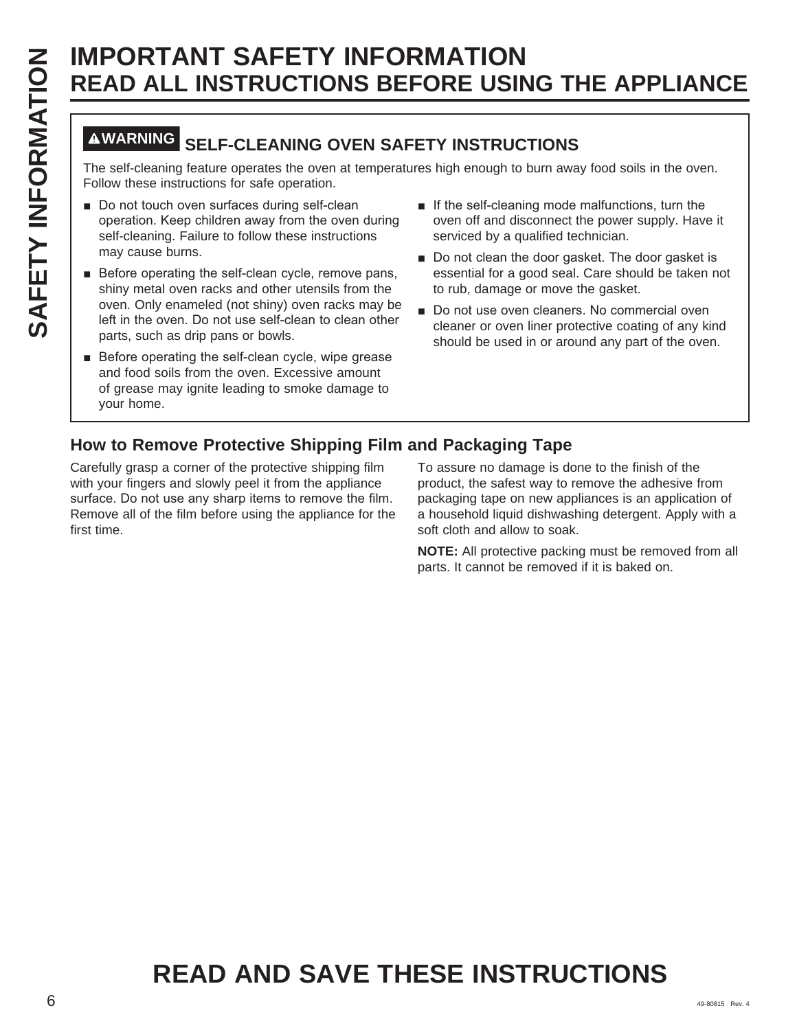## **WARNING SELF-CLEANING OVEN SAFETY INSTRUCTIONS**

The self-cleaning feature operates the oven at temperatures high enough to burn away food soils in the oven. Follow these instructions for safe operation.

- Do not touch oven surfaces during self-clean operation. Keep children away from the oven during self-cleaning. Failure to follow these instructions may cause burns.
- $\blacksquare$  Before operating the self-clean cycle, remove pans, shiny metal oven racks and other utensils from the oven. Only enameled (not shiny) oven racks may be left in the oven. Do not use self-clean to clean other parts, such as drip pans or bowls.
- Before operating the self-clean cycle, wipe grease and food soils from the oven. Excessive amount of grease may ignite leading to smoke damage to your home.
- $\blacksquare$  If the self-cleaning mode malfunctions, turn the oven off and disconnect the power supply. Have it serviced by a qualified technician.
- Do not clean the door gasket. The door gasket is essential for a good seal. Care should be taken not to rub, damage or move the gasket.
- Do not use oven cleaners. No commercial oven cleaner or oven liner protective coating of any kind should be used in or around any part of the oven.

## **How to Remove Protective Shipping Film and Packaging Tape**

Carefully grasp a corner of the protective shipping film with your fingers and slowly peel it from the appliance surface. Do not use any sharp items to remove the film. Remove all of the film before using the appliance for the first time.

To assure no damage is done to the finish of the product, the safest way to remove the adhesive from packaging tape on new appliances is an application of a household liquid dishwashing detergent. Apply with a soft cloth and allow to soak.

**NOTE:** All protective packing must be removed from all parts. It cannot be removed if it is baked on.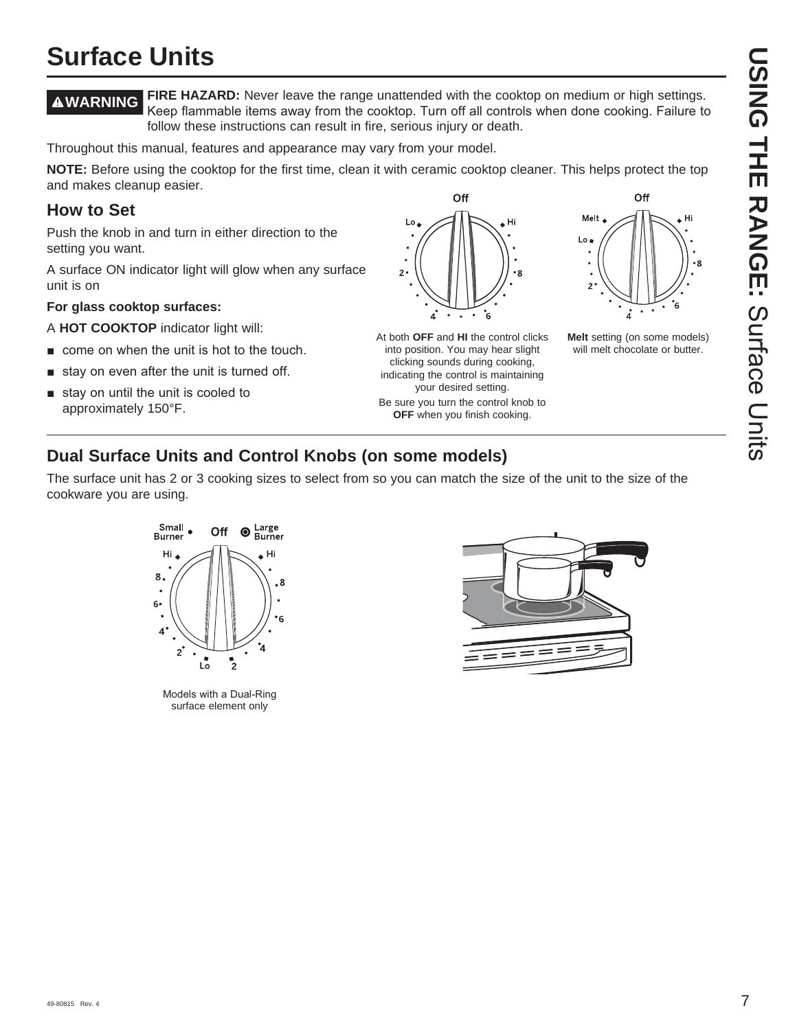# **USING THE RANGE: Scriace Clits USING THE RANGE:**Surface Units

## **Surface Units**

**WARNING FIRE HAZARD:** Never leave the range unattended with the cooktop on medium or high settings. Keep flammable items away from the cooktop. Turn off all controls when done cooking. Failure to follow these instructions can result in fire, serious injury or death.

Throughout this manual, features and appearance may vary from your model.

**NOTE:** Before using the cooktop for the first time, clean it with ceramic cooktop cleaner. This helps protect the top and makes cleanup easier. Off

#### **How to Set**

Push the knob in and turn in either direction to the setting you want.

A surface ON indicator light will glow when any surface unit is on

#### **For glass cooktop surfaces:**

A **HOT COOKTOP** indicator light will:

- $\blacksquare$  come on when the unit is hot to the touch.
- $\blacksquare$  stay on even after the unit is turned off.
- $\blacksquare$  stay on until the unit is cooled to approximately 150°F.



At both **OFF** and **HI** the control clicks into position. You may hear slight clicking sounds during cooking, indicating the control is maintaining your desired setting. Be sure you turn the control knob to **OFF** when you finish cooking.



Hi

Melt

**Melt** setting (on some models) will melt chocolate or butter.

#### **Dual Surface Units and Control Knobs (on some models)**

The surface unit has 2 or 3 cooking sizes to select from so you can match the size of the unit to the size of the cookware you are using.



Models with a Dual-Ring surface element only

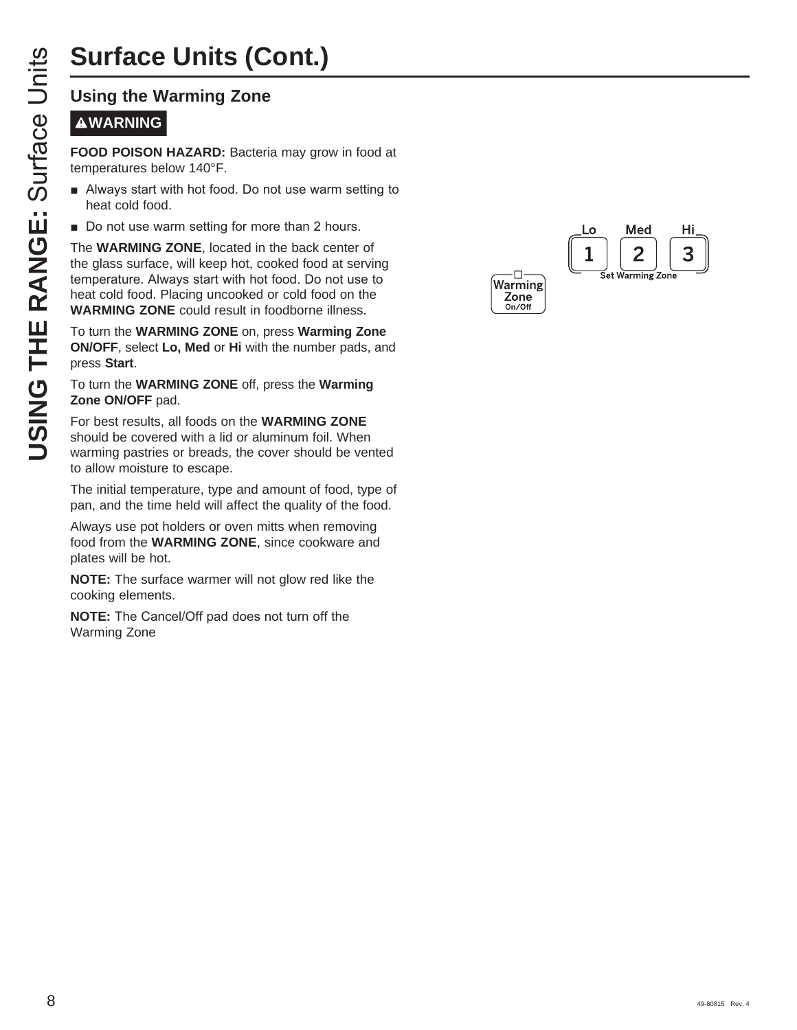# **Surface Units (Cont.)**

#### **WARNING**

**FOOD POISON HAZARD:** Bacteria may grow in food at temperatures below 140°F.

- **E** Always start with hot food. Do not use warm setting to heat cold food.
- Do not use warm setting for more than 2 hours.

**USING THE RANGE STATES SET ANARGEM STATES SET ANARGEM CONDIDENSIGNATION**<br> **USING THE RANGES SET ANARGEM STATE ANARGEM CONDIDENSIGNATION**<br> **USING THE WARMING ZONE**, located in the glass surface, will keep hot, co<br>
temperat The **WARMING ZONE**, located in the back center of the glass surface, will keep hot, cooked food at serving temperature. Always start with hot food. Do not use to heat cold food. Placing uncooked or cold food on the **WARMING ZONE** could result in foodborne illness.

To turn the **WARMING ZONE** on, press **Warming Zone ON/OFF**, select **Lo, Med** or **Hi** with the number pads, and press **Start** .

#### To turn the **WARMING ZONE** off, press the **Warming Zone ON/OFF** pad.

For best results, all foods on the **WARMING ZONE** should be covered with a lid or aluminum foil. When warming pastries or breads, the cover should be vented to allow moisture to escape.

The initial temperature, type and amount of food, type of pan, and the time held will affect the quality of the food.

Always use pot holders or oven mitts when removing food from the **WARMING ZONE**, since cookware and plates will be hot.

**NOTE:** The surface warmer will not glow red like the cooking elements.

**NOTE:** The Cancel/Off pad does not turn off the Warming Zone

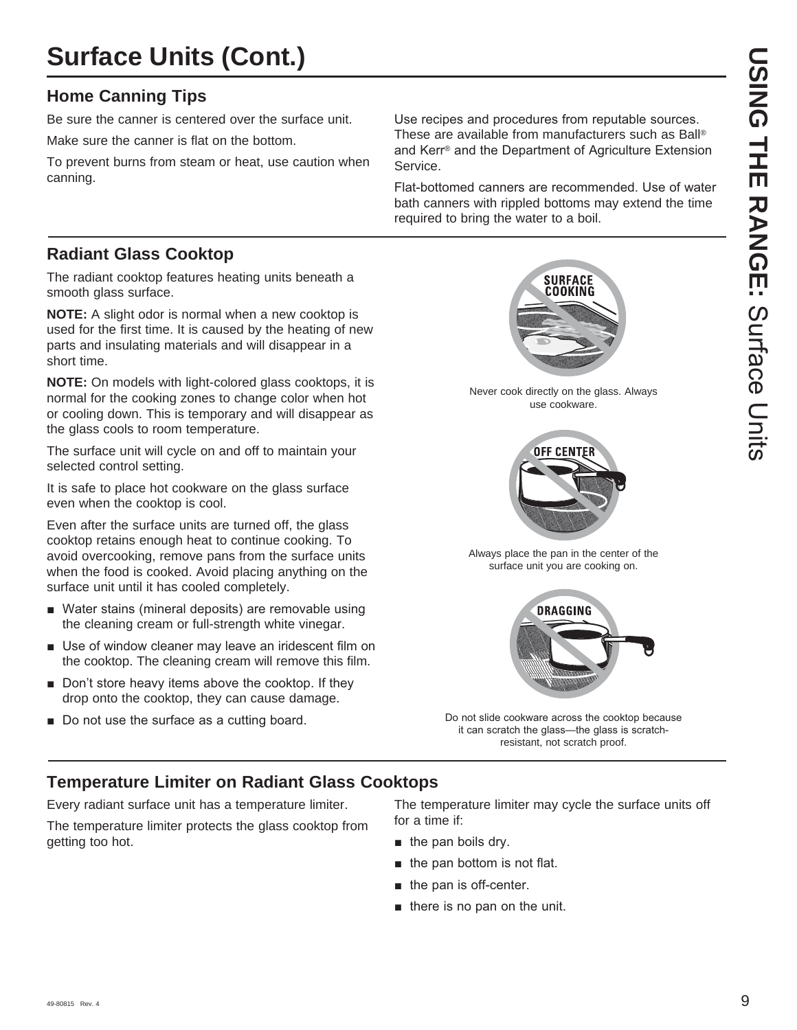## **Surface Units (Cont.)**

#### **Home Canning Tips**

Be sure the canner is centered over the surface unit.

Make sure the canner is flat on the bottom.

To prevent burns from steam or heat, use caution when canning.

Use recipes and procedures from reputable sources. These are available from manufacturers such as Ball® and Kerr<sup>®</sup> and the Department of Agriculture Extension Service.

Flat-bottomed canners are recommended. Use of water bath canners with rippled bottoms may extend the time required to bring the water to a boil.

#### **Radiant Glass Cooktop**

The radiant cooktop features heating units beneath a smooth glass surface.

**NOTE:** A slight odor is normal when a new cooktop is used for the first time. It is caused by the heating of new parts and insulating materials and will disappear in a short time.

**NOTE:** On models with light-colored glass cooktops, it is normal for the cooking zones to change color when hot or cooling down. This is temporary and will disappear as the glass cools to room temperature.

The surface unit will cycle on and off to maintain your selected control setting.

It is safe to place hot cookware on the glass surface even when the cooktop is cool.

Even after the surface units are turned off, the glass cooktop retains enough heat to continue cooking. To avoid overcooking, remove pans from the surface units when the food is cooked. Avoid placing anything on the surface unit until it has cooled completely.

- Water stains (mineral deposits) are removable using the cleaning cream or full-strength white vinegar.
- $\blacksquare$  Use of window cleaner may leave an iridescent film on the cooktop. The cleaning cream will remove this film.
- $\blacksquare$  Don't store heavy items above the cooktop. If they drop onto the cooktop, they can cause damage.
- Do not use the surface as a cutting board.

**SURFACE** COOKING

Never cook directly on the glass. Always use cookware.



Always place the pan in the center of the surface unit you are cooking on.



Do not slide cookware across the cooktop because it can scratch the glass-the glass is scratchresistant, not scratch proof.

#### **Temperature Limiter on Radiant Glass Cooktops**

Every radiant surface unit has a temperature limiter.

The temperature limiter protects the glass cooktop from getting too hot.

The temperature limiter may cycle the surface units off for a time if:

- $\blacksquare$  the pan boils dry.
- $\blacksquare$  the pan bottom is not flat.
- $\blacksquare$  the pan is off-center.
- $\blacksquare$  there is no pan on the unit.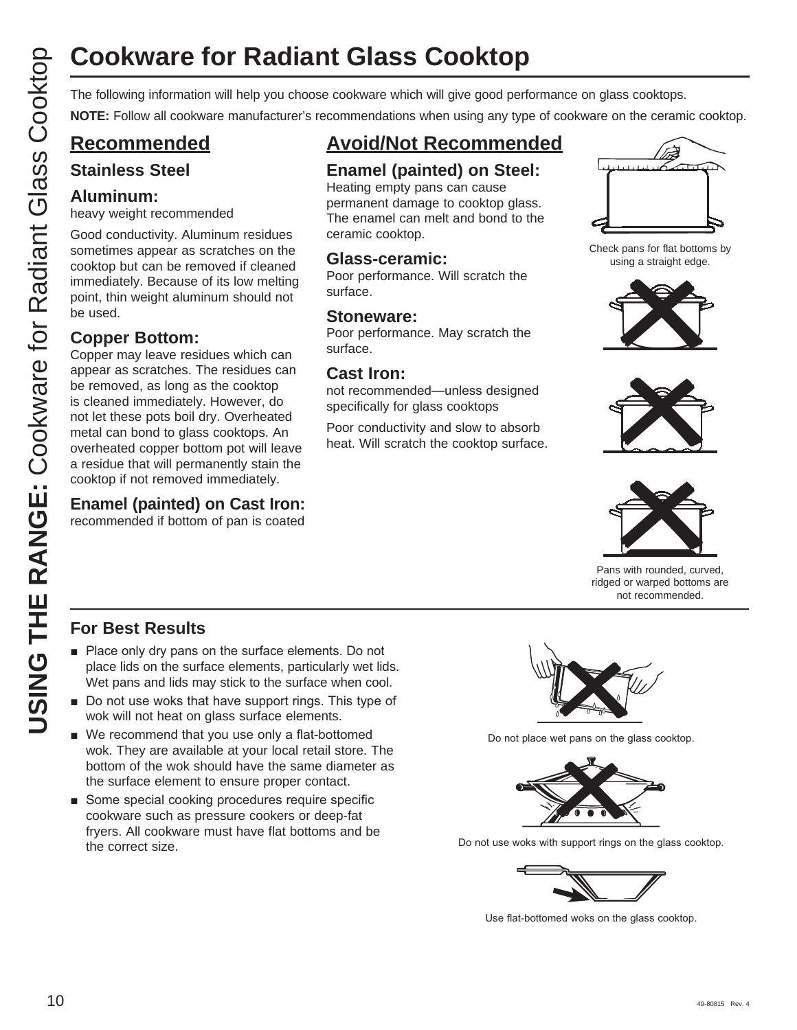# **Cookware for Radiant Glass Cooktop**

**NOTE:** Follow all cookware manufacturer's recommendations when using any type of cookware on the ceramic cooktop.

### **Recommended**

#### **Stainless Steel**

#### **Aluminum:**

heavy weight recommended

Good conductivity. Aluminum residues sometimes appear as scratches on the cooktop but can be removed if cleaned immediately. Because of its low melting point, thin weight aluminum should not be used.

#### **Copper Bottom:**

COOKWATE for Radiant Glass Cooktop<br>
The following information will help you choose cookware which will give good performance on glass cookdop.<br>
CO Recommended Example (painted cook will give good performance on glass Cook Copper may leave residues which can appear as scratches. The residues can be removed, as long as the cooktop is cleaned immediately. However, do not let these pots boil dry. Overheated metal can bond to glass cooktops. An overheated copper bottom pot will leave a residue that will permanently stain the cooktop if not removed immediately.

#### **Enamel (painted) on Cast Iron:**

recommended if bottom of pan is coated

## **Avoid/Not Recommended**

#### **Enamel (painted) on Steel:**

Heating empty pans can cause permanent damage to cooktop glass. The enamel can melt and bond to the ceramic cooktop.

#### **Glass-ceramic:**

Poor performance. Will scratch the surface.

#### **Stoneware:**

Poor performance. May scratch the surface.

#### **Cast Iron:**

not recommended—unless designed specifically for glass cooktops

Poor conductivity and slow to absorb heat. Will scratch the cooktop surface.



Check pans for flat bottoms by using a straight edge.







Pans with rounded, curved, ridged or warped bottoms are not recommended.

#### **For Best Results**

- $\blacksquare$  Place only dry pans on the surface elements. Do not place lids on the surface elements, particularly wet lids. Wet pans and lids may stick to the surface when cool.
- $\blacksquare$  Do not use woks that have support rings. This type of wok will not heat on glass surface elements.
- $\blacksquare$  We recommend that you use only a flat-bottomed wok. They are available at your local retail store. The bottom of the wok should have the same diameter as the surface element to ensure proper contact.
- Some special cooking procedures require specific cookware such as pressure cookers or deep-fat fryers. All cookware must have flat bottoms and be the correct size.



Do not place wet pans on the glass cooktop.



Do not use woks with support rings on the glass cooktop.



Use flat-bottomed woks on the glass cooktop.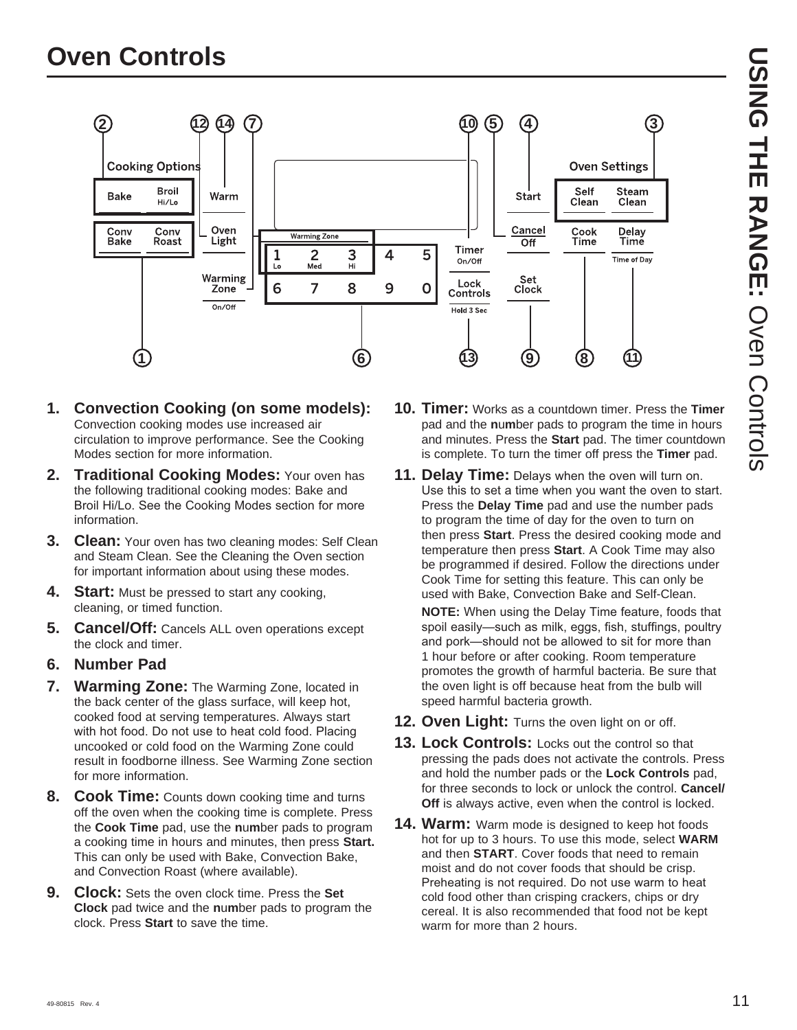

- **1. Convection Cooking (on some models):** Convection cooking modes use increased air circulation to improve performance. See the Cooking Modes section for more information.
- **2. Traditional Cooking Modes:** Your oven has the following traditional cooking modes: Bake and Broil Hi/Lo. See the Cooking Modes section for more information.
- **3. Clean:** Your oven has two cleaning modes: Self Clean and Steam Clean. See the Cleaning the Oven section for important information about using these modes.
- **4.** Start: Must be pressed to start any cooking, cleaning, or timed function.
- **5. Cancel/Off:** Cancels ALL oven operations except the clock and timer.
- **6. Number Pad**
- **7. Warming Zone:** The Warming Zone, located in the back center of the glass surface, will keep hot, cooked food at serving temperatures. Always start with hot food. Do not use to heat cold food. Placing uncooked or cold food on the Warming Zone could result in foodborne illness. See Warming Zone section for more information.
- **8. Cook Time:** Counts down cooking time and turns off the oven when the cooking time is complete. Press the **Cook Time** pad, use the **n**u**m**ber pads to program a cooking time in hours and minutes, then press **Start.** This can only be used with Bake, Convection Bake, and Convection Roast (where available).
- **9. Clock:** Sets the oven clock time. Press the **Set Clock** pad twice and the **n**u**m**ber pads to program the clock. Press **Start** to save the time.
- **10. Timer:** Works as a countdown timer. Press the **Timer** pad and the **n**u**m**ber pads to program the time in hours and minutes. Press the **Start** pad. The timer countdown is complete. To turn the timer off press the **Timer** pad.
- **11. Delay Time:** Delays when the oven will turn on. Use this to set a time when you want the oven to start. Press the **Delay Time** pad and use the number pads to program the time of day for the oven to turn on then press **Start**. Press the desired cooking mode and temperature then press **Start**. A Cook Time may also be programmed if desired. Follow the directions under Cook Time for setting this feature. This can only be used with Bake, Convection Bake and Self-Clean.

**NOTE:** When using the Delay Time feature, foods that spoil easily-such as milk, eggs, fish, stuffings, poultry and pork-should not be allowed to sit for more than 1 hour before or after cooking. Room temperature promotes the growth of harmful bacteria. Be sure that the oven light is off because heat from the bulb will speed harmful bacteria growth.

- 12. Oven Light: Turns the oven light on or off.
- 13. Lock Controls: Locks out the control so that pressing the pads does not activate the controls. Press and hold the number pads or the **Lock Controls** pad, for three seconds to lock or unlock the control. **Cancel/ Off** is always active, even when the control is locked.
- **14. Warm:** Warm mode is designed to keep hot foods hot for up to 3 hours. To use this mode, select **WARM** and then **START**. Cover foods that need to remain moist and do not cover foods that should be crisp. Preheating is not required. Do not use warm to heat cold food other than crisping crackers, chips or dry cereal. It is also recommended that food not be kept warm for more than 2 hours.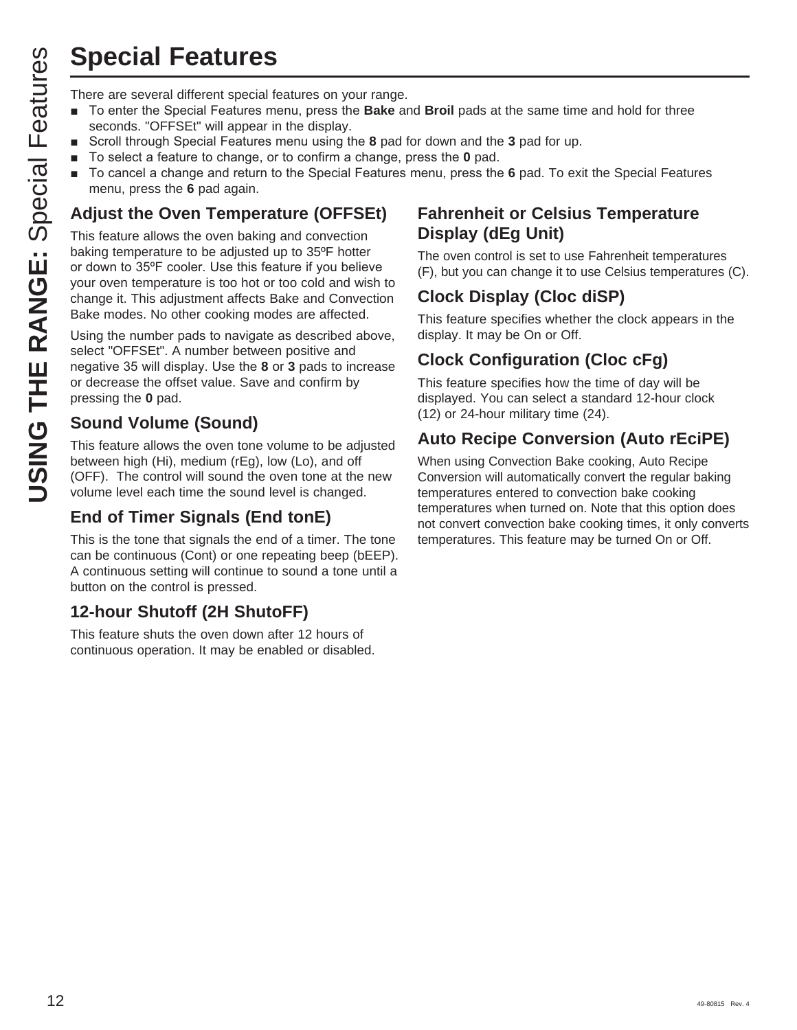## **Special Features**

- To enter the Special Features menu, press the **Bake** and **Broil** pads at the same time and hold for three seconds. "OFFSEt" will appear in the display.
- Scroll through Special Features menu using the 8 pad for down and the 3 pad for up.
- To select a feature to change, or to confirm a change, press the **0** pad.
- To cancel a change and return to the Special Features menu, press the 6 pad. To exit the Special Features menu, press the **6** pad again.

## **Adjust the Oven Temperature (OFFSEt)**

**Special Features**<br>
There are several different special features on your range.<br>
To enter the Special Features menu, press the Bake are<br>
Scroll firough Special Features menu using the 8 pad in<br>
To select a feature to chang This feature allows the oven baking and convection baking temperature to be adjusted up to 35ºF hotter or down to 35°F cooler. Use this feature if you believe your oven temperature is too hot or too cold and wish to change it. This adjustment affects Bake and Convection Bake modes. No other cooking modes are affected.

Using the number pads to navigate as described above, select "OFFSEt". A number between positive and hegative 35 will display. Use the 8 or 3 pads to increase or decrease the offset value. Save and confirm by pressing the **0** pad.

#### **Sound Volume (Sound)**

This feature allows the oven tone volume to be adjusted between high (Hi), medium (rEg), low (Lo), and off (OFF). The control will sound the oven tone at the new volume level each time the sound level is changed.

#### **End of Timer Signals (End tonE)**

This is the tone that signals the end of a timer. The tone can be continuous (Cont) or one repeating beep (bEEP). A continuous setting will continue to sound a tone until a button on the control is pressed.

#### **12-hour Shutoff (2H ShutoFF)**

This feature shuts the oven down after 12 hours of continuous operation. It may be enabled or disabled.

#### **Fahrenheit or Celsius Temperature Display (dEg Unit)**

The oven control is set to use Fahrenheit temperatures (F), but you can change it to use Celsius temperatures (C).

## **Clock Display (Cloc diSP)**

This feature specifies whether the clock appears in the display. It may be On or Off.

#### **Clock Configuration (Cloc cFg)**

This feature specifies how the time of day will be displayed. You can select a standard 12-hour clock (12) or 24-hour military time (24).

#### **Auto Recipe Conversion (Auto rEciPE)**

When using Convection Bake cooking, Auto Recipe Conversion will automatically convert the regular baking temperatures entered to convection bake cooking temperatures when turned on. Note that this option does not convert convection bake cooking times, it only converts temperatures. This feature may be turned On or Off.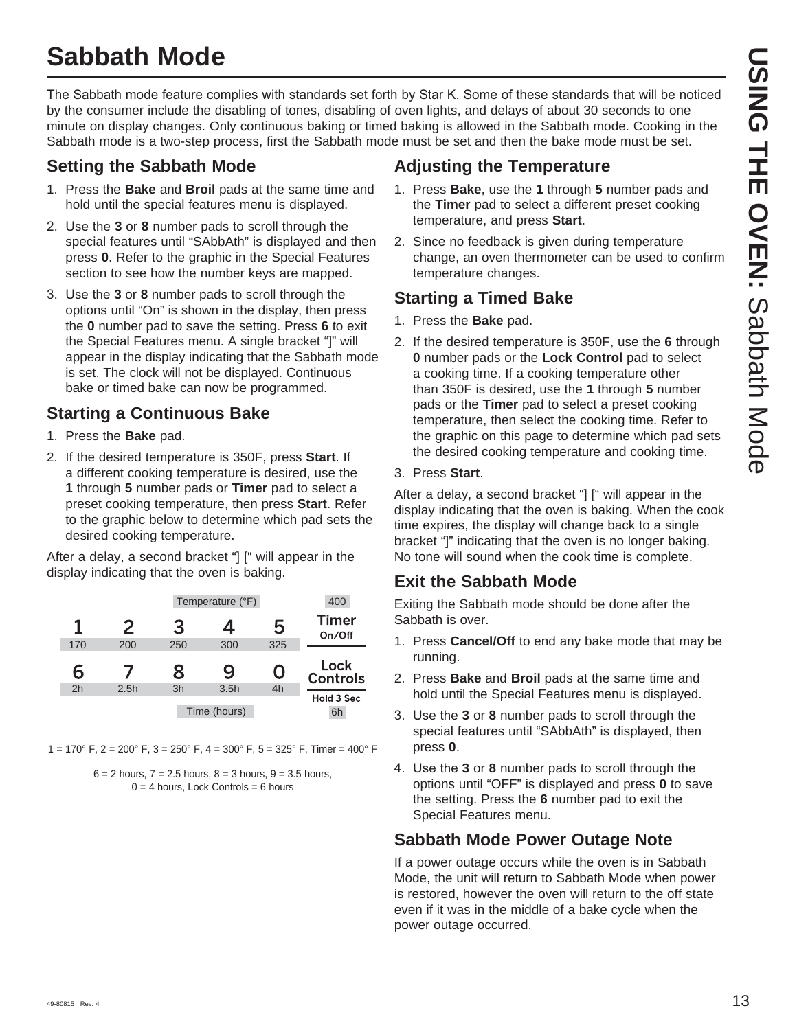## **Sabbath Mode**

The Sabbath mode feature complies with standards set forth by Star K. Some of these standards that will be noticed by the consumer include the disabling of tones, disabling of oven lights, and delays of about 30 seconds to one minute on display changes. Only continuous baking or timed baking is allowed in the Sabbath mode. Cooking in the Sabbath mode is a two-step process, first the Sabbath mode must be set and then the bake mode must be set.

#### **Setting the Sabbath Mode**

- 1. Press the **Bake** and **Broil** pads at the same time and hold until the special features menu is displayed.
- 2. Use the **3** or **8** number pads to scroll through the special features until "SAbbAth" is displayed and then press **0**. Refer to the graphic in the Special Features section to see how the number keys are mapped.
- 3. Use the 3 or 8 number pads to scroll through the options until "On" is shown in the display, then press the **0** number pad to save the setting. Press **6** to exit the Special Features menu. A single bracket "]" will appear in the display indicating that the Sabbath mode is set. The clock will not be displayed. Continuous bake or timed bake can now be programmed.

#### **Starting a Continuous Bake**

- 1. Press the **Bake** pad.
- 2. If the desired temperature is 350F, press **Start**. If a different cooking temperature is desired, use the **1** through **5** number pads or **Timer** pad to select a preset cooking temperature, then press **Start**. Refer to the graphic below to determine which pad sets the desired cooking temperature.

After a delay, a second bracket "] [" will appear in the display indicating that the oven is baking.

| 400                     |     | Temperature (°F) |     |      |     |
|-------------------------|-----|------------------|-----|------|-----|
| <b>Timer</b><br>On/Off  | 5   | 4                | 3   | 2    |     |
|                         | 325 | 300              | 250 | 200  | 170 |
| Lock<br><b>Controls</b> | 0   | 9                | 8   |      | 6   |
|                         | 4h  | 3.5h             | 3h  | 2.5h | 2h  |
| Hold 3 Sec<br>6h        |     | Time (hours)     |     |      |     |

 $1 = 170^{\circ}$  F,  $2 = 200^{\circ}$  F,  $3 = 250^{\circ}$  F,  $4 = 300^{\circ}$  F,  $5 = 325^{\circ}$  F, Timer = 400° F



### **Adjusting the Temperature**

- 1. Press **Bake**, use the **1** through **5** number pads and the **Timer** pad to select a different preset cooking temperature, and press **Start**.
- 2. Since no feedback is given during temperature change, an oven thermometer can be used to confirm temperature changes.

#### **Starting a Timed Bake**

- 1. Press the **Bake** pad.
- 2. If the desired temperature is 350F, use the **6** through **0** number pads or the **Lock Control** pad to select a cooking time. If a cooking temperature other than 350F is desired, use the **1** through **5** number pads or the **Timer** pad to select a preset cooking temperature, then select the cooking time. Refer to the graphic on this page to determine which pad sets the desired cooking temperature and cooking time.

#### 3. Press **Start**.

After a delay, a second bracket "] [" will appear in the display indicating that the oven is baking. When the cook time expires, the display will change back to a single bracket "]" indicating that the oven is no longer baking. No tone will sound when the cook time is complete.

#### **Exit the Sabbath Mode**

Exiting the Sabbath mode should be done after the Sabbath is over.

- 1. Press **Cancel/Off** to end any bake mode that may be running.
- 2. Press **Bake** and **Broil** pads at the same time and hold until the Special Features menu is displayed.
- 3. Use the 3 or 8 number pads to scroll through the special features until "SAbbAth" is displayed, then press **0**.
- 4. Use the 3 or 8 number pads to scroll through the options until "OFF" is displayed and press **0** to save the setting. Press the **6** number pad to exit the Special Features menu.

#### **Sabbath Mode Power Outage Note**

If a power outage occurs while the oven is in Sabbath Mode, the unit will return to Sabbath Mode when power is restored, however the oven will return to the off state even if it was in the middle of a bake cycle when the power outage occurred.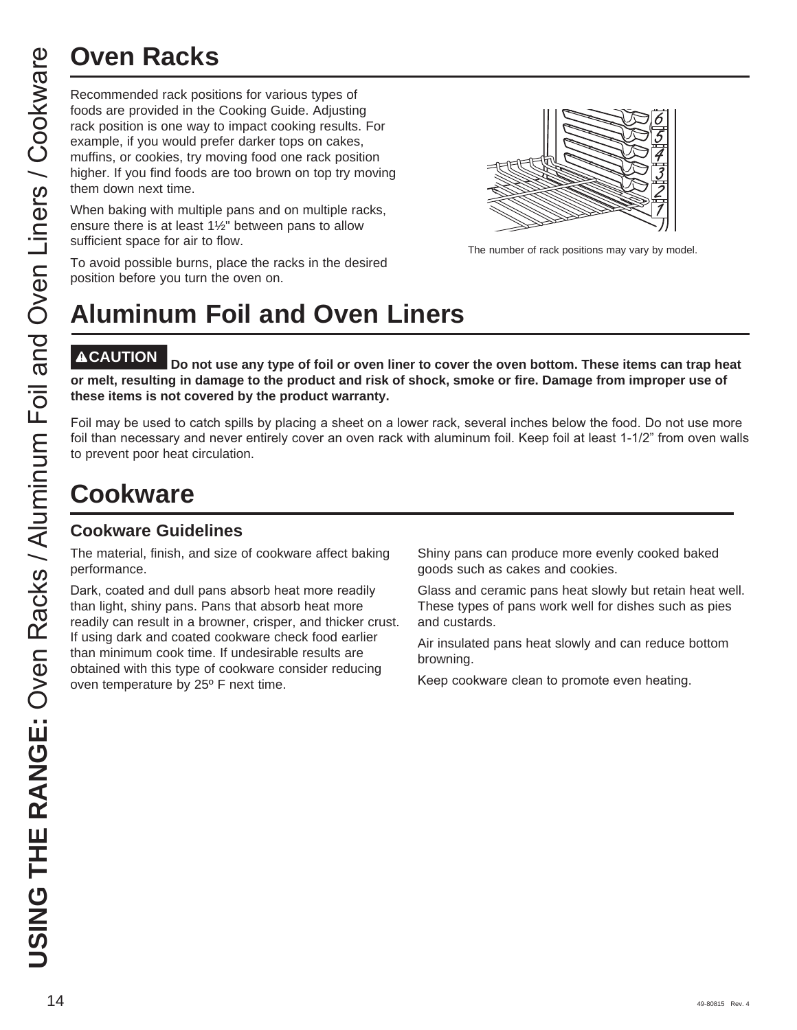Recommended rack positions for various types of foods are provided in the Cooking Guide. Adjusting rack position is one way to impact cooking results. For example, if you would prefer darker tops on cakes, muffins, or cookies, try moving food one rack position higher. If you find foods are too brown on top try moving them down next time.

When baking with multiple pans and on multiple racks, ensure there is at least  $1\frac{1}{2}$ " between pans to allow sufficient space for air to flow.

The number of rack positions may vary by model.

#### To avoid possible burns, place the racks in the desired position before you turn the oven on.

# **Aluminum Foil and Oven Liners**

Do not use any type of foil or oven liner to cover the oven bottom. These items can trap heat **or melt, resulting in damage to the product and risk of shock, smoke or fire. Damage from improper use of these items is not covered by the product warranty.** 

Foil may be used to catch spills by placing a sheet on a lower rack, several inches below the food. Do not use more foil than necessary and never entirely cover an oven rack with aluminum foil. Keep foil at least 1-1/2" from oven walls to prevent poor heat circulation.

## **Cookware**

#### **Cookware Guidelines**

The material, finish, and size of cookware affect baking performance.

Dark, coated and dull pans absorb heat more readily than light, shiny pans. Pans that absorb heat more readily can result in a browner, crisper, and thicker crust. If using dark and coated cookware check food earlier than minimum cook time. If undesirable results are obtained with this type of cookware consider reducing oven temperature by 25º F next time.

Shiny pans can produce more evenly cooked baked goods such as cakes and cookies.

Glass and ceramic pans heat slowly but retain heat well. These types of pans work well for dishes such as pies and custards.

Air insulated pans heat slowly and can reduce bottom browning.

Keep cookware clean to promote even heating.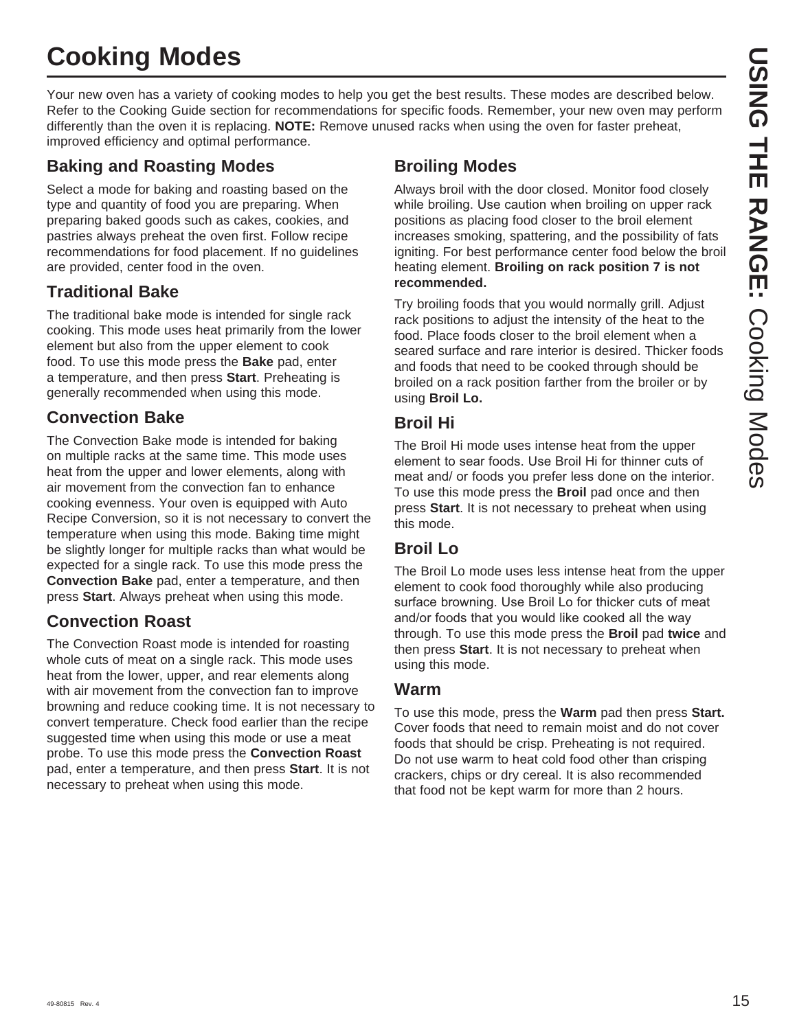## **Cooking Modes**

Your new oven has a variety of cooking modes to help you get the best results. These modes are described below. Refer to the Cooking Guide section for recommendations for specific foods. Remember, your new oven may perform differently than the oven it is replacing. **NOTE:** Remove unused racks when using the oven for faster preheat, improved efficiency and optimal performance.

#### **Baking and Roasting Modes**

Select a mode for baking and roasting based on the type and quantity of food you are preparing. When preparing baked goods such as cakes, cookies, and pastries always preheat the oven first. Follow recipe recommendations for food placement. If no guidelines are provided, center food in the oven.

#### **Traditional Bake**

The traditional bake mode is intended for single rack cooking. This mode uses heat primarily from the lower element but also from the upper element to cook food. To use this mode press the **Bake** pad, enter a temperature, and then press **Start**. Preheating is generally recommended when using this mode.

#### **Convection Bake**

The Convection Bake mode is intended for baking on multiple racks at the same time. This mode uses heat from the upper and lower elements, along with air movement from the convection fan to enhance cooking evenness. Your oven is equipped with Auto Recipe Conversion, so it is not necessary to convert the temperature when using this mode. Baking time might be slightly longer for multiple racks than what would be expected for a single rack. To use this mode press the **Convection Bake** pad, enter a temperature, and then press **Start**. Always preheat when using this mode.

#### **Convection Roast**

The Convection Roast mode is intended for roasting whole cuts of meat on a single rack. This mode uses heat from the lower, upper, and rear elements along with air movement from the convection fan to improve browning and reduce cooking time. It is not necessary to convert temperature. Check food earlier than the recipe suggested time when using this mode or use a meat probe. To use this mode press the **Convection Roast**  pad, enter a temperature, and then press **Start**. It is not necessary to preheat when using this mode.

#### **Broiling Modes**

Always broil with the door closed. Monitor food closely while broiling. Use caution when broiling on upper rack positions as placing food closer to the broil element increases smoking, spattering, and the possibility of fats igniting. For best performance center food below the broil heating element. **Broiling on rack position 7 is not recommended.**

Try broiling foods that you would normally grill. Adjust rack positions to adjust the intensity of the heat to the food. Place foods closer to the broil element when a seared surface and rare interior is desired. Thicker foods and foods that need to be cooked through should be broiled on a rack position farther from the broiler or by using **Broil Lo.**

#### **Broil Hi**

The Broil Hi mode uses intense heat from the upper element to sear foods. Use Broil Hi for thinner cuts of meat and/ or foods you prefer less done on the interior. To use this mode press the **Broil** pad once and then press **Start**. It is not necessary to preheat when using this mode.

#### **Broil Lo**

The Broil Lo mode uses less intense heat from the upper element to cook food thoroughly while also producing surface browning. Use Broil Lo for thicker cuts of meat and/or foods that you would like cooked all the way through. To use this mode press the **Broil** pad **twice** and then press **Start**. It is not necessary to preheat when using this mode.

#### **Warm**

To use this mode, press the **Warm** pad then press **Start.** Cover foods that need to remain moist and do not cover foods that should be crisp. Preheating is not required. Do not use warm to heat cold food other than crisping crackers, chips or dry cereal. It is also recommended that food not be kept warm for more than 2 hours.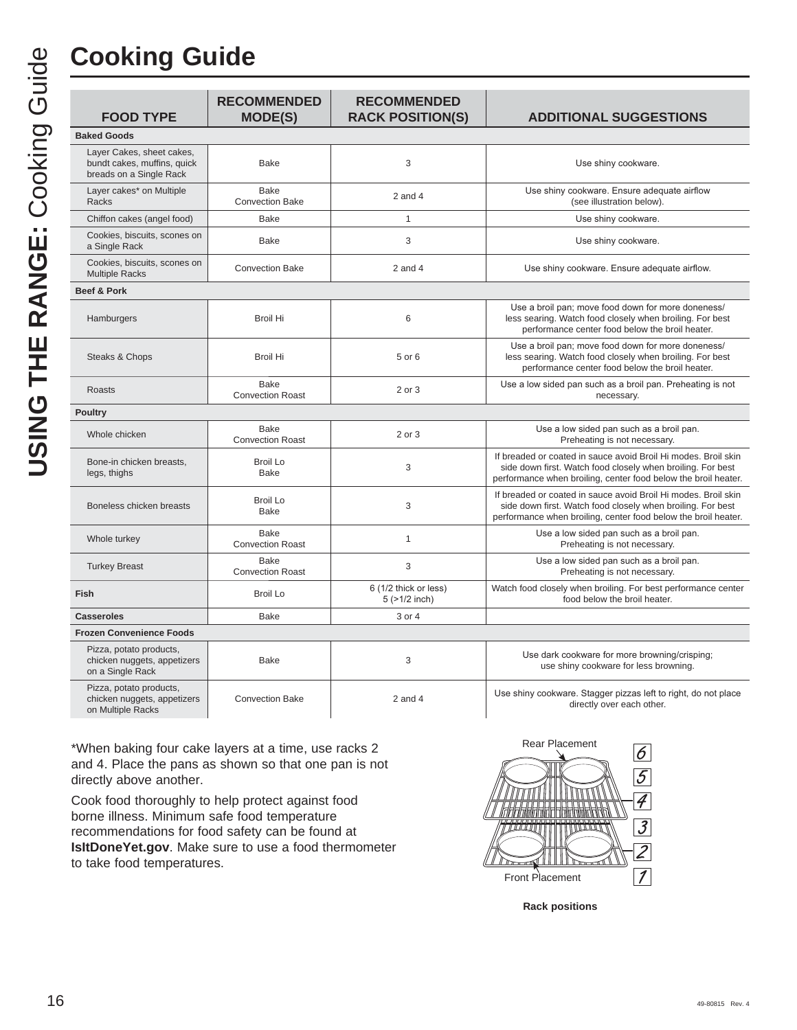| <b>FOOD TYPE</b>                                                                    | <b>RECOMMENDED</b><br><b>MODE(S)</b>   | <b>RECOMMENDED</b><br><b>RACK POSITION(S)</b> | <b>ADDITIONAL SUGGESTIONS</b>                                                                                                                                                                   |
|-------------------------------------------------------------------------------------|----------------------------------------|-----------------------------------------------|-------------------------------------------------------------------------------------------------------------------------------------------------------------------------------------------------|
| <b>Baked Goods</b>                                                                  |                                        |                                               |                                                                                                                                                                                                 |
| Layer Cakes, sheet cakes,<br>bundt cakes, muffins, quick<br>breads on a Single Rack | <b>Bake</b>                            | 3                                             | Use shiny cookware.                                                                                                                                                                             |
| Layer cakes* on Multiple<br>Racks                                                   | <b>Bake</b><br><b>Convection Bake</b>  | $2$ and $4$                                   | Use shiny cookware. Ensure adequate airflow<br>(see illustration below).                                                                                                                        |
| Chiffon cakes (angel food)                                                          | <b>Bake</b>                            | $\mathbf{1}$                                  | Use shiny cookware.                                                                                                                                                                             |
| Cookies, biscuits, scones on<br>a Single Rack                                       | <b>Bake</b>                            | 3                                             | Use shiny cookware.                                                                                                                                                                             |
| Cookies, biscuits, scones on<br><b>Multiple Racks</b>                               | <b>Convection Bake</b>                 | $2$ and $4$                                   | Use shiny cookware. Ensure adequate airflow.                                                                                                                                                    |
| Beef & Pork                                                                         |                                        |                                               |                                                                                                                                                                                                 |
| Hamburgers                                                                          | <b>Broil Hi</b>                        | 6                                             | Use a broil pan; move food down for more doneness/<br>less searing. Watch food closely when broiling. For best<br>performance center food below the broil heater.                               |
| Steaks & Chops                                                                      | <b>Broil Hi</b>                        | 5 or 6                                        | Use a broil pan; move food down for more doneness/<br>less searing. Watch food closely when broiling. For best<br>performance center food below the broil heater.                               |
| Roasts                                                                              | <b>Bake</b><br><b>Convection Roast</b> | 2 or 3                                        | Use a low sided pan such as a broil pan. Preheating is not<br>necessary.                                                                                                                        |
| <b>Poultry</b>                                                                      |                                        |                                               |                                                                                                                                                                                                 |
| Whole chicken                                                                       | Bake<br><b>Convection Roast</b>        | 2 or 3                                        | Use a low sided pan such as a broil pan.<br>Preheating is not necessary.                                                                                                                        |
| Bone-in chicken breasts,<br>legs, thighs                                            | <b>Broil Lo</b><br>Bake                | 3                                             | If breaded or coated in sauce avoid Broil Hi modes. Broil skin<br>side down first. Watch food closely when broiling. For best<br>performance when broiling, center food below the broil heater. |
| Boneless chicken breasts                                                            | <b>Broil Lo</b><br>Bake                | 3                                             | If breaded or coated in sauce avoid Broil Hi modes. Broil skin<br>side down first. Watch food closely when broiling. For best<br>performance when broiling, center food below the broil heater. |
| Whole turkey                                                                        | <b>Bake</b><br><b>Convection Roast</b> | $\mathbf{1}$                                  | Use a low sided pan such as a broil pan.<br>Preheating is not necessary.                                                                                                                        |
| <b>Turkey Breast</b>                                                                | <b>Bake</b><br><b>Convection Roast</b> | 3                                             | Use a low sided pan such as a broil pan.<br>Preheating is not necessary.                                                                                                                        |
| Fish                                                                                | <b>Broil Lo</b>                        | 6 (1/2 thick or less)<br>$5$ ( $>1/2$ inch)   | Watch food closely when broiling. For best performance center<br>food below the broil heater.                                                                                                   |
| <b>Casseroles</b>                                                                   | <b>Bake</b>                            | 3 or 4                                        |                                                                                                                                                                                                 |
| <b>Frozen Convenience Foods</b>                                                     |                                        |                                               |                                                                                                                                                                                                 |
| Pizza, potato products,<br>chicken nuggets, appetizers<br>on a Single Rack          | <b>Bake</b>                            | 3                                             | Use dark cookware for more browning/crisping;<br>use shiny cookware for less browning.                                                                                                          |
| Pizza, potato products,<br>chicken nuggets, appetizers<br>$A \cup B$                | <b>Convection Bake</b>                 | $2$ and $4$                                   | Use shiny cookware. Stagger pizzas left to right, do not place<br>directly over each other.                                                                                                     |

\*When baking four cake layers at a time, use racks 2 and 4. Place the pans as shown so that one pan is not directly above another.

on Multiple Racks

Cook food thoroughly to help protect against food borne illness. Minimum safe food temperature recommendations for food safety can be found at **IsItDoneYet.gov**. Make sure to use a food thermometer to take food temperatures.



**Rack positions**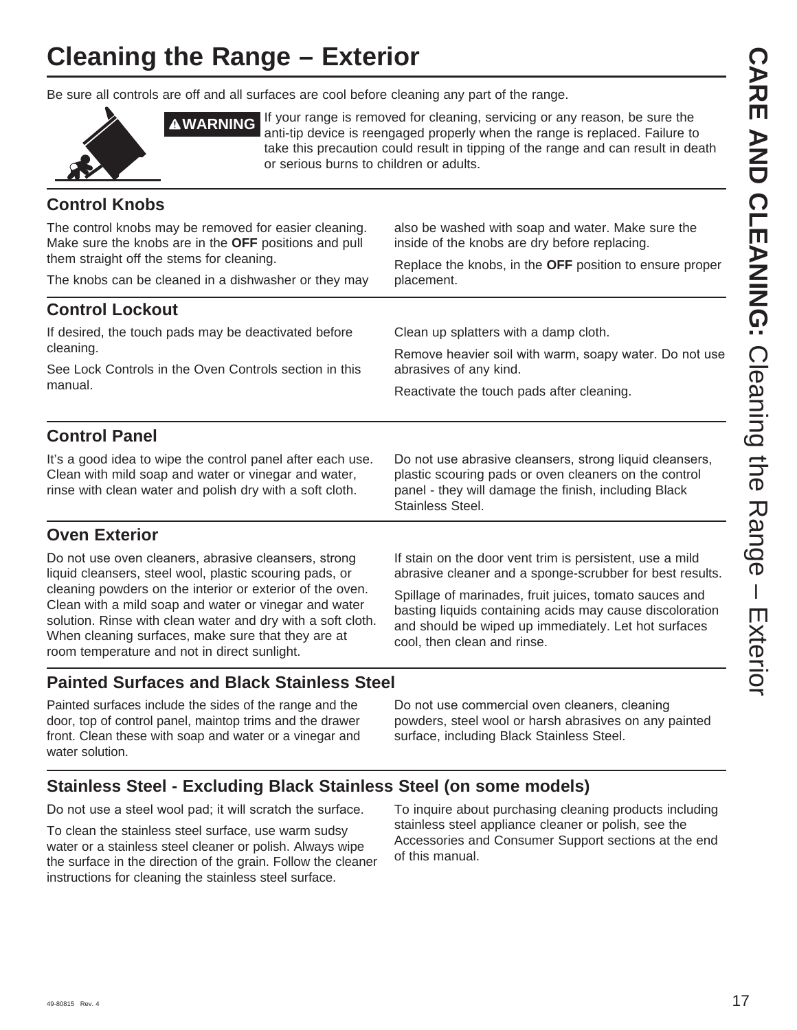## **Cleaning the Range – Exterior**

Be sure all controls are off and all surfaces are cool before cleaning any part of the range.



**AWARNING** If your range is removed for cleaning, servicing or any reason, be sure the anti-tip device is reengaged properly when the range is replaced. Failure to take this precaution could result in tipping of the range and can result in death or serious burns to children or adults.

#### **Control Knobs**

The control knobs may be removed for easier cleaning. Make sure the knobs are in the **OFF** positions and pull them straight off the stems for cleaning. The knobs can be cleaned in a dishwasher or they may also be washed with soap and water. Make sure the inside of the knobs are dry before replacing. Replace the knobs, in the **OFF** position to ensure proper placement. **Control Lockout** If desired, the touch pads may be deactivated before cleaning. See Lock Controls in the Oven Controls section in this manual. Clean up splatters with a damp cloth. Remove heavier soil with warm, soapy water. Do not use abrasives of any kind. Reactivate the touch pads after cleaning. **Control Panel** It's a good idea to wipe the control panel after each use. Clean with mild soap and water or vinegar and water, rinse with clean water and polish dry with a soft cloth. Do not use abrasive cleansers, strong liquid cleansers, plastic scouring pads or oven cleaners on the control panel - they will damage the finish, including Black

Stainless Steel.

#### **Oven Exterior**

Do not use oven cleaners, abrasive cleansers, strong liquid cleansers, steel wool, plastic scouring pads, or cleaning powders on the interior or exterior of the oven. Clean with a mild soap and water or vinegar and water solution. Rinse with clean water and dry with a soft cloth. When cleaning surfaces, make sure that they are at room temperature and not in direct sunlight.

If stain on the door vent trim is persistent, use a mild abrasive cleaner and a sponge-scrubber for best results.

Spillage of marinades, fruit juices, tomato sauces and basting liquids containing acids may cause discoloration and should be wiped up immediately. Let hot surfaces cool, then clean and rinse.

#### **Painted Surfaces and Black Stainless Steel**

Painted surfaces include the sides of the range and the door, top of control panel, maintop trims and the drawer front. Clean these with soap and water or a vinegar and water solution.

Do not use commercial oven cleaners, cleaning powders, steel wool or harsh abrasives on any painted surface, including Black Stainless Steel.

#### **Stainless Steel - Excluding Black Stainless Steel (on some models)**

Do not use a steel wool pad; it will scratch the surface.

To clean the stainless steel surface, use warm sudsy water or a stainless steel cleaner or polish. Always wipe the surface in the direction of the grain. Follow the cleaner instructions for cleaning the stainless steel surface.

To inquire about purchasing cleaning products including stainless steel appliance cleaner or polish, see the Accessories and Consumer Support sections at the end of this manual.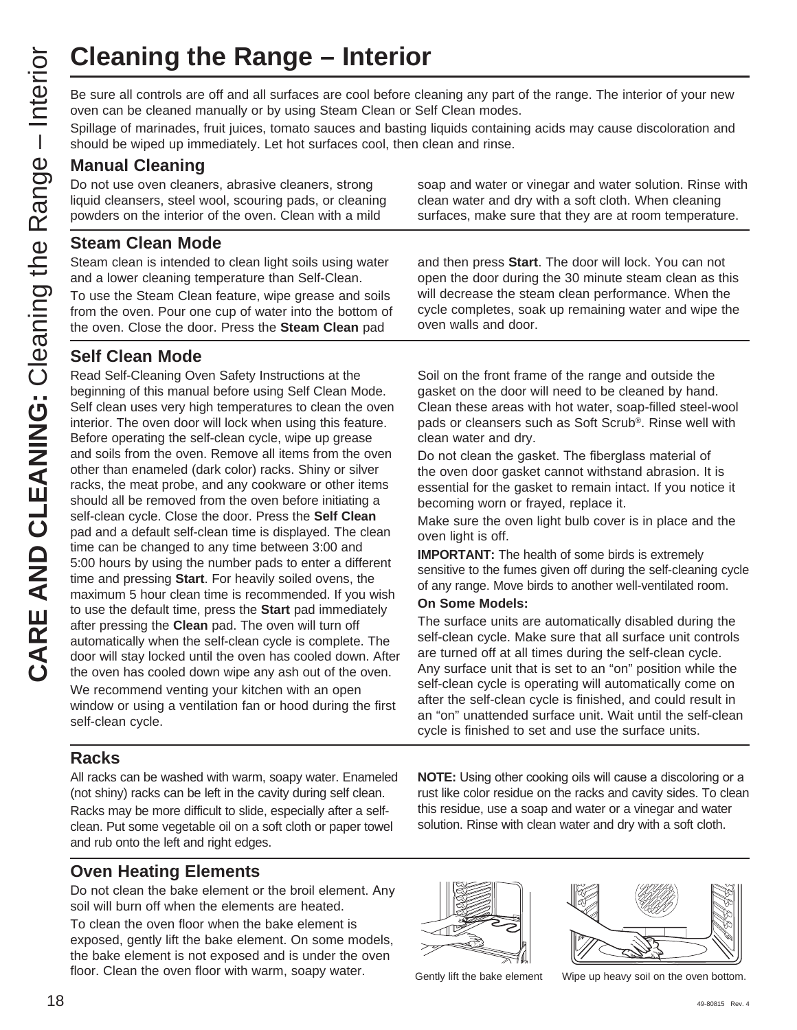Be sure all controls are off and all surfaces are cool before cleaning any part of the range. The interior of your new oven can be cleaned manually or by using Steam Clean or Self Clean modes.

Spillage of marinades, fruit juices, tomato sauces and basting liquids containing acids may cause discoloration and should be wiped up immediately. Let hot surfaces cool, then clean and rinse.

#### **Manual Cleaning**

Do not use oven cleaners, abrasive cleaners, strong liquid cleansers, steel wool, scouring pads, or cleaning powders on the interior of the oven. Clean with a mild

#### **Steam Clean Mode**

Steam clean is intended to clean light soils using water and a lower cleaning temperature than Self-Clean.

To use the Steam Clean feature, wipe grease and soils from the oven. Pour one cup of water into the bottom of the oven. Close the door. Press the **Steam Clean** pad

#### **Self Clean Mode**

Read Self-Cleaning Oven Safety Instructions at the beginning of this manual before using Self Clean Mode. Self clean uses very high temperatures to clean the oven interior. The oven door will lock when using this feature. Before operating the self-clean cycle, wipe up grease and soils from the oven. Remove all items from the oven other than enameled (dark color) racks. Shiny or silver racks, the meat probe, and any cookware or other items should all be removed from the oven before initiating a self-clean cycle. Close the door. Press the **Self Clean** pad and a default self-clean time is displayed. The clean time can be changed to any time between 3:00 and 5:00 hours by using the number pads to enter a different time and pressing **Start**. For heavily soiled ovens, the maximum 5 hour clean time is recommended. If you wish to use the default time, press the **Start** pad immediately after pressing the **Clean** pad. The oven will turn off automatically when the self-clean cycle is complete. The door will stay locked until the oven has cooled down. After the oven has cooled down wipe any ash out of the oven. We recommend venting your kitchen with an open window or using a ventilation fan or hood during the first self-clean cycle.

**Racks**

All racks can be washed with warm, soapy water. Enameled (not shiny) racks can be left in the cavity during self clean. Racks may be more difficult to slide, especially after a selfclean. Put some vegetable oil on a soft cloth or paper towel and rub onto the left and right edges.

#### **Oven Heating Elements**

Do not clean the bake element or the broil element. Any soil will burn off when the elements are heated.

To clean the oven floor when the bake element is exposed, gently lift the bake element. On some models, the bake element is not exposed and is under the oven floor. Clean the oven floor with warm, soapy water. Gently lift the bake element Wipe up heavy soil on the oven bottom.

soap and water or vinegar and water solution. Rinse with clean water and dry with a soft cloth. When cleaning surfaces, make sure that they are at room temperature.

and then press **Start**. The door will lock. You can not open the door during the 30 minute steam clean as this will decrease the steam clean performance. When the cycle completes, soak up remaining water and wipe the oven walls and door.

Soil on the front frame of the range and outside the gasket on the door will need to be cleaned by hand. Clean these areas with hot water, soap-filled steel-wool pads or cleansers such as Soft Scrub®. Rinse well with clean water and dry.

Do not clean the gasket. The fiberglass material of the oven door gasket cannot withstand abrasion. It is essential for the gasket to remain intact. If you notice it becoming worn or frayed, replace it.

Make sure the oven light bulb cover is in place and the oven light is off.

**IMPORTANT:** The health of some birds is extremely sensitive to the fumes given off during the self-cleaning cycle of any range. Move birds to another well-ventilated room.

#### **On Some Models:**

The surface units are automatically disabled during the self-clean cycle. Make sure that all surface unit controls are turned off at all times during the self-clean cycle. Any surface unit that is set to an "on" position while the self-clean cycle is operating will automatically come on after the self-clean cycle is finished, and could result in an "on" unattended surface unit. Wait until the self-clean cycle is finished to set and use the surface units.

**NOTE:** Using other cooking oils will cause a discoloring or a rust like color residue on the racks and cavity sides. To clean this residue, use a soap and water or a vinegar and water solution. Rinse with clean water and dry with a soft cloth.



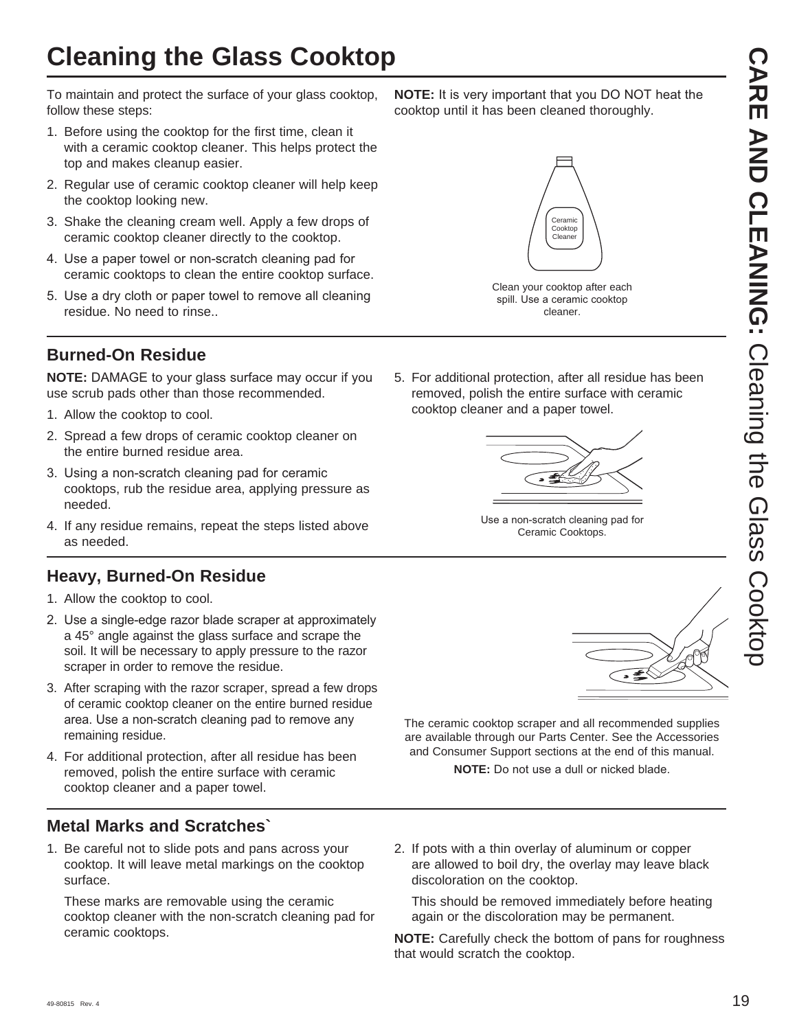To maintain and protect the surface of your glass cooktop, follow these steps:

- 1. Before using the cooktop for the first time, clean it with a ceramic cooktop cleaner. This helps protect the top and makes cleanup easier.
- 2. Regular use of ceramic cooktop cleaner will help keep the cooktop looking new.
- 3. Shake the cleaning cream well. Apply a few drops of ceramic cooktop cleaner directly to the cooktop.
- 4. Use a paper towel or non-scratch cleaning pad for ceramic cooktops to clean the entire cooktop surface.
- 5. Use a dry cloth or paper towel to remove all cleaning residue. No need to rinse..

#### **Burned-On Residue**

**NOTE:** DAMAGE to your glass surface may occur if you use scrub pads other than those recommended.

- 1. Allow the cooktop to cool.
- 2. Spread a few drops of ceramic cooktop cleaner on the entire burned residue area.
- 3. Using a non-scratch cleaning pad for ceramic cooktops, rub the residue area, applying pressure as needed.
- 4. If any residue remains, repeat the steps listed above as needed.

#### **Heavy, Burned-On Residue**

- 1. Allow the cooktop to cool.
- 2. Use a single-edge razor blade scraper at approximately a 45° angle against the glass surface and scrape the soil. It will be necessary to apply pressure to the razor scraper in order to remove the residue.
- 3. After scraping with the razor scraper, spread a few drops of ceramic cooktop cleaner on the entire burned residue area. Use a non-scratch cleaning pad to remove any remaining residue.
- 4. For additional protection, after all residue has been removed, polish the entire surface with ceramic cooktop cleaner and a paper towel.

#### **Metal Marks and Scratches`**

1. Be careful not to slide pots and pans across your cooktop. It will leave metal markings on the cooktop surface.

 These marks are removable using the ceramic cooktop cleaner with the non-scratch cleaning pad for ceramic cooktops.

**NOTE:** It is very important that you DO NOT heat the cooktop until it has been cleaned thoroughly.



Clean your cooktop after each spill. Use a ceramic cooktop cleaner.

5. For additional protection, after all residue has been removed, polish the entire surface with ceramic cooktop cleaner and a paper towel.



Use a non-scratch cleaning pad for Ceramic Cooktops.



The ceramic cooktop scraper and all recommended supplies are available through our Parts Center. See the Accessories and Consumer Support sections at the end of this manual. **NOTE:** Do not use a dull or nicked blade.

2. If pots with a thin overlay of aluminum or copper are allowed to boil dry, the overlay may leave black discoloration on the cooktop.

 This should be removed immediately before heating again or the discoloration may be permanent.

**NOTE:** Carefully check the bottom of pans for roughness that would scratch the cooktop.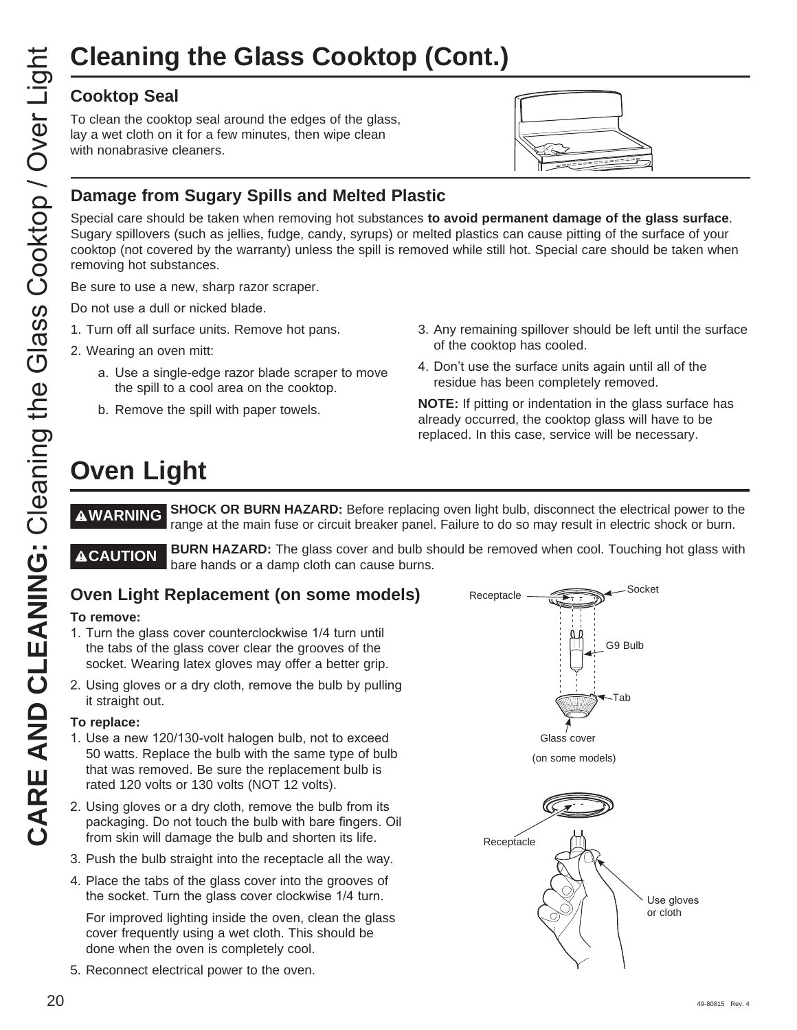## **Cleaning the Glass Cooktop (Cont.)**

#### **Cooktop Seal**

To clean the cooktop seal around the edges of the glass, lay a wet cloth on it for a few minutes, then wipe clean with nonabrasive cleaners.



#### **Damage from Sugary Spills and Melted Plastic**

Special care should be taken when removing hot substances **to avoid permanent damage of the glass surface**. Sugary spillovers (such as jellies, fudge, candy, syrups) or melted plastics can cause pitting of the surface of your cooktop (not covered by the warranty) unless the spill is removed while still hot. Special care should be taken when removing hot substances.

Be sure to use a new, sharp razor scraper.

Do not use a dull or nicked blade.

- 1. Turn off all surface units. Remove hot pans.
- 2. Wearing an oven mitt:
	- a. Use a single-edge razor blade scraper to move the spill to a cool area on the cooktop.
	- b. Remove the spill with paper towels.
- 3. Any remaining spillover should be left until the surface of the cooktop has cooled.
- 4. Don't use the surface units again until all of the residue has been completely removed.

**NOTE:** If pitting or indentation in the glass surface has already occurred, the cooktop glass will have to be replaced. In this case, service will be necessary.

**WARNING SHOCK OR BURN HAZARD:** Before replacing oven light bulb, disconnect the electrical power to the range at the main fuse or circuit breaker panel. Failure to do so may result in electric shock or burn.

**ACAUTION** BURN HAZARD: The glass cover and bulb should be removed when cool. Touching hot glass with bare hands or a damp cloth can cause burns.

#### **Oven Light Replacement (on some models)**

#### **To remove:**

- 1. Turn the glass cover counterclockwise 1/4 turn until the tabs of the glass cover clear the grooves of the socket. Wearing latex gloves may offer a better grip.
- 2. Using gloves or a dry cloth, remove the bulb by pulling it straight out.

#### **To replace:**

- 1. Use a new 120/130-volt halogen bulb, not to exceed 50 watts. Replace the bulb with the same type of bulb that was removed. Be sure the replacement bulb is rated 120 volts or 130 volts (NOT 12 volts).
- 2. Using gloves or a dry cloth, remove the bulb from its packaging. Do not touch the bulb with bare fingers. Oil from skin will damage the bulb and shorten its life.
- 3. Push the bulb straight into the receptacle all the way.
- 4. Place the tabs of the glass cover into the grooves of the socket. Turn the glass cover clockwise 1/4 turn.

 For improved lighting inside the oven, clean the glass cover frequently using a wet cloth. This should be done when the oven is completely cool.

5. Reconnect electrical power to the oven.

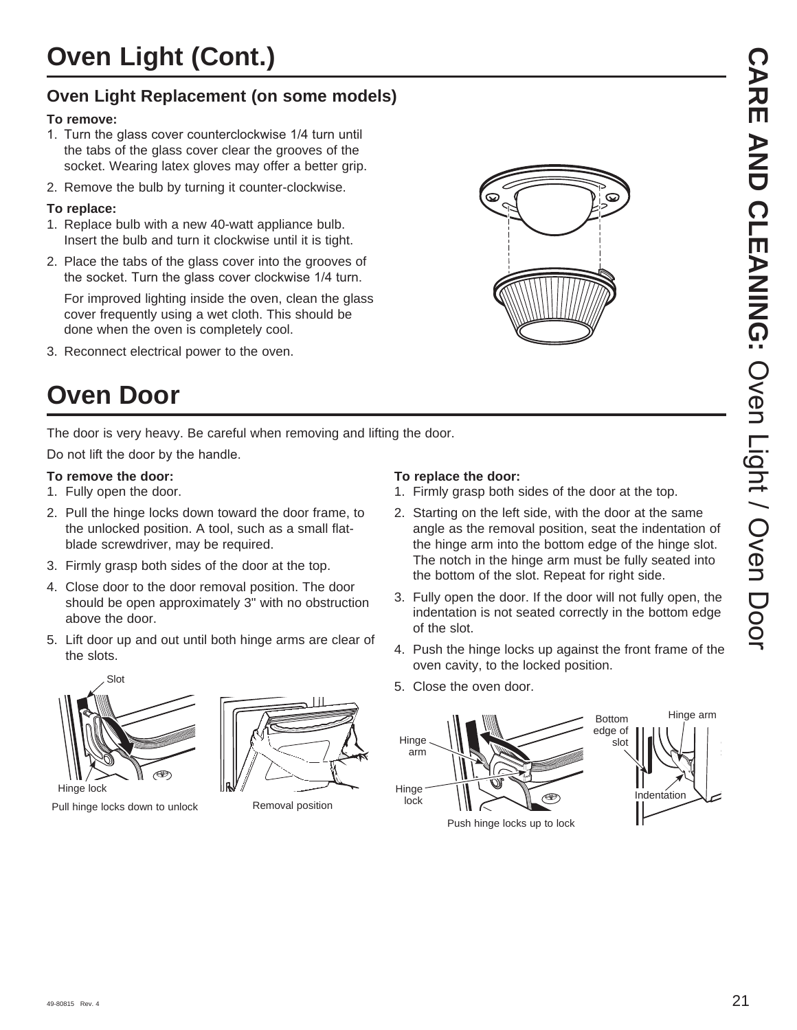### **Oven Light Replacement (on some models)**

#### **To remove:**

- 1. Turn the glass cover counterclockwise 1/4 turn until the tabs of the glass cover clear the grooves of the socket. Wearing latex gloves may offer a better grip.
- 2. Remove the bulb by turning it counter-clockwise.

#### **To replace:**

- 1. Replace bulb with a new 40-watt appliance bulb. Insert the bulb and turn it clockwise until it is tight.
- 2. Place the tabs of the glass cover into the grooves of the socket. Turn the glass cover clockwise 1/4 turn.

For improved lighting inside the oven, clean the glass cover frequently using a wet cloth. This should be done when the oven is completely cool.

3. Reconnect electrical power to the oven.



The door is very heavy. Be careful when removing and lifting the door.

Do not lift the door by the handle.

#### **To remove the door:**

- 1. Fully open the door.
- 2. Pull the hinge locks down toward the door frame, to the unlocked position. A tool, such as a small flatblade screwdriver, may be required.
- 3. Firmly grasp both sides of the door at the top.
- 4. Close door to the door removal position. The door should be open approximately 3" with no obstruction above the door.
- 5. Lift door up and out until both hinge arms are clear of the slots.



Removal position Pull hinge locks down to unlock

#### **To replace the door:**

- 1. Firmly grasp both sides of the door at the top.
- 2. Starting on the left side, with the door at the same angle as the removal position, seat the indentation of the hinge arm into the bottom edge of the hinge slot. The notch in the hinge arm must be fully seated into the bottom of the slot. Repeat for right side.

 $\bf \Omega$ 

- 3. Fully open the door. If the door will not fully open, the indentation is not seated correctly in the bottom edge of the slot.
- 4. Push the hinge locks up against the front frame of the oven cavity, to the locked position.
- 5. Close the oven door.

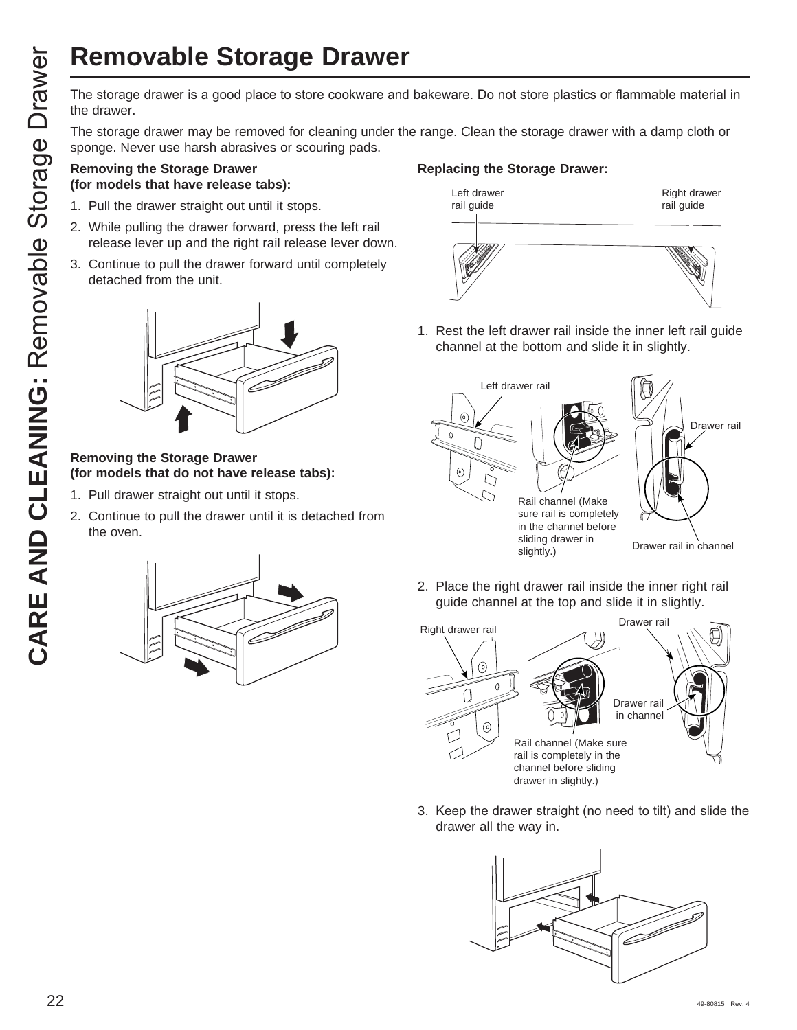# **Removable Storage Drawer**

the drawer.

The storage drawer may be removed for cleaning under the range. Clean the storage drawer with a damp cloth or sponge. Never use harsh abrasives or scouring pads.

#### **Removing the Storage Drawer (for models that have release tabs):**

- 1. Pull the drawer straight out until it stops.
- 2. While pulling the drawer forward, press the left rail release lever up and the right rail release lever down.
- 3. Continue to pull the drawer forward until completely detached from the unit.



#### **Removing the Storage Drawer (for models that do not have release tabs):**

- 1. Pull drawer straight out until it stops.
- 2. Continue to pull the drawer until it is detached from the oven.



#### **Replacing the Storage Drawer:**



1. Rest the left drawer rail inside the inner left rail guide channel at the bottom and slide it in slightly.



2. Place the right drawer rail inside the inner right rail guide channel at the top and slide it in slightly.



3. Keep the drawer straight (no need to tilt) and slide the drawer all the way in.

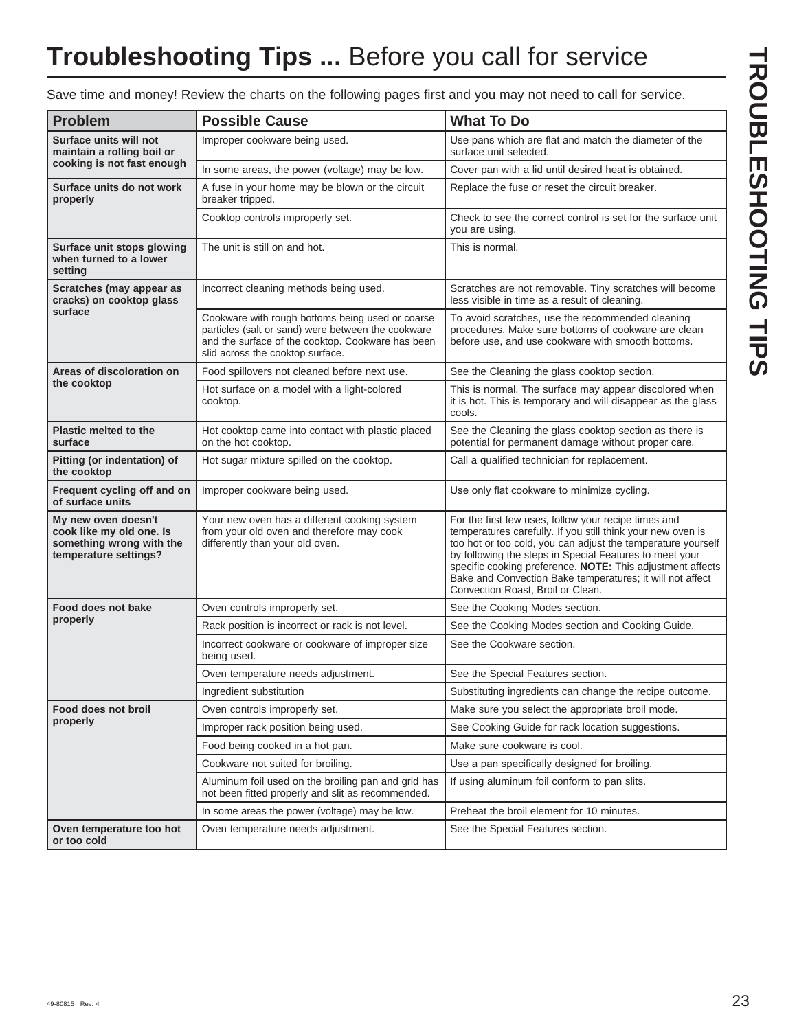## **Troubleshooting Tips ...** Before you call for service

Save time and money! Review the charts on the following pages first and you may not need to call for service.

| <b>Problem</b>                                                                                       | <b>Possible Cause</b>                                                                                                                                                                           | <b>What To Do</b>                                                                                                                                                                                                                                                                                                                                                                                              |
|------------------------------------------------------------------------------------------------------|-------------------------------------------------------------------------------------------------------------------------------------------------------------------------------------------------|----------------------------------------------------------------------------------------------------------------------------------------------------------------------------------------------------------------------------------------------------------------------------------------------------------------------------------------------------------------------------------------------------------------|
| Surface units will not<br>maintain a rolling boil or                                                 | Improper cookware being used.                                                                                                                                                                   | Use pans which are flat and match the diameter of the<br>surface unit selected.                                                                                                                                                                                                                                                                                                                                |
| cooking is not fast enough                                                                           | In some areas, the power (voltage) may be low.                                                                                                                                                  | Cover pan with a lid until desired heat is obtained.                                                                                                                                                                                                                                                                                                                                                           |
| Surface units do not work<br>properly                                                                | A fuse in your home may be blown or the circuit<br>breaker tripped.                                                                                                                             | Replace the fuse or reset the circuit breaker.                                                                                                                                                                                                                                                                                                                                                                 |
|                                                                                                      | Cooktop controls improperly set.                                                                                                                                                                | Check to see the correct control is set for the surface unit<br>you are using.                                                                                                                                                                                                                                                                                                                                 |
| Surface unit stops glowing<br>when turned to a lower<br>setting                                      | The unit is still on and hot.                                                                                                                                                                   | This is normal.                                                                                                                                                                                                                                                                                                                                                                                                |
| Scratches (may appear as<br>cracks) on cooktop glass                                                 | Incorrect cleaning methods being used.                                                                                                                                                          | Scratches are not removable. Tiny scratches will become<br>less visible in time as a result of cleaning.                                                                                                                                                                                                                                                                                                       |
| surface                                                                                              | Cookware with rough bottoms being used or coarse<br>particles (salt or sand) were between the cookware<br>and the surface of the cooktop. Cookware has been<br>slid across the cooktop surface. | To avoid scratches, use the recommended cleaning<br>procedures. Make sure bottoms of cookware are clean<br>before use, and use cookware with smooth bottoms.                                                                                                                                                                                                                                                   |
| Areas of discoloration on                                                                            | Food spillovers not cleaned before next use.                                                                                                                                                    | See the Cleaning the glass cooktop section.                                                                                                                                                                                                                                                                                                                                                                    |
| the cooktop                                                                                          | Hot surface on a model with a light-colored<br>cooktop.                                                                                                                                         | This is normal. The surface may appear discolored when<br>it is hot. This is temporary and will disappear as the glass<br>cools.                                                                                                                                                                                                                                                                               |
| Plastic melted to the<br>surface                                                                     | Hot cooktop came into contact with plastic placed<br>on the hot cooktop.                                                                                                                        | See the Cleaning the glass cooktop section as there is<br>potential for permanent damage without proper care.                                                                                                                                                                                                                                                                                                  |
| Pitting (or indentation) of<br>the cooktop                                                           | Hot sugar mixture spilled on the cooktop.                                                                                                                                                       | Call a qualified technician for replacement.                                                                                                                                                                                                                                                                                                                                                                   |
| Frequent cycling off and on<br>of surface units                                                      | Improper cookware being used.                                                                                                                                                                   | Use only flat cookware to minimize cycling.                                                                                                                                                                                                                                                                                                                                                                    |
| My new oven doesn't<br>cook like my old one. Is<br>something wrong with the<br>temperature settings? | Your new oven has a different cooking system<br>from your old oven and therefore may cook<br>differently than your old oven.                                                                    | For the first few uses, follow your recipe times and<br>temperatures carefully. If you still think your new oven is<br>too hot or too cold, you can adjust the temperature yourself<br>by following the steps in Special Features to meet your<br>specific cooking preference. NOTE: This adjustment affects<br>Bake and Convection Bake temperatures; it will not affect<br>Convection Roast, Broil or Clean. |
| Food does not bake                                                                                   | Oven controls improperly set.                                                                                                                                                                   | See the Cooking Modes section.                                                                                                                                                                                                                                                                                                                                                                                 |
| properly                                                                                             | Rack position is incorrect or rack is not level.                                                                                                                                                | See the Cooking Modes section and Cooking Guide.                                                                                                                                                                                                                                                                                                                                                               |
|                                                                                                      | Incorrect cookware or cookware of improper size<br>being used.                                                                                                                                  | See the Cookware section.                                                                                                                                                                                                                                                                                                                                                                                      |
|                                                                                                      | Oven temperature needs adjustment.                                                                                                                                                              | See the Special Features section.                                                                                                                                                                                                                                                                                                                                                                              |
|                                                                                                      | Ingredient substitution                                                                                                                                                                         | Substituting ingredients can change the recipe outcome.                                                                                                                                                                                                                                                                                                                                                        |
| Food does not broil                                                                                  | Oven controls improperly set.                                                                                                                                                                   | Make sure you select the appropriate broil mode.                                                                                                                                                                                                                                                                                                                                                               |
| properly                                                                                             | Improper rack position being used.                                                                                                                                                              | See Cooking Guide for rack location suggestions.                                                                                                                                                                                                                                                                                                                                                               |
|                                                                                                      | Food being cooked in a hot pan.                                                                                                                                                                 | Make sure cookware is cool.                                                                                                                                                                                                                                                                                                                                                                                    |
|                                                                                                      | Cookware not suited for broiling.                                                                                                                                                               | Use a pan specifically designed for broiling.                                                                                                                                                                                                                                                                                                                                                                  |
|                                                                                                      | Aluminum foil used on the broiling pan and grid has<br>not been fitted properly and slit as recommended.                                                                                        | If using aluminum foil conform to pan slits.                                                                                                                                                                                                                                                                                                                                                                   |
|                                                                                                      | In some areas the power (voltage) may be low.                                                                                                                                                   | Preheat the broil element for 10 minutes.                                                                                                                                                                                                                                                                                                                                                                      |
| Oven temperature too hot<br>or too cold                                                              | Oven temperature needs adjustment.                                                                                                                                                              | See the Special Features section.                                                                                                                                                                                                                                                                                                                                                                              |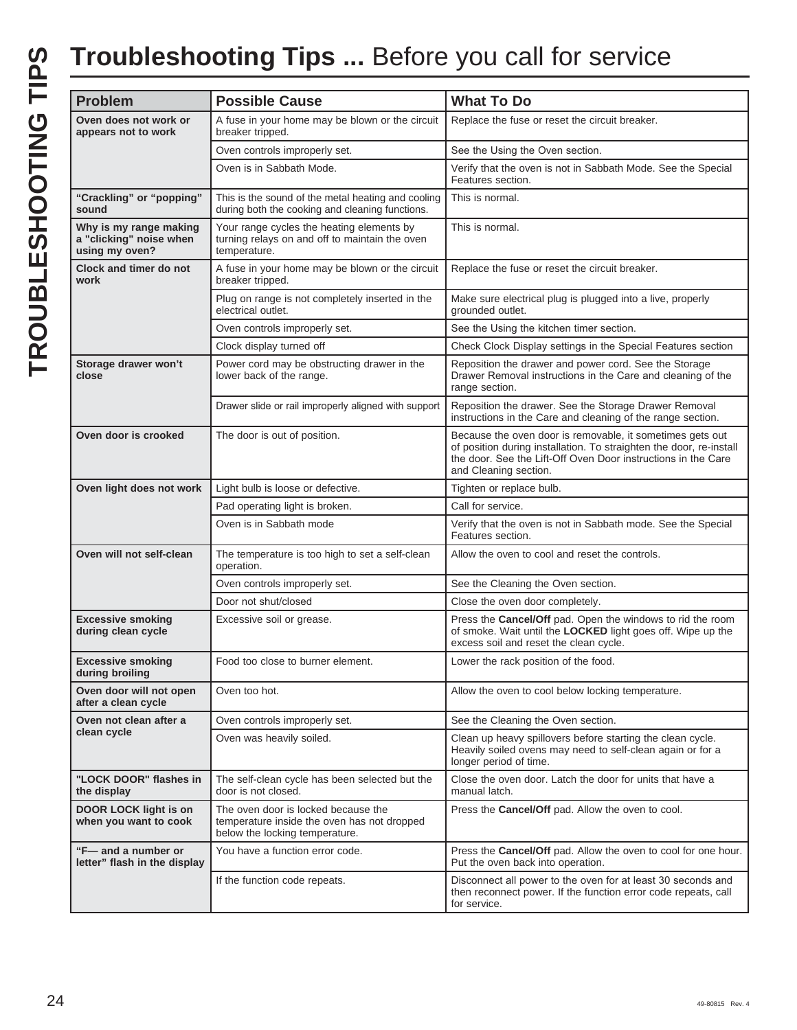## **Troubleshooting Tips ...** Before you call for service

| <b>Problem</b>                                                      | <b>Possible Cause</b>                                                                                                | <b>What To Do</b>                                                                                                                                                                                                          |
|---------------------------------------------------------------------|----------------------------------------------------------------------------------------------------------------------|----------------------------------------------------------------------------------------------------------------------------------------------------------------------------------------------------------------------------|
| Oven does not work or                                               | A fuse in your home may be blown or the circuit                                                                      | Replace the fuse or reset the circuit breaker.                                                                                                                                                                             |
| appears not to work                                                 | breaker tripped.                                                                                                     |                                                                                                                                                                                                                            |
|                                                                     | Oven controls improperly set.                                                                                        | See the Using the Oven section.                                                                                                                                                                                            |
|                                                                     | Oven is in Sabbath Mode.                                                                                             | Verify that the oven is not in Sabbath Mode. See the Special<br>Features section.                                                                                                                                          |
| "Crackling" or "popping"<br>sound                                   | This is the sound of the metal heating and cooling<br>during both the cooking and cleaning functions.                | This is normal.                                                                                                                                                                                                            |
| Why is my range making<br>a "clicking" noise when<br>using my oven? | Your range cycles the heating elements by<br>turning relays on and off to maintain the oven<br>temperature.          | This is normal.                                                                                                                                                                                                            |
| Clock and timer do not<br>work                                      | A fuse in your home may be blown or the circuit<br>breaker tripped.                                                  | Replace the fuse or reset the circuit breaker.                                                                                                                                                                             |
|                                                                     | Plug on range is not completely inserted in the<br>electrical outlet.                                                | Make sure electrical plug is plugged into a live, properly<br>grounded outlet.                                                                                                                                             |
|                                                                     | Oven controls improperly set.                                                                                        | See the Using the kitchen timer section.                                                                                                                                                                                   |
|                                                                     | Clock display turned off                                                                                             | Check Clock Display settings in the Special Features section                                                                                                                                                               |
| Storage drawer won't<br>close                                       | Power cord may be obstructing drawer in the<br>lower back of the range.                                              | Reposition the drawer and power cord. See the Storage<br>Drawer Removal instructions in the Care and cleaning of the<br>range section.                                                                                     |
|                                                                     | Drawer slide or rail improperly aligned with support                                                                 | Reposition the drawer. See the Storage Drawer Removal<br>instructions in the Care and cleaning of the range section.                                                                                                       |
| Oven door is crooked                                                | The door is out of position.                                                                                         | Because the oven door is removable, it sometimes gets out<br>of position during installation. To straighten the door, re-install<br>the door. See the Lift-Off Oven Door instructions in the Care<br>and Cleaning section. |
| Oven light does not work                                            | Light bulb is loose or defective.                                                                                    | Tighten or replace bulb.                                                                                                                                                                                                   |
|                                                                     | Pad operating light is broken.                                                                                       | Call for service.                                                                                                                                                                                                          |
|                                                                     | Oven is in Sabbath mode                                                                                              | Verify that the oven is not in Sabbath mode. See the Special<br>Features section.                                                                                                                                          |
| Oven will not self-clean                                            | The temperature is too high to set a self-clean<br>operation.                                                        | Allow the oven to cool and reset the controls.                                                                                                                                                                             |
|                                                                     | Oven controls improperly set.                                                                                        | See the Cleaning the Oven section.                                                                                                                                                                                         |
|                                                                     | Door not shut/closed                                                                                                 | Close the oven door completely.                                                                                                                                                                                            |
| <b>Excessive smoking</b><br>during clean cycle                      | Excessive soil or grease.                                                                                            | Press the Cancel/Off pad. Open the windows to rid the room<br>of smoke. Wait until the LOCKED light goes off. Wipe up the<br>excess soil and reset the clean cycle.                                                        |
| <b>Excessive smoking</b><br>during broiling                         | Food too close to burner element.                                                                                    | Lower the rack position of the food.                                                                                                                                                                                       |
| Oven door will not open<br>after a clean cycle                      | Oven too hot.                                                                                                        | Allow the oven to cool below locking temperature.                                                                                                                                                                          |
| Oven not clean after a                                              | Oven controls improperly set.                                                                                        | See the Cleaning the Oven section.                                                                                                                                                                                         |
| clean cycle                                                         | Oven was heavily soiled.                                                                                             | Clean up heavy spillovers before starting the clean cycle.<br>Heavily soiled ovens may need to self-clean again or for a<br>longer period of time.                                                                         |
| "LOCK DOOR" flashes in<br>the display                               | The self-clean cycle has been selected but the<br>door is not closed.                                                | Close the oven door. Latch the door for units that have a<br>manual latch.                                                                                                                                                 |
| <b>DOOR LOCK light is on</b><br>when you want to cook               | The oven door is locked because the<br>temperature inside the oven has not dropped<br>below the locking temperature. | Press the Cancel/Off pad. Allow the oven to cool.                                                                                                                                                                          |
| "F-and a number or<br>letter" flash in the display                  | You have a function error code.                                                                                      | Press the Cancel/Off pad. Allow the oven to cool for one hour.<br>Put the oven back into operation.                                                                                                                        |
|                                                                     | If the function code repeats.                                                                                        | Disconnect all power to the oven for at least 30 seconds and<br>then reconnect power. If the function error code repeats, call<br>for service.                                                                             |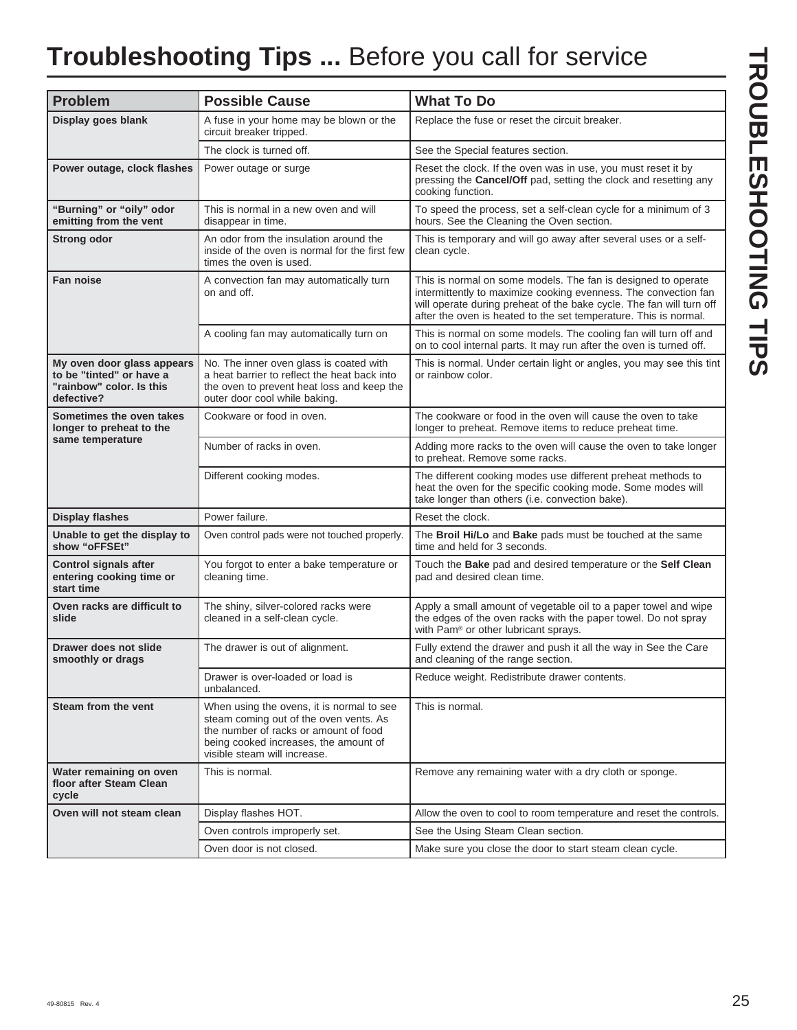## **Troubleshooting Tips ...** Before you call for service

| <b>Problem</b>                                                                                   | <b>Possible Cause</b>                                                                                                                                                                                 | <b>What To Do</b>                                                                                                                                                                                                                                                            |  |
|--------------------------------------------------------------------------------------------------|-------------------------------------------------------------------------------------------------------------------------------------------------------------------------------------------------------|------------------------------------------------------------------------------------------------------------------------------------------------------------------------------------------------------------------------------------------------------------------------------|--|
| Display goes blank                                                                               | A fuse in your home may be blown or the<br>circuit breaker tripped.                                                                                                                                   | Replace the fuse or reset the circuit breaker.                                                                                                                                                                                                                               |  |
|                                                                                                  | The clock is turned off.                                                                                                                                                                              | See the Special features section.                                                                                                                                                                                                                                            |  |
| Power outage, clock flashes                                                                      | Power outage or surge                                                                                                                                                                                 | Reset the clock. If the oven was in use, you must reset it by<br>pressing the Cancel/Off pad, setting the clock and resetting any<br>cooking function.                                                                                                                       |  |
| "Burning" or "oily" odor<br>emitting from the vent                                               | This is normal in a new oven and will<br>disappear in time.                                                                                                                                           | To speed the process, set a self-clean cycle for a minimum of 3<br>hours. See the Cleaning the Oven section.                                                                                                                                                                 |  |
| <b>Strong odor</b>                                                                               | An odor from the insulation around the<br>inside of the oven is normal for the first few<br>times the oven is used.                                                                                   | This is temporary and will go away after several uses or a self-<br>clean cycle.                                                                                                                                                                                             |  |
| Fan noise                                                                                        | A convection fan may automatically turn<br>on and off.                                                                                                                                                | This is normal on some models. The fan is designed to operate<br>intermittently to maximize cooking evenness. The convection fan<br>will operate during preheat of the bake cycle. The fan will turn off<br>after the oven is heated to the set temperature. This is normal. |  |
|                                                                                                  | A cooling fan may automatically turn on                                                                                                                                                               | This is normal on some models. The cooling fan will turn off and<br>on to cool internal parts. It may run after the oven is turned off.                                                                                                                                      |  |
| My oven door glass appears<br>to be "tinted" or have a<br>"rainbow" color. Is this<br>defective? | No. The inner oven glass is coated with<br>a heat barrier to reflect the heat back into<br>the oven to prevent heat loss and keep the<br>outer door cool while baking.                                | This is normal. Under certain light or angles, you may see this tint<br>or rainbow color.                                                                                                                                                                                    |  |
| Sometimes the oven takes<br>longer to preheat to the                                             | Cookware or food in oven.                                                                                                                                                                             | The cookware or food in the oven will cause the oven to take<br>longer to preheat. Remove items to reduce preheat time.                                                                                                                                                      |  |
| same temperature                                                                                 | Number of racks in oven.                                                                                                                                                                              | Adding more racks to the oven will cause the oven to take longer<br>to preheat. Remove some racks.                                                                                                                                                                           |  |
|                                                                                                  | Different cooking modes.                                                                                                                                                                              | The different cooking modes use different preheat methods to<br>heat the oven for the specific cooking mode. Some modes will<br>take longer than others (i.e. convection bake).                                                                                              |  |
| <b>Display flashes</b>                                                                           | Power failure.                                                                                                                                                                                        | Reset the clock.                                                                                                                                                                                                                                                             |  |
| Unable to get the display to<br>show "oFFSEt"                                                    | Oven control pads were not touched properly.                                                                                                                                                          | The Broil Hi/Lo and Bake pads must be touched at the same<br>time and held for 3 seconds.                                                                                                                                                                                    |  |
| <b>Control signals after</b><br>entering cooking time or<br>start time                           | You forgot to enter a bake temperature or<br>cleaning time.                                                                                                                                           | Touch the Bake pad and desired temperature or the Self Clean<br>pad and desired clean time.                                                                                                                                                                                  |  |
| Oven racks are difficult to<br>slide                                                             | The shiny, silver-colored racks were<br>cleaned in a self-clean cycle.                                                                                                                                | Apply a small amount of vegetable oil to a paper towel and wipe<br>the edges of the oven racks with the paper towel. Do not spray<br>with Pam® or other lubricant sprays.                                                                                                    |  |
| Drawer does not slide<br>smoothly or drags                                                       | The drawer is out of alignment.                                                                                                                                                                       | Fully extend the drawer and push it all the way in See the Care<br>and cleaning of the range section.                                                                                                                                                                        |  |
|                                                                                                  | Drawer is over-loaded or load is<br>unbalanced.                                                                                                                                                       | Reduce weight. Redistribute drawer contents.                                                                                                                                                                                                                                 |  |
| Steam from the vent                                                                              | When using the ovens, it is normal to see<br>steam coming out of the oven vents. As<br>the number of racks or amount of food<br>being cooked increases, the amount of<br>visible steam will increase. | This is normal.                                                                                                                                                                                                                                                              |  |
| Water remaining on oven<br>floor after Steam Clean<br>cycle                                      | This is normal.                                                                                                                                                                                       | Remove any remaining water with a dry cloth or sponge.                                                                                                                                                                                                                       |  |
| Oven will not steam clean                                                                        | Display flashes HOT.                                                                                                                                                                                  | Allow the oven to cool to room temperature and reset the controls.                                                                                                                                                                                                           |  |
|                                                                                                  | Oven controls improperly set.                                                                                                                                                                         | See the Using Steam Clean section.                                                                                                                                                                                                                                           |  |
|                                                                                                  | Oven door is not closed.                                                                                                                                                                              | Make sure you close the door to start steam clean cycle.                                                                                                                                                                                                                     |  |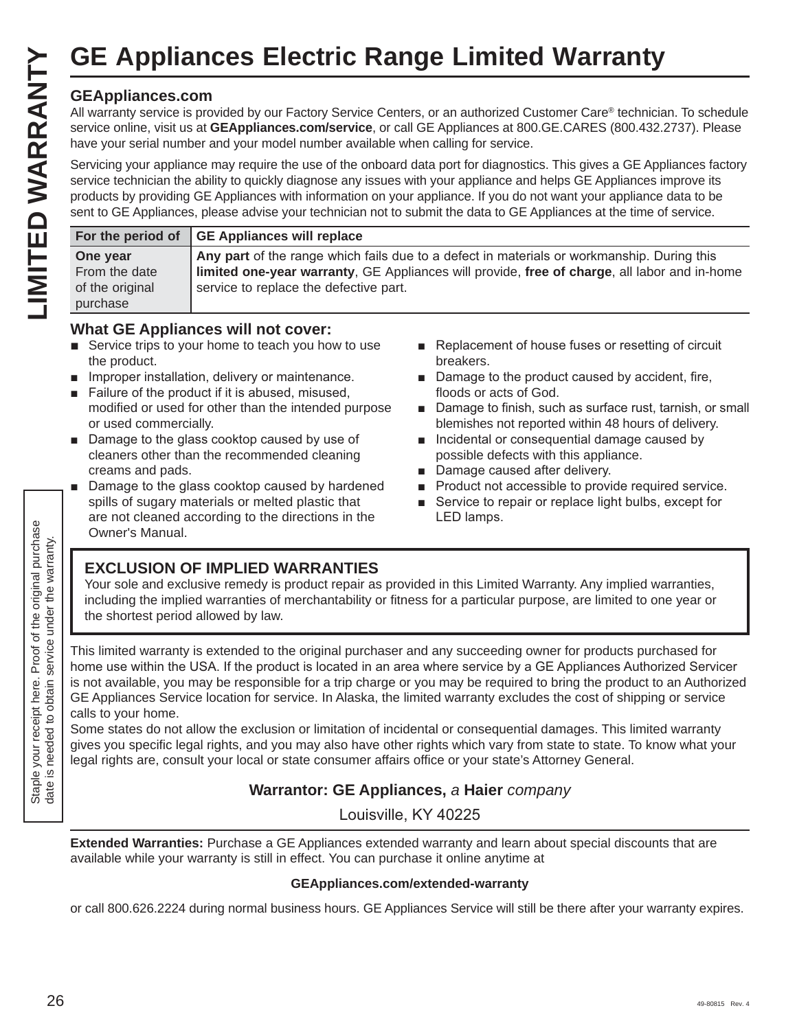#### **GEAppliances.com**

|                                                                          |                                                                                        |                                                                                                                                                                                                                                                                                                                                                                                                                                                                                                                             | <b>GE Appliances Electric Range Limited Warranty</b>                                                                                                                                                                                                                                                                                                                                                                                                                                                                                                                                                                                                                                                                                                 |
|--------------------------------------------------------------------------|----------------------------------------------------------------------------------------|-----------------------------------------------------------------------------------------------------------------------------------------------------------------------------------------------------------------------------------------------------------------------------------------------------------------------------------------------------------------------------------------------------------------------------------------------------------------------------------------------------------------------------|------------------------------------------------------------------------------------------------------------------------------------------------------------------------------------------------------------------------------------------------------------------------------------------------------------------------------------------------------------------------------------------------------------------------------------------------------------------------------------------------------------------------------------------------------------------------------------------------------------------------------------------------------------------------------------------------------------------------------------------------------|
| LIMITED WARRANTY                                                         | <b>GEAppliances.com</b>                                                                | have your serial number and your model number available when calling for service.                                                                                                                                                                                                                                                                                                                                                                                                                                           | All warranty service is provided by our Factory Service Centers, or an authorized Customer Care® technician. To schedule<br>service online, visit us at GEAppliances.com/service, or call GE Appliances at 800.GE.CARES (800.432.2737). Please<br>Servicing your appliance may require the use of the onboard data port for diagnostics. This gives a GE Appliances factory<br>service technician the ability to quickly diagnose any issues with your appliance and helps GE Appliances improve its<br>products by providing GE Appliances with information on your appliance. If you do not want your appliance data to be<br>sent to GE Appliances, please advise your technician not to submit the data to GE Appliances at the time of service. |
|                                                                          | For the period of                                                                      | <b>GE Appliances will replace</b>                                                                                                                                                                                                                                                                                                                                                                                                                                                                                           |                                                                                                                                                                                                                                                                                                                                                                                                                                                                                                                                                                                                                                                                                                                                                      |
|                                                                          | One year<br>From the date<br>of the original<br>purchase                               | service to replace the defective part.                                                                                                                                                                                                                                                                                                                                                                                                                                                                                      | Any part of the range which fails due to a defect in materials or workmanship. During this<br>limited one-year warranty, GE Appliances will provide, free of charge, all labor and in-home                                                                                                                                                                                                                                                                                                                                                                                                                                                                                                                                                           |
|                                                                          | the product.<br>ш<br>or used commercially.<br>Е<br>creams and pads.<br>Owner's Manual. | <b>What GE Appliances will not cover:</b><br>Service trips to your home to teach you how to use<br>Improper installation, delivery or maintenance.<br>Failure of the product if it is abused, misused,<br>modified or used for other than the intended purpose<br>Damage to the glass cooktop caused by use of<br>cleaners other than the recommended cleaning<br>Damage to the glass cooktop caused by hardened<br>spills of sugary materials or melted plastic that<br>are not cleaned according to the directions in the | Replacement of house fuses or resetting of circuit<br>breakers.<br>■ Damage to the product caused by accident, fire,<br>floods or acts of God.<br>Damage to finish, such as surface rust, tarnish, or small<br>blemishes not reported within 48 hours of delivery.<br>Incidental or consequential damage caused by<br>possible defects with this appliance.<br>Damage caused after delivery.<br>Product not accessible to provide required service.<br>Service to repair or replace light bulbs, except for<br>LED lamps.                                                                                                                                                                                                                            |
| the original purchase<br>under the warranty.                             | the shortest period allowed by law.                                                    | <b>EXCLUSION OF IMPLIED WARRANTIES</b>                                                                                                                                                                                                                                                                                                                                                                                                                                                                                      | Your sole and exclusive remedy is product repair as provided in this Limited Warranty. Any implied warranties,<br>including the implied warranties of merchantability or fitness for a particular purpose, are limited to one year or                                                                                                                                                                                                                                                                                                                                                                                                                                                                                                                |
| Staple your receipt here. Proof of<br>date is needed to obtain service u | calls to your home.                                                                    |                                                                                                                                                                                                                                                                                                                                                                                                                                                                                                                             | This limited warranty is extended to the original purchaser and any succeeding owner for products purchased for<br>home use within the USA. If the product is located in an area where service by a GE Appliances Authorized Servicer<br>is not available, you may be responsible for a trip charge or you may be required to bring the product to an Authorized<br>GE Appliances Service location for service. In Alaska, the limited warranty excludes the cost of shipping or service<br>Some states do not allow the exclusion or limitation of incidental or consequential damages. This limited warranty<br>gives you specific legal rights, and you may also have other rights which vary from state to state. To know what your              |
|                                                                          |                                                                                        |                                                                                                                                                                                                                                                                                                                                                                                                                                                                                                                             | legal rights are, consult your local or state consumer affairs office or your state's Attorney General.<br>Warrantor: GE Appliances, a Haier company                                                                                                                                                                                                                                                                                                                                                                                                                                                                                                                                                                                                 |

#### **What GE Appliances will not cover:**

- Service trips to your home to teach you how to use the product.
- Improper installation, delivery or maintenance.
- Failure of the product if it is abused, misused, modified or used for other than the intended purpose or used commercially.
- Damage to the glass cooktop caused by use of cleaners other than the recommended cleaning creams and pads.
- Damage to the glass cooktop caused by hardened spills of sugary materials or melted plastic that are not cleaned according to the directions in the Owner's Manual.
- Replacement of house fuses or resetting of circuit breakers.
- $\blacksquare$  Damage to the product caused by accident, fire, floods or acts of God.
- Damage to finish, such as surface rust, tarnish, or small blemishes not reported within 48 hours of delivery.
- **n** Incidental or consequential damage caused by possible defects with this appliance.
- Damage caused after delivery.
- **Product not accessible to provide required service.**
- Service to repair or replace light bulbs, except for LED lamps.

#### **EXCLUSION OF IMPLIED WARRANTIES**

#### **Warrantor: GE Appliances,** a **Haier** company

Louisville, KY 40225

**Extended Warranties:** Purchase a GE Appliances extended warranty and learn about special discounts that are available while your warranty is still in effect. You can purchase it online anytime at

#### **GEAppliances.com/extended-warranty**

or call 800.626.2224 during normal business hours. GE Appliances Service will still be there after your warranty expires.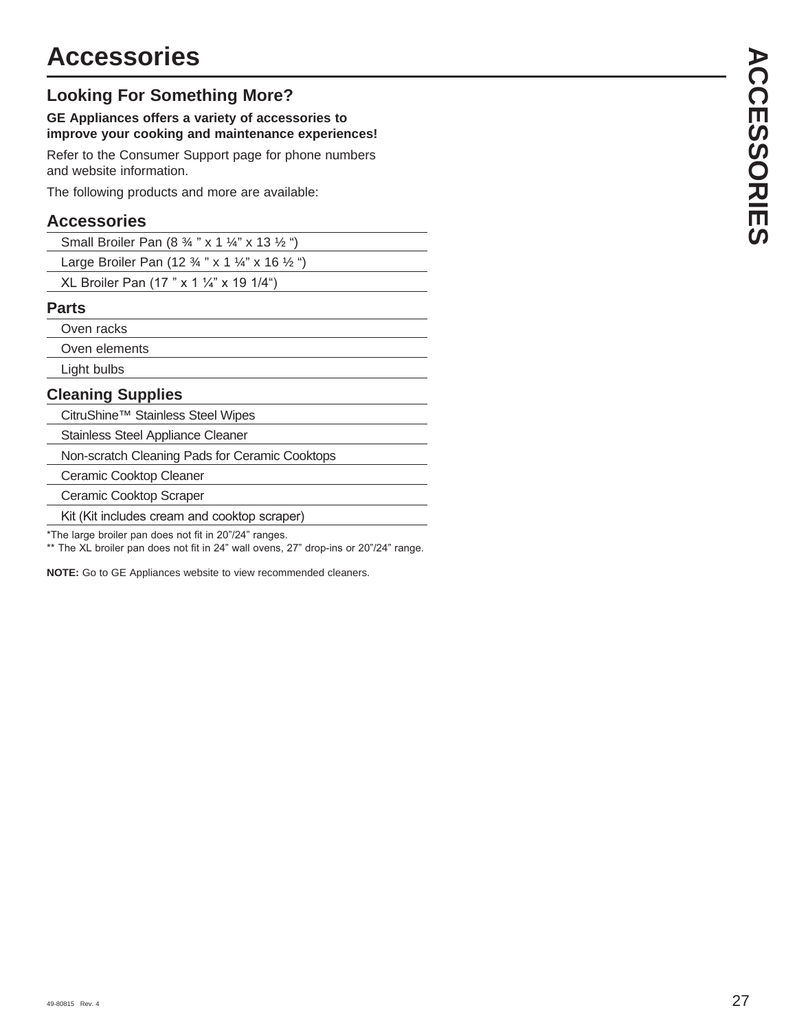### **Looking For Something More?**

#### **GE Appliances offers a variety of accessories to improve your cooking and maintenance experiences!**

Refer to the Consumer Support page for phone numbers and website information.

The following products and more are available:

#### **Accessories**

| Small Broiler Pan $(8 \frac{3}{4}$ " x 1 1/4" x 13 1/2 ") |  |
|-----------------------------------------------------------|--|
|-----------------------------------------------------------|--|

Large Broiler Pan (12 ¾ " x 1 ¼" x 16 ½ ")

XL Broiler Pan (17 " x 1  $\frac{1}{4}$ " x 19 1/4")

#### **Parts**

Oven racks

Oven elements

Light bulbs

#### **Cleaning Supplies**

CitruShine™ Stainless Steel Wipes

Stainless Steel Appliance Cleaner

Non-scratch Cleaning Pads for Ceramic Cooktops

Ceramic Cooktop Cleaner

Ceramic Cooktop Scraper

Kit (Kit includes cream and cooktop scraper)

\*The large broiler pan does not fit in 20"/24" ranges.

\*\* The XL broiler pan does not fit in 24" wall ovens, 27" drop-ins or 20"/24" range.

**NOTE:** Go to GE Appliances website to view recommended cleaners.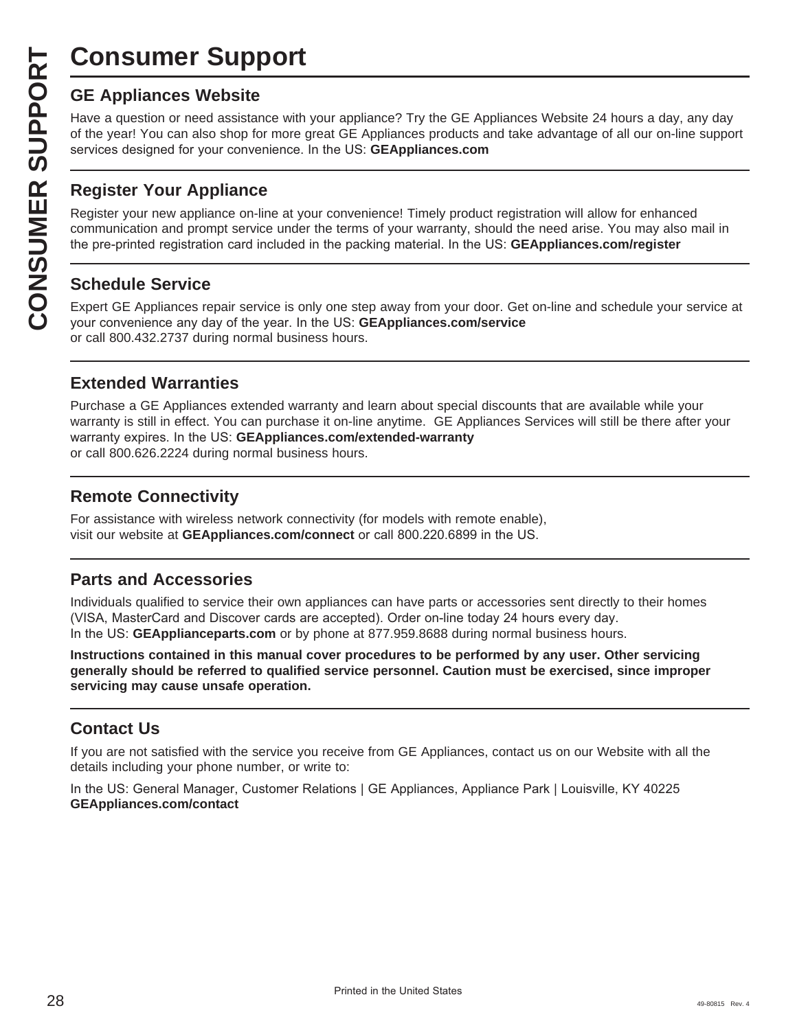## **Consumer Support**

Have a question or need assistance with your appliance? Try the GE Appliances Website 24 hours a day, any day of the year! You can also shop for more great GE Appliances products and take advantage of all our on-line support services designed for your convenience. In the US: GEAppliances.com

#### **Register Your Appliance**

**CONSUMER SUP**<br> **GE Appliances Website**<br>
Have a question or need assistar<br>
of the year! You can also shop for<br>
services designed for your conver<br> **CONSUMER Appliance OF Appliance on-**<br> **CONSUMER Appliance on-**<br> **CONSUMER A** Register your new appliance on-line at your convenience! Timely product registration will allow for enhanced communication and prompt service under the terms of your warranty, should the need arise. You may also mail in the pre-printed registration card included in the packing material. In the US: **GEAppliances.com/register** 

#### **Schedule Service**

Expert GE Appliances repair service is only one step away from your door. Get on-line and schedule your service at your convenience any day of the year. In the US: **GEAppliances.com/service** or call 800.432.2737 during normal business hours.

#### **Extended Warranties**

Purchase a GE Appliances extended warranty and learn about special discounts that are available while your warranty is still in effect. You can purchase it on-line anytime. GE Appliances Services will still be there after your warranty expires. In the US: GEAppliances.com/extended-warranty or call 800.626.2224 during normal business hours.

#### **Remote Connectivity**

For assistance with wireless network connectivity (for models with remote enable), visit our website at **GEAppliances.com/connect** or call 800.220.6899 in the US.

#### **Parts and Accessories**

Individuals qualified to service their own appliances can have parts or accessories sent directly to their homes (VISA, MasterCard and Discover cards are accepted). Order on-line today 24 hours every day. In the US: GEApplianceparts.com or by phone at 877.959.8688 during normal business hours.

**Instructions contained in this manual cover procedures to be performed by any user. Other servicing generally should be referred to qualified service personnel. Caution must be exercised, since improper servicing may cause unsafe operation.**

#### **Contact Us**

If you are not satisfied with the service you receive from GE Appliances, contact us on our Website with all the details including your phone number, or write to:

In the US: General Manager, Customer Relations | GE Appliances, Appliance Park | Louisville, KY 40225 **GEAppliances.com/contact**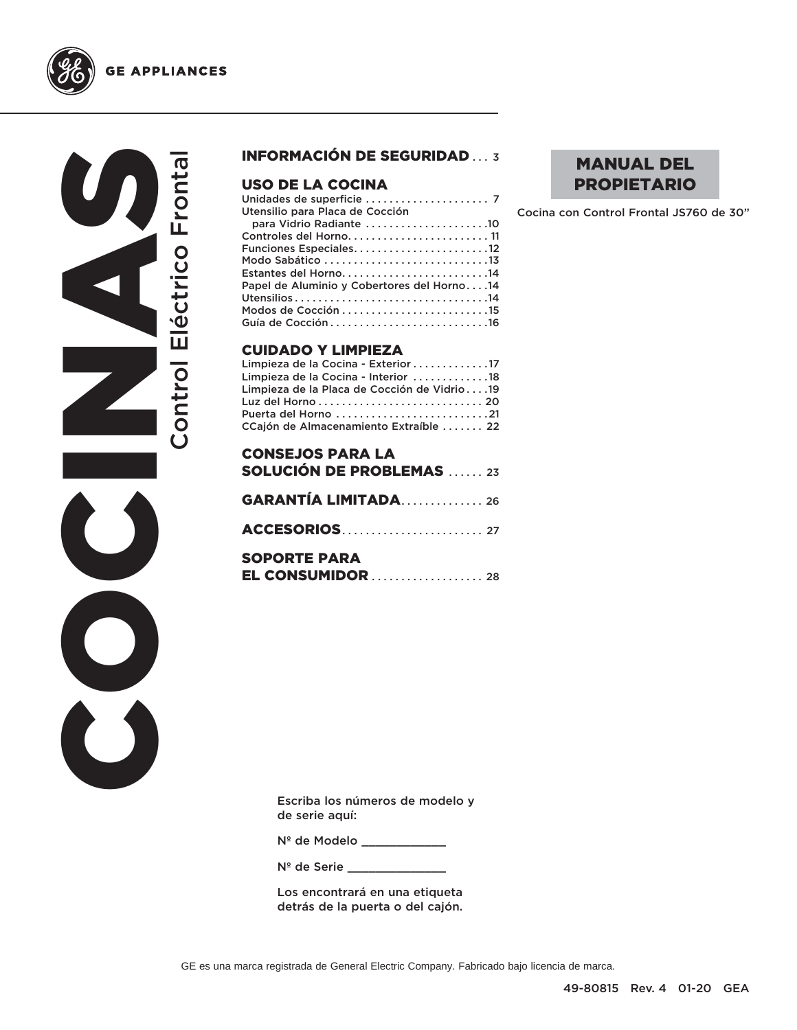



#### INFORMACIÓN DE SEGURIDAD ... 3

#### USO DE LA COCINA

| Utensilio para Placa de Cocción            |
|--------------------------------------------|
| para Vidrio Radiante 10                    |
| Controles del Horno 11                     |
| Funciones Especiales12                     |
|                                            |
| Estantes del Horno14                       |
| Papel de Aluminio y Cobertores del Horno14 |
|                                            |
|                                            |
|                                            |
|                                            |

#### CUIDADO Y LIMPIEZA

| Limpieza de la Cocina - Exterior 17         |  |
|---------------------------------------------|--|
| Limpieza de la Cocina - Interior 18         |  |
| Limpieza de la Placa de Cocción de Vidrio19 |  |
|                                             |  |
| Puerta del Horno 21                         |  |
| CCajón de Almacenamiento Extraíble  22      |  |

| <b>CONSEJOS PARA LA</b>         |
|---------------------------------|
| <b>SOLUCIÓN DE PROBLEMAS</b> 23 |
|                                 |
| <b>GARANTÍA LIMITADA26</b>      |
|                                 |
|                                 |
|                                 |
| <b>SOPORTE PARA</b>             |
| <b>EL CONSUMIDOR</b> 28         |

MANUAL DEL PROPIETARIO

Cocina con Control Frontal JS760 de 30"

Escriba los números de modelo y de serie aquí:

Nº de Modelo \_\_\_\_\_\_\_\_\_\_\_\_

N<sup>º</sup> de Serie \_\_\_\_\_\_\_

Los encontrará en una etiqueta detrás de la puerta o del cajón.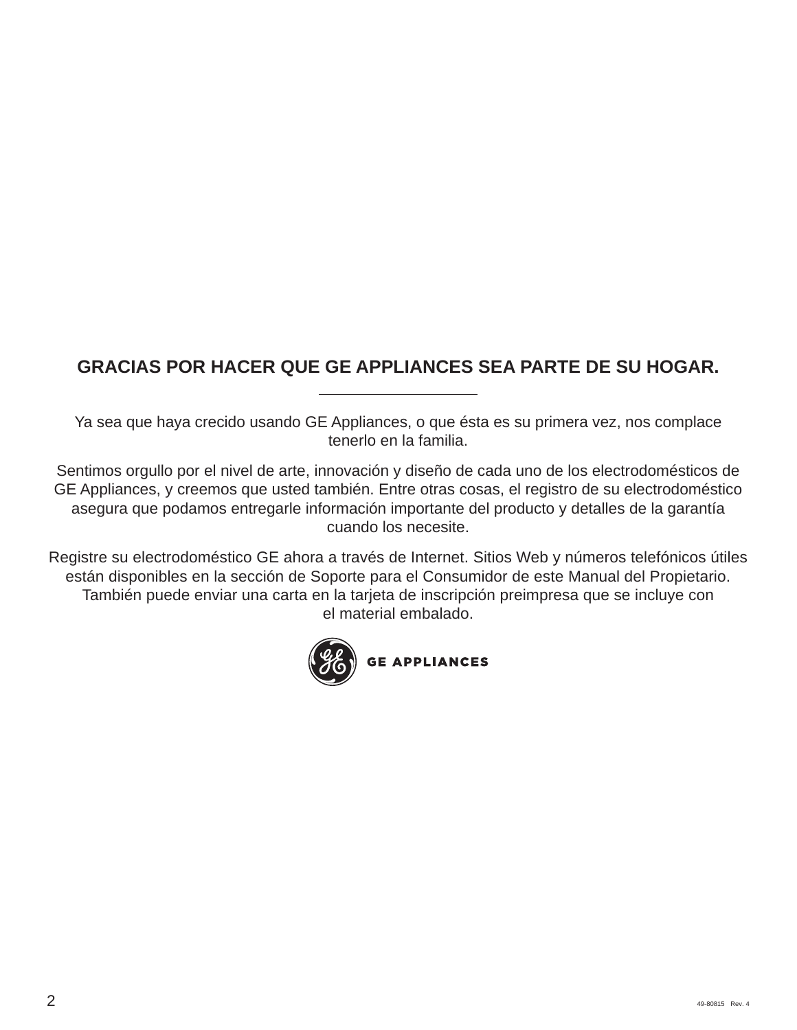## **GRACIAS POR HACER QUE GE APPLIANCES SEA PARTE DE SU HOGAR.**

Ya sea que haya crecido usando GE Appliances, o que ésta es su primera vez, nos complace tenerlo en la familia.

Sentimos orgullo por el nivel de arte, innovación y diseño de cada uno de los electrodomésticos de GE Appliances, y creemos que usted también. Entre otras cosas, el registro de su electrodoméstico asegura que podamos entregarle información importante del producto y detalles de la garantía cuando los necesite.

Registre su electrodoméstico GE ahora a través de Internet. Sitios Web y números telefónicos útiles están disponibles en la sección de Soporte para el Consumidor de este Manual del Propietario. También puede enviar una carta en la tarjeta de inscripción preimpresa que se incluye con el material embalado.

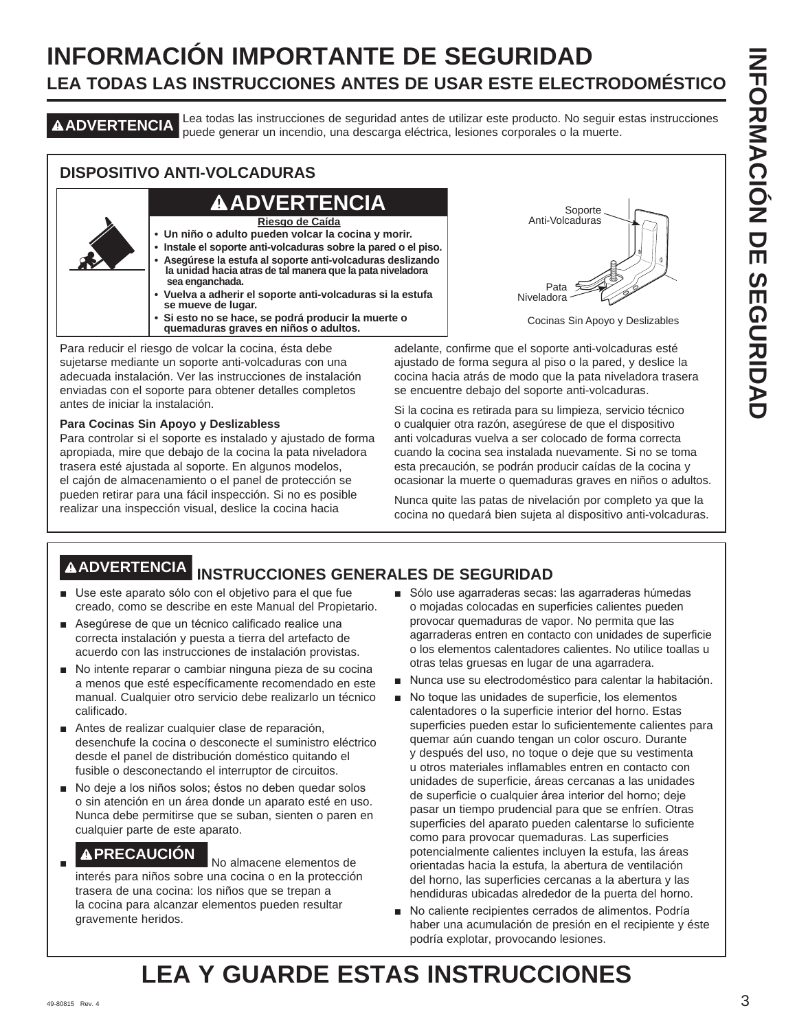## **INFORMACIÓN IMPORTANTE DE SEGURIDAD LEA TODAS LAS INSTRUCCIONES ANTES DE USAR ESTE ELECTRODOMÉSTICO**

**ADVERTENCIA** Lea todas las instrucciones de seguridad antes de utilizar este producto. No seguir estas instrucciones puede generar un incendio, una descarga eléctrica, lesiones corporales o la muerte.

#### **DISPOSITIVO ANTI-VOLCADURAS**

## **ADVERTENCIA**

**Riesgo de Caída**

- **Un niño o adulto pueden volcar la cocina y morir.**
- **Instale el soporte anti-volcaduras sobre la pared o el piso. • Asegúrese la estufa al soporte anti-volcaduras deslizando la unidad hacia atras de tal manera que la pata niveladora sea enganchada.**
- **Vuelva a adherir el soporte anti-volcaduras si la estufa se mueve de lugar.**
- **Si esto no se hace, se podrá producir la muerte o quemaduras graves en niños o adultos.**

Para reducir el riesgo de volcar la cocina, ésta debe sujetarse mediante un soporte anti-volcaduras con una adecuada instalación. Ver las instrucciones de instalación enviadas con el soporte para obtener detalles completos antes de iniciar la instalación.

#### **Para Cocinas Sin Apoyo y Deslizabless**

Para controlar si el soporte es instalado y ajustado de forma apropiada, mire que debajo de la cocina la pata niveladora trasera esté ajustada al soporte. En algunos modelos, el cajón de almacenamiento o el panel de protección se pueden retirar para una fácil inspección. Si no es posible realizar una inspección visual, deslice la cocina hacia



Cocinas Sin Apoyo y Deslizables

adelante, confirme que el soporte anti-volcaduras esté ajustado de forma segura al piso o la pared, y deslice la cocina hacia atrás de modo que la pata niveladora trasera se encuentre debajo del soporte anti-volcaduras.

Si la cocina es retirada para su limpieza, servicio técnico o cualquier otra razón, asegúrese de que el dispositivo anti volcaduras vuelva a ser colocado de forma correcta cuando la cocina sea instalada nuevamente. Si no se toma esta precaución, se podrán producir caídas de la cocina y ocasionar la muerte o quemaduras graves en niños o adultos.

Nunca quite las patas de nivelación por completo ya que la cocina no quedará bien sujeta al dispositivo anti-volcaduras.

## **ADVERTENCIA INSTRUCCIONES GENERALES DE SEGURIDAD**

- Use este aparato sólo con el objetivo para el que fue creado, como se describe en este Manual del Propietario.
- Asegúrese de que un técnico calificado realice una correcta instalación y puesta a tierra del artefacto de acuerdo con las instrucciones de instalación provistas.
- No intente reparar o cambiar ninguna pieza de su cocina a menos que esté específicamente recomendado en este manual. Cualquier otro servicio debe realizarlo un técnico calificado.
- Antes de realizar cualquier clase de reparación, desenchufe la cocina o desconecte el suministro eléctrico desde el panel de distribución doméstico quitando el fusible o desconectando el interruptor de circuitos.
- No deje a los niños solos; éstos no deben quedar solos o sin atención en un área donde un aparato esté en uso. Nunca debe permitirse que se suban, sienten o paren en cualquier parte de este aparato.

## **A PRECAUCIÓN** No almacene elementos de

interés para niños sobre una cocina o en la protección trasera de una cocina: los niños que se trepan a la cocina para alcanzar elementos pueden resultar gravemente heridos.

- Sólo use agarraderas secas: las agarraderas húmedas o mojadas colocadas en superficies calientes pueden provocar quemaduras de vapor. No permita que las agarraderas entren en contacto con unidades de superficie o los elementos calentadores calientes. No utilice toallas u otras telas gruesas en lugar de una agarradera.
- Nunca use su electrodoméstico para calentar la habitación.
- No toque las unidades de superficie, los elementos calentadores o la superficie interior del horno. Estas superficies pueden estar lo suficientemente calientes para quemar aún cuando tengan un color oscuro. Durante y después del uso, no toque o deje que su vestimenta u otros materiales inflamables entren en contacto con unidades de superficie, áreas cercanas a las unidades de superficie o cualquier área interior del horno; deje pasar un tiempo prudencial para que se enfríen. Otras superficies del aparato pueden calentarse lo suficiente como para provocar quemaduras. Las superficies potencialmente calientes incluyen la estufa, las áreas orientadas hacia la estufa, la abertura de ventilación del horno, las superficies cercanas a la abertura y las hendiduras ubicadas alrededor de la puerta del horno.
- No caliente recipientes cerrados de alimentos. Podría haber una acumulación de presión en el recipiente y éste podría explotar, provocando lesiones.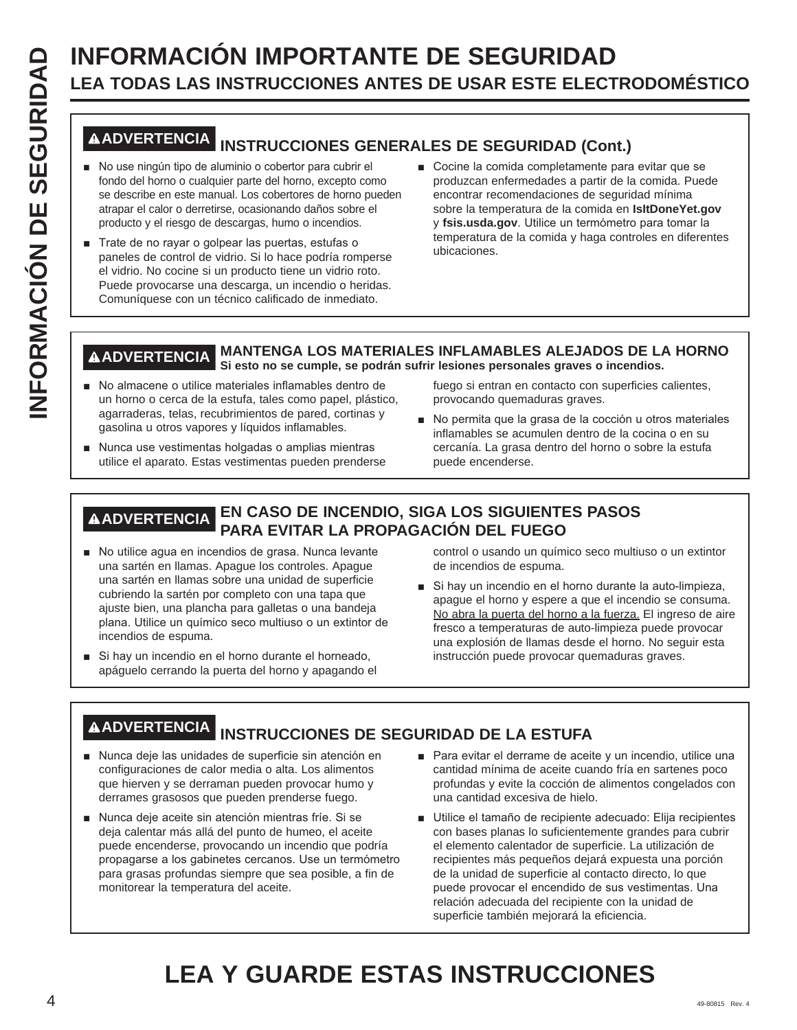# **INFORMACIÓN IMPORTANTE DE SEGURIDAD**<br> **INFORMACIÓN INSTRUCCIONES ANTES DE USAR ESTE ELECT<br>
<b>INFORMACIÓN**<br> **INFORMACIÓN INSTRUCCIONES GENERALES DE SEGURIDAD (CON<br>
<b>INFORMACIÓN INSTRUCCIONES GENERALES DE SEGURIDAD (CON<br>
INF LEA TODAS LAS INSTRUCCIONES ANTES DE USAR ESTE ELECTRODOMÉSTICO**

## **ADVERTENCIA INSTRUCCIONES GENERALES DE SEGURIDAD (Cont.)**

- No use ningún tipo de aluminio o cobertor para cubrir el fondo del horno o cualquier parte del horno, excepto como se describe en este manual. Los cobertores de horno pueden atrapar el calor o derretirse, ocasionando daños sobre el producto y el riesgo de descargas, humo o incendios.
- Trate de no rayar o golpear las puertas, estufas o paneles de control de vidrio. Si lo hace podría romperse el vidrio. No cocine si un producto tiene un vidrio roto. Puede provocarse una descarga, un incendio o heridas. Comuníquese con un técnico calificado de inmediato.
- Cocine la comida completamente para evitar que se produzcan enfermedades a partir de la comida. Puede encontrar recomendaciones de seguridad mínima sobre la temperatura de la comida en **IsItDoneYet.gov** y fsis.usda.gov. Utilice un termómetro para tomar la temperatura de la comida y haga controles en diferentes ubicaciones.

#### **ADVERTENCIA MANTENGA LOS MATERIALES INFLAMABLES ALEJADOS DE LA HORNO Si esto no se cumple, se podrán sufrir lesiones personales graves o incendios.**

- No almacene o utilice materiales inflamables dentro de un horno o cerca de la estufa, tales como papel, plástico, agarraderas, telas, recubrimientos de pared, cortinas y gasolina u otros vapores y líquidos inflamables.
- Nunca use vestimentas holgadas o amplias mientras utilice el aparato. Estas vestimentas pueden prenderse

fuego si entran en contacto con superficies calientes, provocando quemaduras graves.

No permita que la grasa de la cocción u otros materiales inflamables se acumulen dentro de la cocina o en su cercanía. La grasa dentro del horno o sobre la estufa puede encenderse.

#### **ADVERTENCIA EN CASO DE INCENDIO, SIGA LOS SIGUIENTES PASOS PARA EVITAR LA PROPAGACIÓN DEL FUEGO**

- No utilice agua en incendios de grasa. Nunca levante una sartén en llamas. Apague los controles. Apague una sartén en llamas sobre una unidad de superficie cubriendo la sartén por completo con una tapa que ajuste bien, una plancha para galletas o una bandeja plana. Utilice un químico seco multiuso o un extintor de incendios de espuma.
- Si hay un incendio en el horno durante el horneado, apáguelo cerrando la puerta del horno y apagando el

control o usando un químico seco multiuso o un extintor de incendios de espuma.

Si hay un incendio en el horno durante la auto-limpieza, apague el horno y espere a que el incendio se consuma. No abra la puerta del horno a la fuerza. El ingreso de aire fresco a temperaturas de auto-limpieza puede provocar una explosión de llamas desde el horno. No seguir esta instrucción puede provocar quemaduras graves.

## **ADVERTENCIA INSTRUCCIONES DE SEGURIDAD DE LA ESTUFA**

- Nunca deje las unidades de superficie sin atención en configuraciones de calor media o alta. Los alimentos que hierven y se derraman pueden provocar humo y derrames grasosos que pueden prenderse fuego.
- Nunca deje aceite sin atención mientras fríe. Si se deja calentar más allá del punto de humeo, el aceite puede encenderse, provocando un incendio que podría propagarse a los gabinetes cercanos. Use un termómetro para grasas profundas siempre que sea posible, a fin de monitorear la temperatura del aceite.
- **Para evitar el derrame de aceite y un incendio, utilice una** cantidad mínima de aceite cuando fría en sartenes poco profundas y evite la cocción de alimentos congelados con una cantidad excesiva de hielo.
- Utilice el tamaño de recipiente adecuado: Elija recipientes con bases planas lo suficientemente grandes para cubrir el elemento calentador de superficie. La utilización de recipientes más pequeños dejará expuesta una porción de la unidad de superficie al contacto directo, lo que puede provocar el encendido de sus vestimentas. Una relación adecuada del recipiente con la unidad de superficie también mejorará la eficiencia.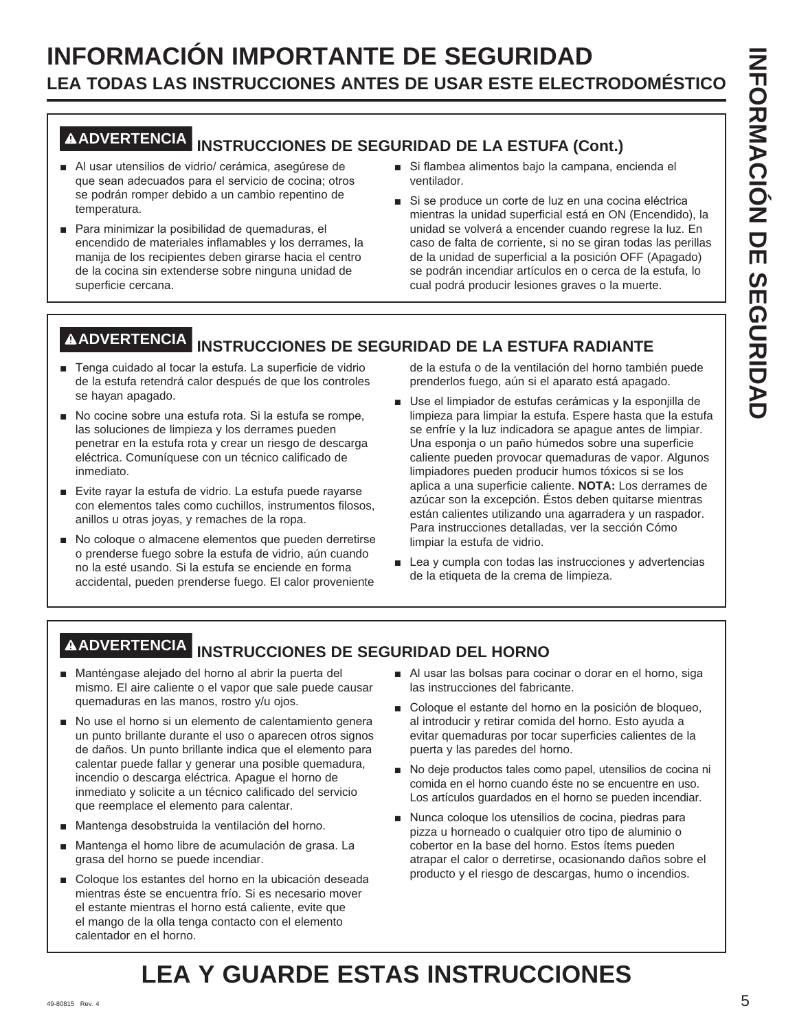## **INFORMACIÓN IMPORTANTE DE SEGURIDAD LEA TODAS LAS INSTRUCCIONES ANTES DE USAR ESTE ELECTRODOMÉSTICO**

# **ADVERTENCIA INSTRUCCIONES DE SEGURIDAD DE LA ESTUFA (Cont.)**

- Al usar utensilios de vidrio/ cerámica, asegúrese de que sean adecuados para el servicio de cocina; otros se podrán romper debido a un cambio repentino de temperatura.
- Para minimizar la posibilidad de quemaduras, el encendido de materiales inflamables y los derrames, la manija de los recipientes deben girarse hacia el centro de la cocina sin extenderse sobre ninguna unidad de superficie cercana.
- Si flambea alimentos bajo la campana, encienda el ventilador.
- Si se produce un corte de luz en una cocina eléctrica mientras la unidad superficial está en ON (Encendido), la unidad se volverá a encender cuando regrese la luz. En caso de falta de corriente, si no se giran todas las perillas de la unidad de superficial a la posición OFF (Apagado) se podrán incendiar artículos en o cerca de la estufa, lo cual podrá producir lesiones graves o la muerte.

## **ADVERTENCIA INSTRUCCIONES DE SEGURIDAD DE LA ESTUFA RADIANTE**

- F Tenga cuidado al tocar la estufa. La superficie de vidrio de la estufa retendrá calor después de que los controles se hayan apagado.
- No cocine sobre una estufa rota. Si la estufa se rompe, las soluciones de limpieza y los derrames pueden penetrar en la estufa rota y crear un riesgo de descarga eléctrica. Comuníquese con un técnico calificado de inmediato.
- Evite rayar la estufa de vidrio. La estufa puede rayarse con elementos tales como cuchillos, instrumentos filosos, anillos u otras joyas, y remaches de la ropa.
- No coloque o almacene elementos que pueden derretirse o prenderse fuego sobre la estufa de vidrio, aún cuando no la esté usando. Si la estufa se enciende en forma accidental, pueden prenderse fuego. El calor proveniente

de la estufa o de la ventilación del horno también puede prenderlos fuego, aún si el aparato está apagado.

- Use el limpiador de estufas cerámicas y la esponjilla de limpieza para limpiar la estufa. Espere hasta que la estufa se enfríe y la luz indicadora se apague antes de limpiar. Una esponja o un paño húmedos sobre una superficie caliente pueden provocar quemaduras de vapor. Algunos limpiadores pueden producir humos tóxicos si se los aplica a una superficie caliente. **NOTA:** Los derrames de azúcar son la excepción. Éstos deben quitarse mientras están calientes utilizando una agarradera y un raspador. Para instrucciones detalladas, ver la sección Cómo limpiar la estufa de vidrio.
- $\blacksquare$  Lea y cumpla con todas las instrucciones y advertencias de la etiqueta de la crema de limpieza.

## **ADVERTENCIA INSTRUCCIONES DE SEGURIDAD DEL HORNO**

- Manténgase alejado del horno al abrir la puerta del mismo. El aire caliente o el vapor que sale puede causar quemaduras en las manos, rostro y/u ojos.
- No use el horno si un elemento de calentamiento genera un punto brillante durante el uso o aparecen otros signos de daños. Un punto brillante indica que el elemento para calentar puede fallar y generar una posible quemadura, incendio o descarga eléctrica. Apague el horno de inmediato y solicite a un técnico calificado del servicio que reemplace el elemento para calentar.
- Mantenga desobstruida la ventilación del horno.
- Mantenga el horno libre de acumulación de grasa. La grasa del horno se puede incendiar.
- Coloque los estantes del horno en la ubicación deseada mientras éste se encuentra frío. Si es necesario mover el estante mientras el horno está caliente, evite que el mango de la olla tenga contacto con el elemento calentador en el horno.
- Al usar las bolsas para cocinar o dorar en el horno, siga las instrucciones del fabricante.
- Coloque el estante del horno en la posición de bloqueo, al introducir y retirar comida del horno. Esto ayuda a evitar quemaduras por tocar superficies calientes de la puerta y las paredes del horno.
- No deje productos tales como papel, utensilios de cocina ni comida en el horno cuando éste no se encuentre en uso. Los artículos guardados en el horno se pueden incendiar.
- Nunca coloque los utensilios de cocina, piedras para pizza u horneado o cualquier otro tipo de aluminio o cobertor en la base del horno. Estos ítems pueden atrapar el calor o derretirse, ocasionando daños sobre el producto y el riesgo de descargas, humo o incendios.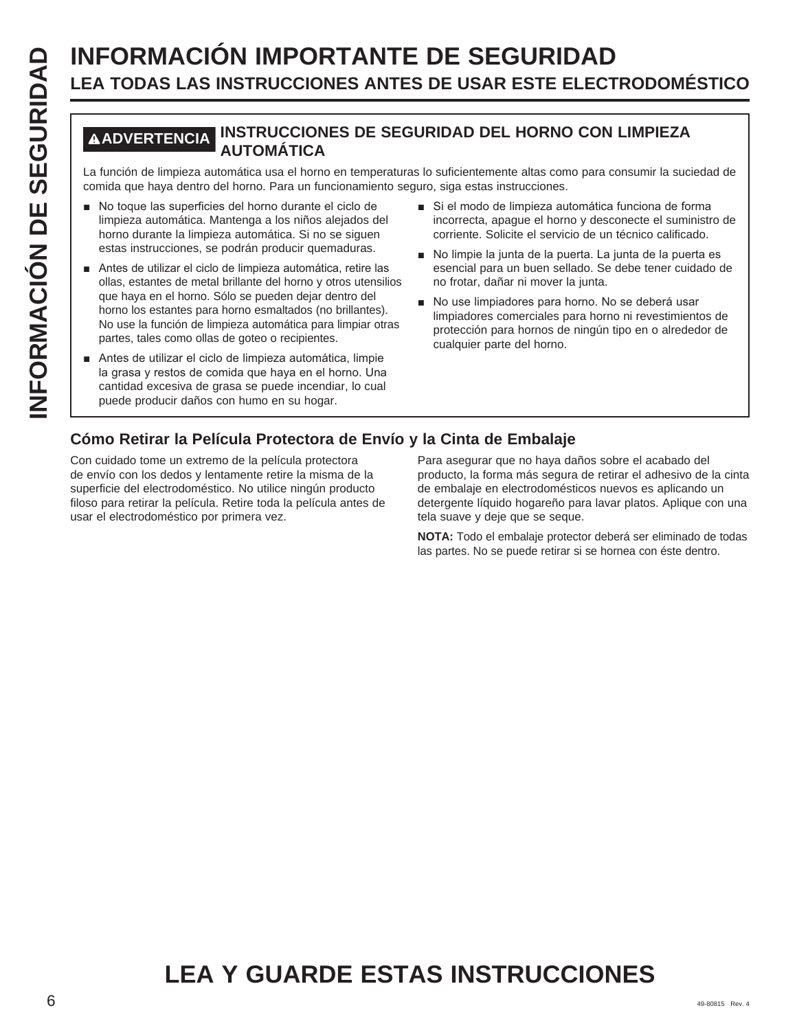# **INFORMACIÓN IMPORTANTE DE SEGURIDAD**<br> **ILEA TODAS LAS INSTRUCCIONES ANTES DE USAR ESTE ELECT<br>
MADVERTENCIAL INSTRUCCIONES DE SEGURIDAD DEL HORNO CON<br>
La función de limpieza automática usa el horno en temperaturas lo sufic LEA TODAS LAS INSTRUCCIONES ANTES DE USAR ESTE ELECTRODOMÉSTICO**

#### **ADVERTENCIA INSTRUCCIONES DE SEGURIDAD DEL HORNO CON LIMPIEZA AUTOMÁTICA**

La función de limpieza automática usa el horno en temperaturas lo suficientemente altas como para consumir la suciedad de comida que haya dentro del horno. Para un funcionamiento seguro, siga estas instrucciones.

- No toque las superficies del horno durante el ciclo de limpieza automática. Mantenga a los niños alejados del horno durante la limpieza automática. Si no se siguen estas instrucciones, se podrán producir quemaduras.
- Antes de utilizar el ciclo de limpieza automática, retire las ollas, estantes de metal brillante del horno y otros utensilios que haya en el horno. Sólo se pueden dejar dentro del horno los estantes para horno esmaltados (no brillantes). No use la función de limpieza automática para limpiar otras partes, tales como ollas de goteo o recipientes.
- Antes de utilizar el ciclo de limpieza automática, limpie la grasa y restos de comida que haya en el horno. Una cantidad excesiva de grasa se puede incendiar, lo cual puede producir daños con humo en su hogar.
- Si el modo de limpieza automática funciona de forma incorrecta, apague el horno y desconecte el suministro de corriente. Solicite el servicio de un técnico calificado.
- No limpie la junta de la puerta. La junta de la puerta es esencial para un buen sellado. Se debe tener cuidado de no frotar, dañar ni mover la junta.
- No use limpiadores para horno. No se deberá usar limpiadores comerciales para horno ni revestimientos de protección para hornos de ningún tipo en o alrededor de cualquier parte del horno.

#### **Cómo Retirar la Película Protectora de Envío y la Cinta de Embalaje**

Con cuidado tome un extremo de la película protectora de envío con los dedos y lentamente retire la misma de la superficie del electrodoméstico. No utilice ningún producto filoso para retirar la película. Retire toda la película antes de usar el electrodoméstico por primera vez.

Para asegurar que no haya daños sobre el acabado del producto, la forma más segura de retirar el adhesivo de la cinta de embalaje en electrodomésticos nuevos es aplicando un detergente líquido hogareño para lavar platos. Aplique con una tela suave y deje que se seque.

**NOTA:** Todo el embalaje protector deberá ser eliminado de todas las partes. No se puede retirar si se hornea con éste dentro.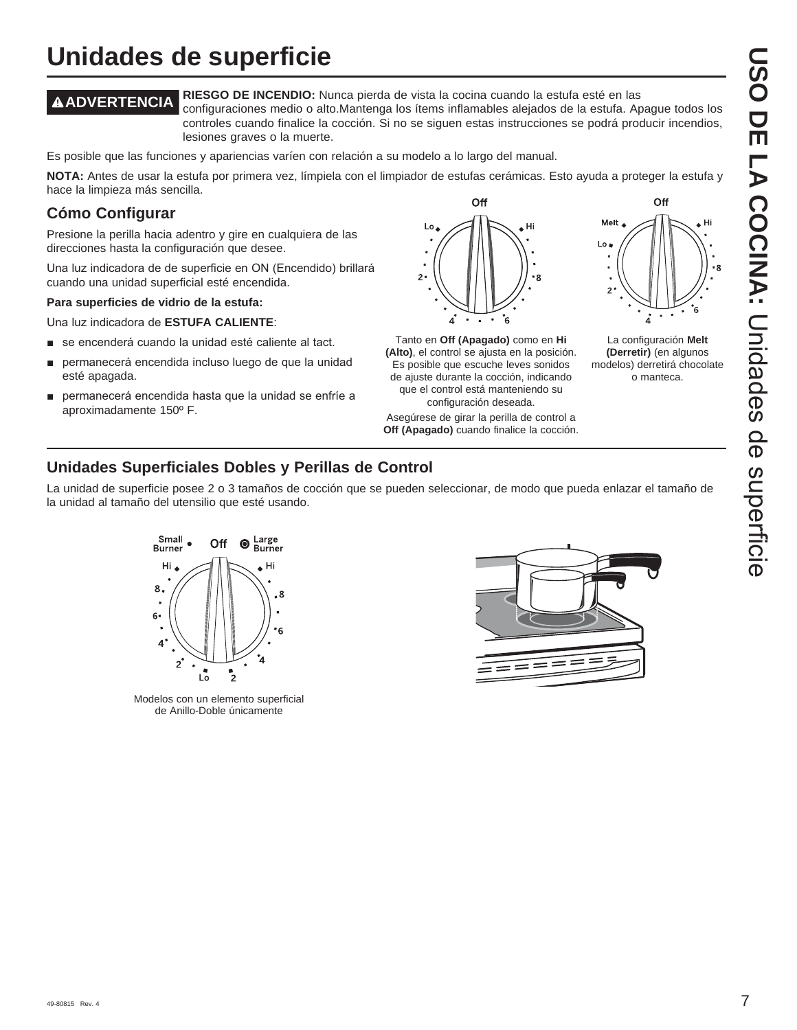## **Unidades de superficie**

**ADVERTENCIA RIESGO DE INCENDIO:** Nunca pierda de vista la cocina cuando la estufa esté en las configuraciones medio o alto.Mantenga los ítems inflamables alejados de la estufa. Apague todos los controles cuando finalice la cocción. Si no se siguen estas instrucciones se podrá producir incendios,

lesiones graves o la muerte.

Es posible que las funciones y apariencias varíen con relación a su modelo a lo largo del manual.

**NOTA:** Antes de usar la estufa por primera vez, límpiela con el limpiador de estufas cerámicas. Esto ayuda a proteger la estufa y hace la limpieza más sencilla.

#### **Cómo Configurar**

Presione la perilla hacia adentro y gire en cualquiera de las direcciones hasta la configuración que desee.

Una luz indicadora de de superficie en ON (Encendido) brillará cuando una unidad superficial esté encendida.

#### **Para superficies de vidrio de la estufa:**

Una luz indicadora de ESTUFA CALIENTE:

- se encenderá cuando la unidad esté caliente al tact.
- permanecerá encendida incluso luego de que la unidad esté apagada.
- permanecerá encendida hasta que la unidad se enfríe a aproximadamente 150º F.



Tanto en **Off (Apagado)** como en **Hi (Alto)**, el control se ajusta en la posición. Es posible que escuche leves sonidos de ajuste durante la cocción, indicando que el control está manteniendo su configuración deseada.

Asegúrese de girar la perilla de control a **Off (Apagado)** cuando finalice la cocción.



La configuración **Melt (Derretir)** (en algunos modelos) derretirá chocolate o manteca.

#### **Unidades Superficiales Dobles y Perillas de Control**

La unidad de superficie posee 2 o 3 tamaños de cocción que se pueden seleccionar, de modo que pueda enlazar el tamaño de la unidad al tamaño del utensilio que esté usando.



Modelos con un elemento superficial de Anillo-Doble únicamente

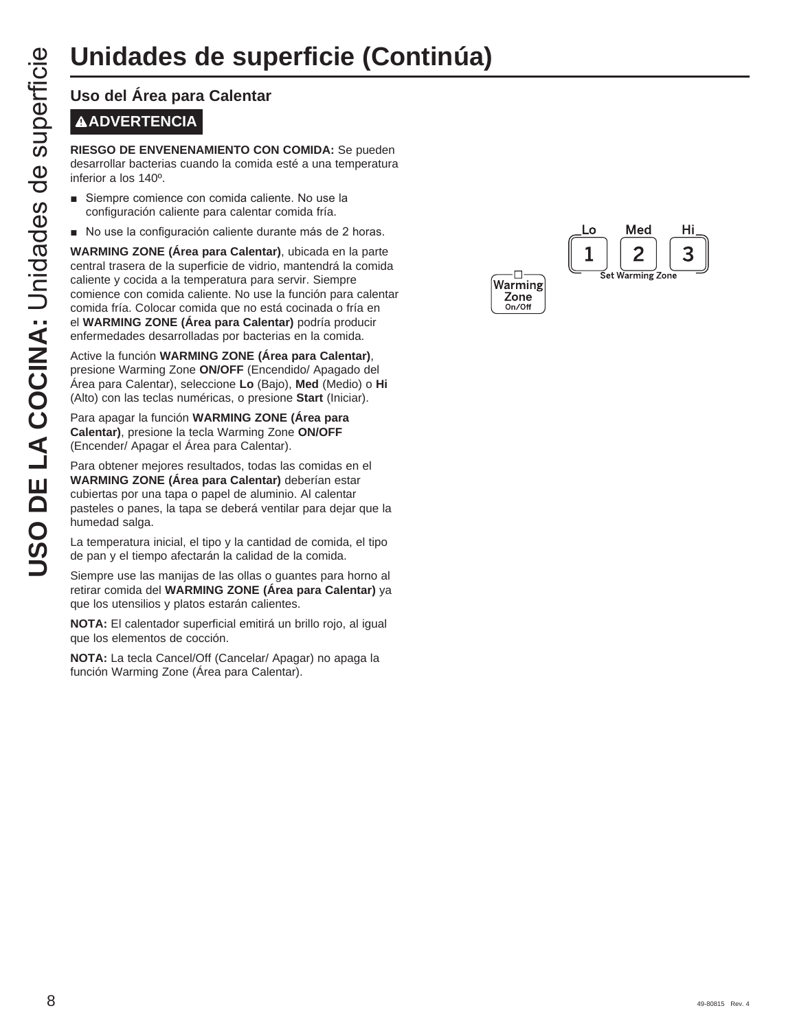## **Unidades de superficie (Continúa)**

# **ADVERTENCIA**

**RIESGO DE ENVENENAMIENTO CON COMIDA:** Se pueden desarrollar bacterias cuando la comida esté a una temperatura inferior a los 140º.

- Siempre comience con comida caliente. No use la configuración caliente para calentar comida fría.
- No use la configuración caliente durante más de 2 horas.

**USO DE LA COCINCISE DE LA COCINCISTE DE LA COCINETIST DE LA CONFIDENCIA DE LA CONFIDENCIA DE LA CONFIDENCIA DE LA CONFIDENCIA DE LA CONFIDENCIA DE LA CONFIDENCIA DE LA CONFIDENCIA DE LA CONFIDENCIA DE LA CONFIDENCIA DE LA WARMING ZONE (Área para Calentar)**, ubicada en la parte central trasera de la superficie de vidrio, mantendrá la comida caliente y cocida a la temperatura para servir. Siempre comience con comida caliente. No use la función para calentar comida fría. Colocar comida que no está cocinada o fría en el **WARMING ZONE (Área para Calentar)** podría producir enfermedades desarrolladas por bacterias en la comida.

Active la función **WARMING ZONE (Área para Calentar)**, presione Warming Zone **ON/OFF** (Encendido/ Apagado del Área para Calentar), seleccione **Lo** (Bajo), **Med** (Medio) o **Hi** (Alto) con las teclas numéricas, o presione **Start** (Iniciar).

Para apagar la función **WARMING ZONE (Área para Calentar)**, presione la tecla Warming Zone **ON/OFF**  (Encender/ Apagar el Área para Calentar).

Para obtener mejores resultados, todas las comidas en el **WARMING ZONE (Área para Calentar)** deberían estar cubiertas por una tapa o papel de aluminio. Al calentar pasteles o panes, la tapa se deberá ventilar para dejar que la humedad salga.

La temperatura inicial, el tipo y la cantidad de comida, el tipo de pan y el tiempo afectarán la calidad de la comida.

Siempre use las manijas de las ollas o guantes para horno al retirar comida del **WARMING ZONE (Área para Calentar)** ya que los utensilios y platos estarán calientes.

**NOTA:** El calentador superficial emitirá un brillo rojo, al igual que los elementos de cocción.

**NOTA:** La tecla Cancel/Off (Cancelar/ Apagar) no apaga la función Warming Zone (Área para Calentar).

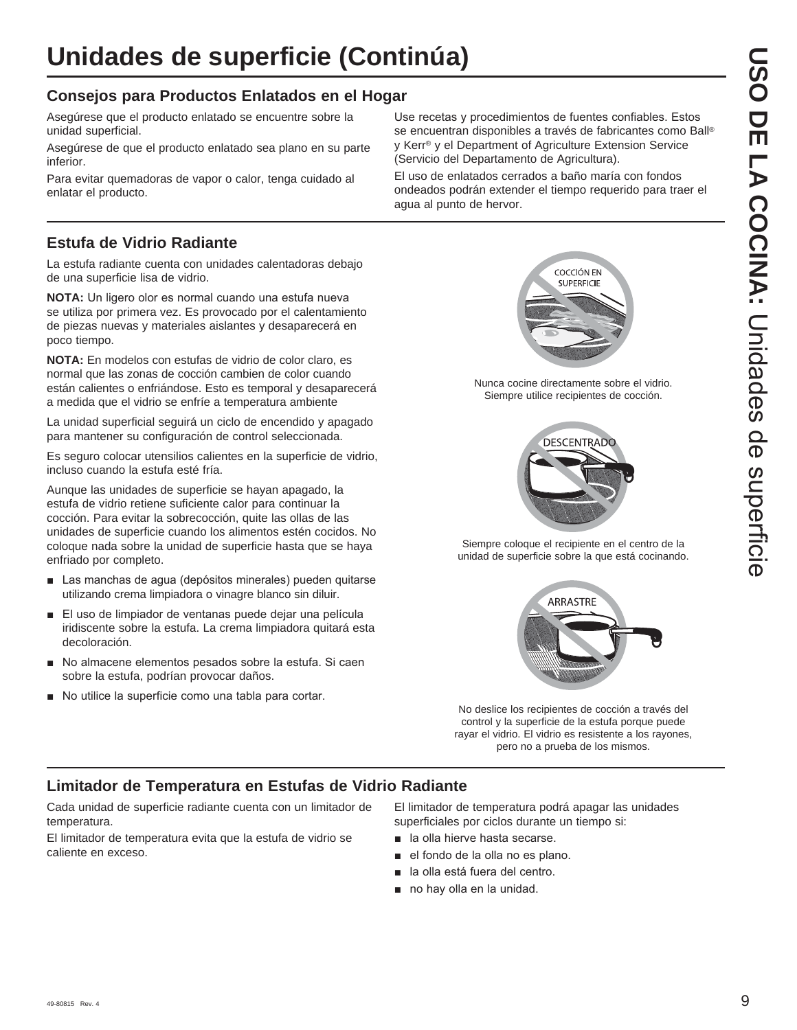#### **Consejos para Productos Enlatados en el Hogar**

Asegúrese que el producto enlatado se encuentre sobre la unidad superficial.

Asegúrese de que el producto enlatado sea plano en su parte inferior.

Para evitar quemadoras de vapor o calor, tenga cuidado al enlatar el producto.

#### **Estufa de Vidrio Radiante**

La estufa radiante cuenta con unidades calentadoras debajo de una superficie lisa de vidrio.

**NOTA:** Un ligero olor es normal cuando una estufa nueva se utiliza por primera vez. Es provocado por el calentamiento de piezas nuevas y materiales aislantes y desaparecerá en poco tiempo.

**NOTA:** En modelos con estufas de vidrio de color claro, es normal que las zonas de cocción cambien de color cuando están calientes o enfriándose. Esto es temporal y desaparecerá a medida que el vidrio se enfríe a temperatura ambiente

La unidad superficial seguirá un ciclo de encendido y apagado para mantener su configuración de control seleccionada.

Es seguro colocar utensilios calientes en la superficie de vidrio, incluso cuando la estufa esté fría.

Aunque las unidades de superficie se hayan apagado, la estufa de vidrio retiene suficiente calor para continuar la cocción. Para evitar la sobrecocción, quite las ollas de las unidades de superficie cuando los alimentos estén cocidos. No coloque nada sobre la unidad de superficie hasta que se haya enfriado por completo.

- Las manchas de agua (depósitos minerales) pueden quitarse utilizando crema limpiadora o vinagre blanco sin diluir.
- El uso de limpiador de ventanas puede dejar una película iridiscente sobre la estufa. La crema limpiadora quitará esta decoloración.
- No almacene elementos pesados sobre la estufa. Si caen sobre la estufa, podrían provocar daños.
- No utilice la superficie como una tabla para cortar.

Use recetas y procedimientos de fuentes confiables. Estos se encuentran disponibles a través de fabricantes como Ball® y Kerr® y el Department of Agriculture Extension Service (Servicio del Departamento de Agricultura).

El uso de enlatados cerrados a baño maría con fondos ondeados podrán extender el tiempo requerido para traer el agua al punto de hervor.



Nunca cocine directamente sobre el vidrio. Siempre utilice recipientes de cocción.



Siempre coloque el recipiente en el centro de la unidad de superficie sobre la que está cocinando.



No deslice los recipientes de cocción a través del control y la superficie de la estufa porque puede rayar el vidrio. El vidrio es resistente a los rayones, pero no a prueba de los mismos.

#### **Limitador de Temperatura en Estufas de Vidrio Radiante**

Cada unidad de superficie radiante cuenta con un limitador de temperatura.

El limitador de temperatura evita que la estufa de vidrio se caliente en exceso.

El limitador de temperatura podrá apagar las unidades superficiales por ciclos durante un tiempo si:

- **a** la olla hierve hasta secarse.
- el fondo de la olla no es plano.
- la olla está fuera del centro.
- $\blacksquare$  no hay olla en la unidad.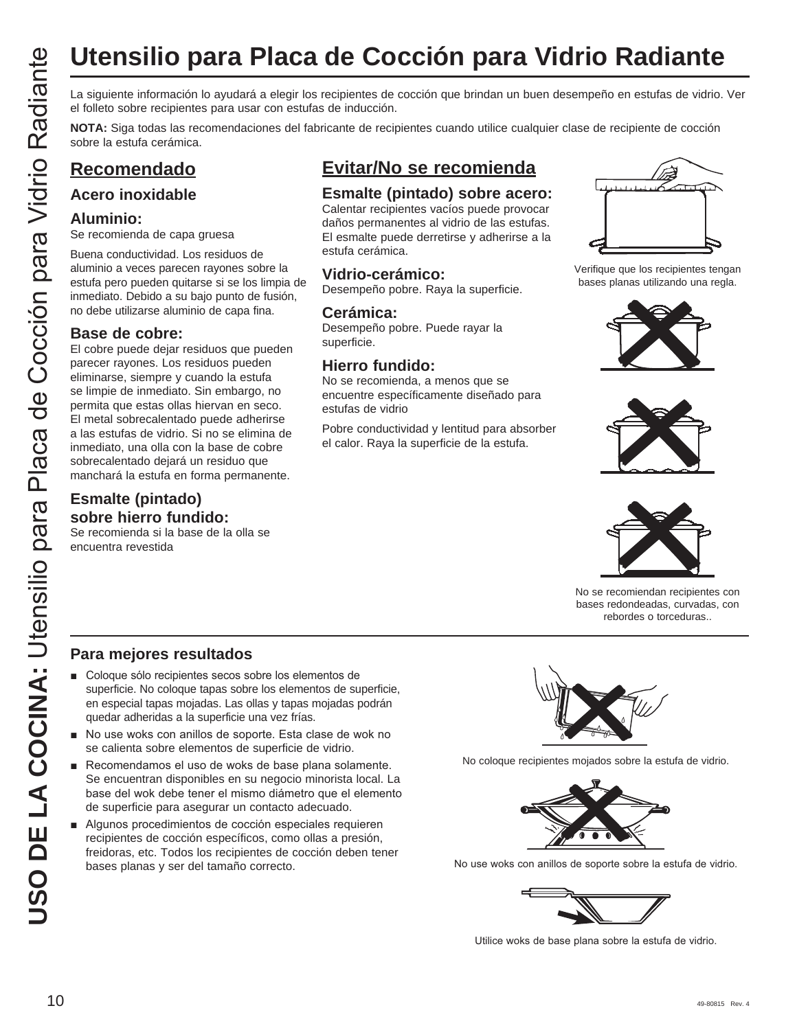# **Utensilio para Placa de Cocción para Vidrio Radiante**

el folleto sobre recipientes para usar con estufas de inducción.

**NOTA:** Siga todas las recomendaciones del fabricante de recipientes cuando utilice cualquier clase de recipiente de cocción sobre la estufa cerámica.

#### **Recomendado**

#### **Acero inoxidable**

#### **Aluminio:**

Se recomienda de capa gruesa

Buena conductividad. Los residuos de aluminio a veces parecen rayones sobre la estufa pero pueden quitarse si se los limpia de inmediato. Debido a su bajo punto de fusión, no debe utilizarse aluminio de capa fina.

#### **Base de cobre:**

**USO DE LA COCIDE DE LA COCIDE DE LA COLUMNA:**<br>
USO LA COLUMNA: COLUMNA: COLUMNA: COLUMNA: COLUMNA: COLUMNA: COLUMNA: COLUMNA: COLUMNA: COLUMNA: COLUMNA: COLUMNA: COLUMNA: COLUMNA: COLUMNA: COLUMNA: COLUMNA: COLUMNA: COLUM El cobre puede dejar residuos que pueden parecer rayones. Los residuos pueden eliminarse, siempre y cuando la estufa se limpie de inmediato. Sin embargo, no permita que estas ollas hiervan en seco. El metal sobrecalentado puede adherirse a las estufas de vidrio. Si no se elimina de inmediato, una olla con la base de cobre sobrecalentado dejará un residuo que manchará la estufa en forma permanente.

#### **Esmalte (pintado) sobre hierro fundido:**

Se recomienda si la base de la olla se encuentra revestida

### **Evitar/No se recomienda**

#### **Esmalte (pintado) sobre acero:**

Calentar recipientes vacíos puede provocar daños permanentes al vidrio de las estufas. El esmalte puede derretirse y adherirse a la estufa cerámica.

#### **Vidrio-cerámico:**

Desempeño pobre. Raya la superficie.

#### **Cerámica:**

Desempeño pobre. Puede rayar la superficie.

#### **Hierro fundido:**

No se recomienda, a menos que se encuentre específicamente diseñado para estufas de vidrio

Pobre conductividad y lentitud para absorber el calor. Raya la superficie de la estufa.



Verifique que los recipientes tengan bases planas utilizando una regla.







No se recomiendan recipientes con bases redondeadas, curvadas, con rebordes o torceduras..

#### **Para mejores resultados**

- Coloque sólo recipientes secos sobre los elementos de superficie. No coloque tapas sobre los elementos de superficie, en especial tapas mojadas. Las ollas y tapas mojadas podrán quedar adheridas a la superficie una vez frías.
- No use woks con anillos de soporte. Esta clase de wok no se calienta sobre elementos de superficie de vidrio.
- Recomendamos el uso de woks de base plana solamente. Se encuentran disponibles en su negocio minorista local. La base del wok debe tener el mismo diámetro que el elemento de superficie para asegurar un contacto adecuado.
- Algunos procedimientos de cocción especiales requieren recipientes de cocción específicos, como ollas a presión, freidoras, etc. Todos los recipientes de cocción deben tener bases planas y ser del tamaño correcto.



No coloque recipientes mojados sobre la estufa de vidrio.



No use woks con anillos de soporte sobre la estufa de vidrio.



Utilice woks de base plana sobre la estufa de vidrio.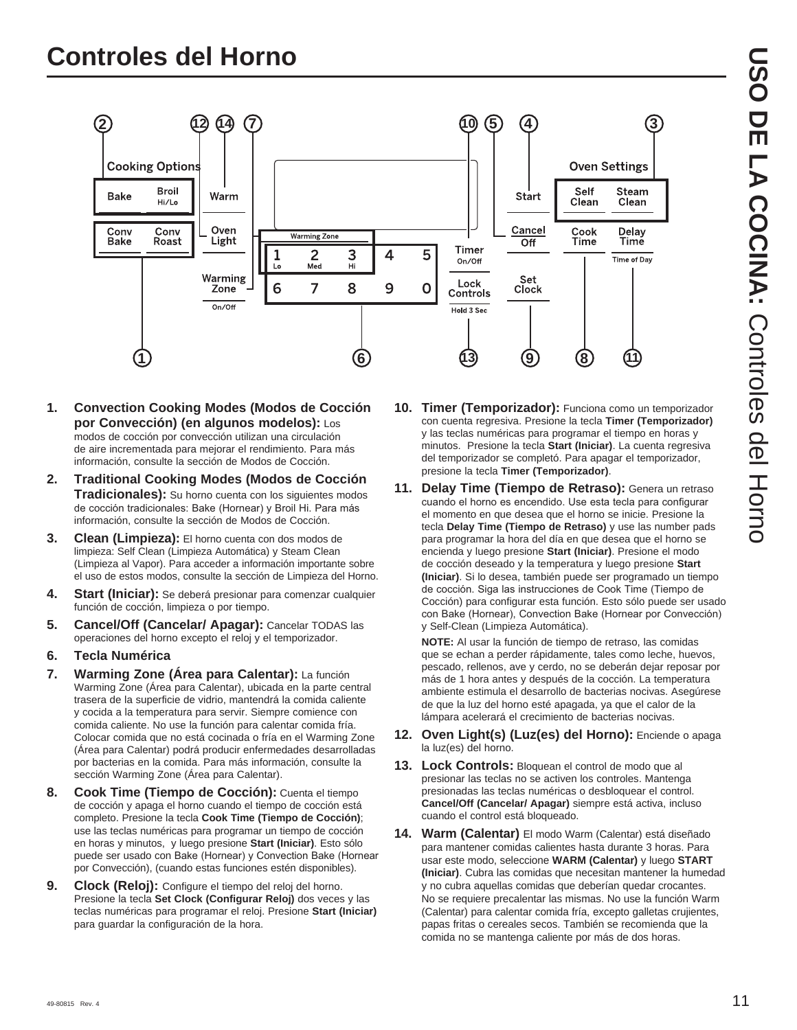

- **1. Convection Cooking Modes (Modos de Cocción por Convección) (en algunos modelos):** Los modos de cocción por convección utilizan una circulación de aire incrementada para mejorar el rendimiento. Para más información, consulte la sección de Modos de Cocción.
- **2. Traditional Cooking Modes (Modos de Cocción Tradicionales):** Su horno cuenta con los siguientes modos de cocción tradicionales: Bake (Hornear) y Broil Hi. Para más información, consulte la sección de Modos de Cocción.
- **3. Clean (Limpieza):** El horno cuenta con dos modos de limpieza: Self Clean (Limpieza Automática) y Steam Clean (Limpieza al Vapor). Para acceder a información importante sobre el uso de estos modos, consulte la sección de Limpieza del Horno.
- **4. Start (Iniciar):** Se deberá presionar para comenzar cualquier función de cocción, limpieza o por tiempo.
- **5. Cancel/Off (Cancelar/ Apagar):** Cancelar TODAS las operaciones del horno excepto el reloj y el temporizador.
- **6. Tecla Numérica**
- **7. Warming Zone (Área para Calentar):** La función Warming Zone (Área para Calentar), ubicada en la parte central trasera de la superficie de vidrio, mantendrá la comida caliente y cocida a la temperatura para servir. Siempre comience con comida caliente. No use la función para calentar comida fría. Colocar comida que no está cocinada o fría en el Warming Zone (Área para Calentar) podrá producir enfermedades desarrolladas por bacterias en la comida. Para más información, consulte la sección Warming Zone (Área para Calentar).
- **8. Cook Time (Tiempo de Cocción):** Cuenta el tiempo de cocción y apaga el horno cuando el tiempo de cocción está completo. Presione la tecla **Cook Time (Tiempo de Cocción)** use las teclas numéricas para programar un tiempo de cocción en horas y minutos, y luego presione **Start (Iniciar)**. Esto sólo puede ser usado con Bake (Hornear) y Convection Bake (Hornear por Convección), (cuando estas funciones estén disponibles).
- **9. Clock (Reloj):** Configure el tiempo del reloj del horno. Presione la tecla **Set Clock (Configurar Reloj)** dos veces y las teclas numéricas para programar el reloj. Presione **Start (Iniciar)** para guardar la configuración de la hora.
- **10. Timer (Temporizador):** Funciona como un temporizador con cuenta regresiva. Presione la tecla **Timer (Temporizador)** y las teclas numéricas para programar el tiempo en horas y minutos. Presione la tecla **Start (Iniciar)**. La cuenta regresiva del temporizador se completó. Para apagar el temporizador, presione la tecla **Timer (Temporizador)**.
- **11. Delay Time (Tiempo de Retraso):** Genera un retraso cuando el horno es encendido. Use esta tecla para configurar el momento en que desea que el horno se inicie. Presione la tecla **Delay Time (Tiempo de Retraso)** y use las number pads para programar la hora del día en que desea que el horno se encienda y luego presione **Start (Iniciar)**. Presione el modo de cocción deseado y la temperatura y luego presione **Start (Iniciar)**. Si lo desea, también puede ser programado un tiempo de cocción. Siga las instrucciones de Cook Time (Tiempo de Cocción) para configurar esta función. Esto sólo puede ser usado con Bake (Hornear), Convection Bake (Hornear por Convección) y Self-Clean (Limpieza Automática).

 **NOTE:** Al usar la función de tiempo de retraso, las comidas que se echan a perder rápidamente, tales como leche, huevos, pescado, rellenos, ave y cerdo, no se deberán dejar reposar por más de 1 hora antes y después de la cocción. La temperatura ambiente estimula el desarrollo de bacterias nocivas. Asegúrese de que la luz del horno esté apagada, ya que el calor de la lámpara acelerará el crecimiento de bacterias nocivas.

- **12. Oven Light(s) (Luz(es) del Horno):** Enciende o apaga la luz(es) del horno.
- **13. Lock Controls:** Bloquean el control de modo que al presionar las teclas no se activen los controles. Mantenga presionadas las teclas numéricas o desbloquear el control. **Cancel/Off (Cancelar/ Apagar)** siempre está activa, incluso cuando el control está bloqueado.
- **14. Warm (Calentar)** El modo Warm (Calentar) está diseñado para mantener comidas calientes hasta durante 3 horas. Para usar este modo, seleccione **WARM (Calentar)** y luego **START (Iniciar)**. Cubra las comidas que necesitan mantener la humedad y no cubra aquellas comidas que deberían quedar crocantes. No se requiere precalentar las mismas. No use la función Warm (Calentar) para calentar comida fría, excepto galletas crujientes, papas fritas o cereales secos. También se recomienda que la comida no se mantenga caliente por más de dos horas.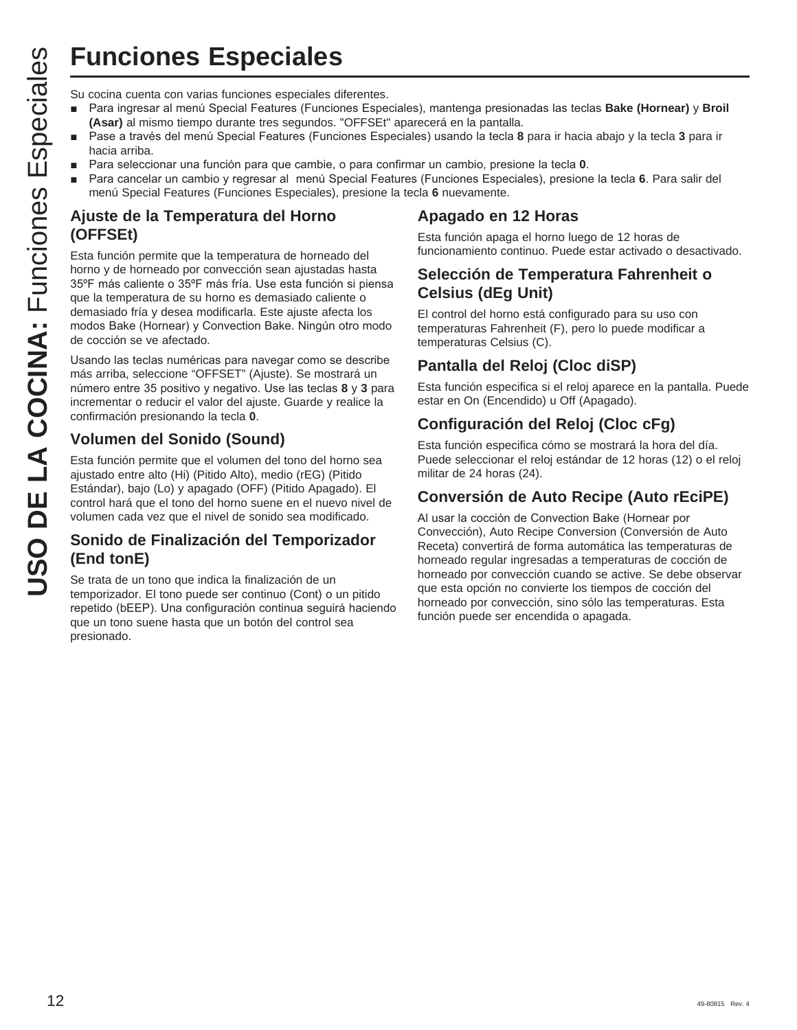## **Funciones Especiales**

- Para ingresar al menú Special Features (Funciones Especiales), mantenga presionadas las teclas Bake (Hornear) y Broil **(Asar)** al mismo tiempo durante tres segundos. "OFFSEt" aparecerá en la pantalla.
- Pase a través del menú Special Features (Funciones Especiales) usando la tecla 8 para ir hacia abajo y la tecla 3 para ir hacia arriba.
- Para seleccionar una función para que cambie, o para confirmar un cambio, presione la tecla 0.
- Para cancelar un cambio y regresar al menú Special Features (Funciones Especiales), presione la tecla 6. Para salir del menú Special Features (Funciones Especiales), presione la tecla **6** nuevamente.

#### **Ajuste de la Temperatura del Horno (OFFSEt)**

**USO FINCTION SURFERES SURFERES SURFERENT PRESSURFERENT CONDUST THE THE CONDUCT CONDUCT (Assay a mismo tiempo durante tres segundos. "OFFSET" hadia artiba.<br>
<b>USO THE COCINEMENT** THE CONDUCT THE CONDUCT THE CONDUCT THE COND Esta función permite que la temperatura de horneado del horno y de horneado por convección sean ajustadas hasta 35°F más caliente o 35°F más fría. Use esta función si piensa que la temperatura de su horno es demasiado caliente o demasiado fría y desea modificarla. Este ajuste afecta los modos Bake (Hornear) y Convection Bake. Ningún otro modo de cocción se ve afectado.

Usando las teclas numéricas para navegar como se describe más arriba, seleccione "OFFSET" (Ajuste). Se mostrará un número entre 35 positivo y negativo. Use las teclas 8 y 3 para incrementar o reducir el valor del ajuste. Guarde y realice la confirmación presionando la tecla **0**.

#### **Volumen del Sonido (Sound)**

Esta función permite que el volumen del tono del horno sea ajustado entre alto (Hi) (Pitido Alto), medio (rEG) (Pitido Estándar), bajo (Lo) y apagado (OFF) (Pitido Apagado). El control hará que el tono del horno suene en el nuevo nivel de volumen cada vez que el nivel de sonido sea modificado.

#### **Sonido de Finalización del Temporizador (End tonE)**

Se trata de un tono que indica la finalización de un temporizador. El tono puede ser continuo (Cont) o un pitido repetido (bEEP). Una configuración continua seguirá haciendo que un tono suene hasta que un botón del control sea presionado.

#### **Apagado en 12 Horas**

Esta función apaga el horno luego de 12 horas de funcionamiento continuo. Puede estar activado o desactivado.

#### **Selección de Temperatura Fahrenheit o Celsius (dEg Unit)**

El control del horno está configurado para su uso con temperaturas Fahrenheit (F), pero lo puede modificar a temperaturas Celsius (C).

#### **Pantalla del Reloj (Cloc diSP)**

Esta función especifica si el reloj aparece en la pantalla. Puede estar en On (Encendido) u Off (Apagado).

#### **Configuración del Reloj (Cloc cFg)**

Esta función especifica cómo se mostrará la hora del día. Puede seleccionar el reloj estándar de 12 horas (12) o el reloj militar de 24 horas (24).

#### **Conversión de Auto Recipe (Auto rEciPE)**

Al usar la cocción de Convection Bake (Hornear por Convección), Auto Recipe Conversion (Conversión de Auto Receta) convertirá de forma automática las temperaturas de horneado regular ingresadas a temperaturas de cocción de horneado por convección cuando se active. Se debe observar que esta opción no convierte los tiempos de cocción del horneado por convección, sino sólo las temperaturas. Esta función puede ser encendida o apagada.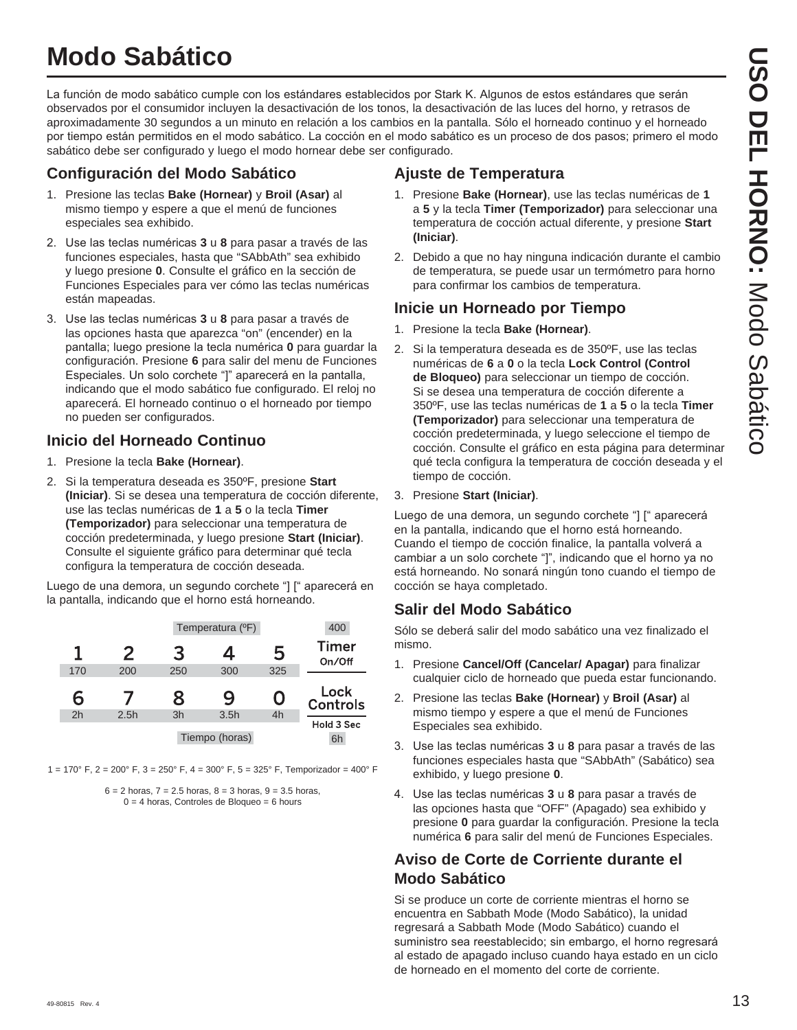## **Modo Sabático**

La función de modo sabático cumple con los estándares establecidos por Stark K. Algunos de estos estándares que serán observados por el consumidor incluyen la desactivación de los tonos, la desactivación de las luces del horno, y retrasos de aproximadamente 30 segundos a un minuto en relación a los cambios en la pantalla. Sólo el horneado continuo y el horneado por tiempo están permitidos en el modo sabático. La cocción en el modo sabático es un proceso de dos pasos; primero el modo sabático debe ser configurado y luego el modo hornear debe ser configurado.

#### **Configuración del Modo Sabático**

- 1. Presione las teclas **Bake (Hornear)** y **Broil (Asar)** al mismo tiempo y espere a que el menú de funciones especiales sea exhibido.
- 2. Use las teclas numéricas 3 u 8 para pasar a través de las funciones especiales, hasta que "SAbbAth" sea exhibido y luego presione **0**. Consulte el gráfico en la sección de Funciones Especiales para ver cómo las teclas numéricas están mapeadas.
- 3. Use las teclas numéricas 3 u 8 para pasar a través de las opciones hasta que aparezca "on" (encender) en la pantalla: luego presione la tecla numérica 0 para guardar la configuración. Presione **6** para salir del menu de Funciones Especiales. Un solo corchete "]" aparecerá en la pantalla, indicando que el modo sabático fue configurado. El reloj no aparecerá. El horneado continuo o el horneado por tiempo no pueden ser configurados.

#### **Inicio del Horneado Continuo**

- 1. Presione la tecla **Bake (Hornear)**.
- 2. Si la temperatura deseada es 350ºF, presione **Start (Iniciar)**. Si se desea una temperatura de cocción diferente, use las teclas numéricas de **1** a **5** o la tecla **Timer (Temporizador)** para seleccionar una temperatura de cocción predeterminada, y luego presione **Start (Iniciar)**. Consulte el siguiente gráfico para determinar qué tecla configura la temperatura de cocción deseada.

Luego de una demora, un segundo corchete "] [" aparecerá en la pantalla, indicando que el horno está horneando.

|     |      |     | Temperatura (°F) |          | 400                     |
|-----|------|-----|------------------|----------|-------------------------|
| 1   | 2    | 3   | 4<br>300         | 5<br>325 | <b>Timer</b><br>On/Off  |
| 170 | 200  | 250 |                  |          |                         |
|     |      |     |                  |          |                         |
| 6   |      | 8   | 9                | 0        | Lock<br><b>Controls</b> |
| 2h  | 2.5h | 3h  | 3.5h             | 4h       | Hold 3 Sec              |

1 = 170° F, 2 = 200° F, 3 = 250° F, 4 = 300° F, 5 = 325° F, Temporizador = 400° F

 $6 = 2$  horas,  $7 = 2.5$  horas,  $8 = 3$  horas,  $9 = 3.5$  horas,  $0 = 4$  horas, Controles de Bloqueo = 6 hours

#### **Ajuste de Temperatura**

- 1. Presione **Bake (Hornear)**, use las teclas numéricas de **1** a **5** y la tecla **Timer (Temporizador)** para seleccionar una temperatura de cocción actual diferente, y presione **Start (Iniciar)**.
- 2. Debido a que no hay ninguna indicación durante el cambio de temperatura, se puede usar un termómetro para horno para confirmar los cambios de temperatura.

#### **Inicie un Horneado por Tiempo**

- 1. Presione la tecla **Bake (Hornear)**.
- 2. Si la temperatura deseada es de 350ºF, use las teclas numéricas de **6** a **0** o la tecla **Lock Control (Control de Bloqueo)** para seleccionar un tiempo de cocción. Si se desea una temperatura de cocción diferente a 350ºF, use las teclas numéricas de **1** a **5** o la tecla **Timer (Temporizador)** para seleccionar una temperatura de cocción predeterminada, y luego seleccione el tiempo de cocción. Consulte el gráfico en esta página para determinar qué tecla configura la temperatura de cocción deseada y el tiempo de cocción.
- 3. Presione **Start (Iniciar)**.

Luego de una demora, un segundo corchete "] [" aparecerá en la pantalla, indicando que el horno está horneando. Cuando el tiempo de cocción finalice, la pantalla volverá a cambiar a un solo corchete "]", indicando que el horno ya no está horneando. No sonará ningún tono cuando el tiempo de cocción se haya completado.

#### **Salir del Modo Sabático**

Sólo se deberá salir del modo sabático una vez finalizado el mismo.

- 1. Presione **Cancel/Off (Cancelar/ Apagar)** para finalizar cualquier ciclo de horneado que pueda estar funcionando.
- 2. Presione las teclas **Bake (Hornear)** y **Broil (Asar)** al mismo tiempo y espere a que el menú de Funciones Especiales sea exhibido.
- 3. Use las teclas numéricas 3 u 8 para pasar a través de las funciones especiales hasta que "SAbbAth" (Sabático) sea exhibido, y luego presione **0**.
- 4. Use las teclas numéricas 3 u 8 para pasar a través de las opciones hasta que "OFF" (Apagado) sea exhibido y presione **0** para guardar la configuración. Presione la tecla numérica **6** para salir del menú de Funciones Especiales.

#### **Aviso de Corte de Corriente durante el Modo Sabático**

Si se produce un corte de corriente mientras el horno se encuentra en Sabbath Mode (Modo Sabático), la unidad regresará a Sabbath Mode (Modo Sabático) cuando el suministro sea reestablecido; sin embargo, el horno regresará al estado de apagado incluso cuando haya estado en un ciclo de horneado en el momento del corte de corriente.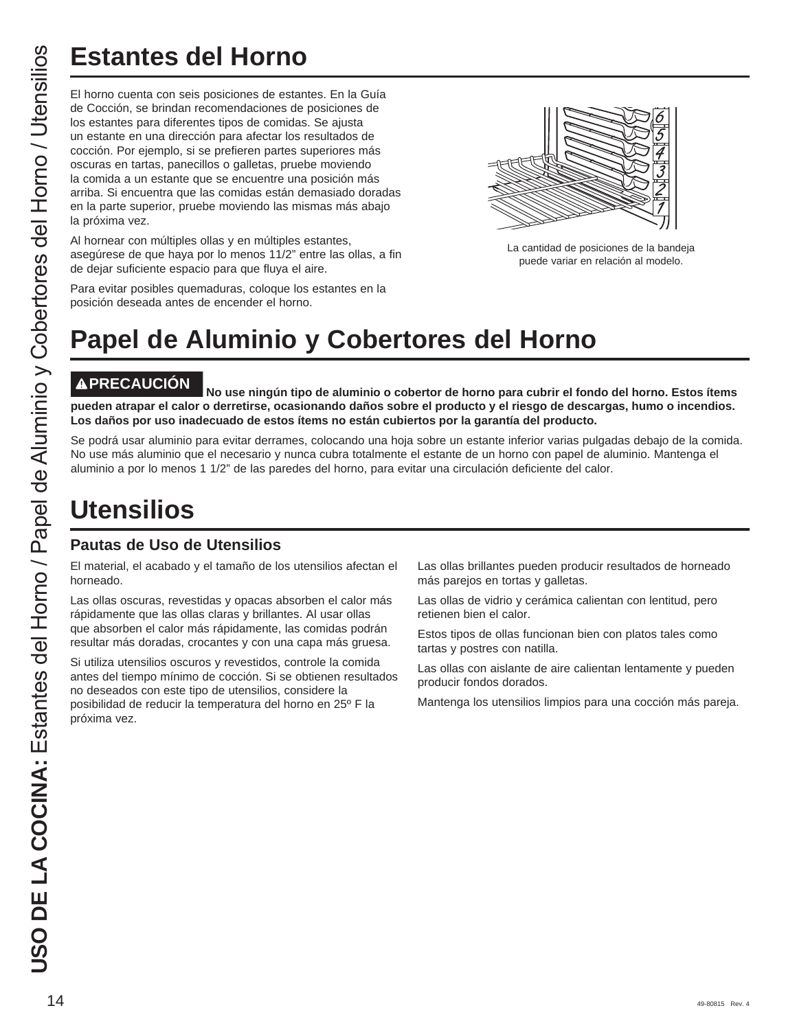# **Estantes del Horno**

El horno cuenta con seis posiciones de estantes. En la Guía de Cocción, se brindan recomendaciones de posiciones de los estantes para diferentes tipos de comidas. Se ajusta un estante en una dirección para afectar los resultados de cocción. Por ejemplo, si se prefieren partes superiores más oscuras en tartas, panecillos o galletas, pruebe moviendo la comida a un estante que se encuentre una posición más arriba. Si encuentra que las comidas están demasiado doradas en la parte superior, pruebe moviendo las mismas más abajo la próxima vez.

Al hornear con múltiples ollas y en múltiples estantes, asegúrese de que haya por lo menos 11/2" entre las ollas, a fin de dejar suficiente espacio para que fluya el aire.



La cantidad de posiciones de la bandeja puede variar en relación al modelo.

Para evitar posibles quemaduras, coloque los estantes en la posición deseada antes de encender el horno.

# **Papel de Aluminio y Cobertores del Horno**

**PRECAUCIÓN No use ningún tipo de aluminio o cobertor de horno para cubrir el fondo del horno. Estos ítems pueden atrapar el calor o derretirse, ocasionando daños sobre el producto y el riesgo de descargas, humo o incendios. Los daños por uso inadecuado de estos ítems no están cubiertos por la garantía del producto.**

Se podrá usar aluminio para evitar derrames, colocando una hoja sobre un estante inferior varias pulgadas debajo de la comida. No use más aluminio que el necesario y nunca cubra totalmente el estante de un horno con papel de aluminio. Mantenga el aluminio a por lo menos 1 1/2" de las paredes del horno, para evitar una circulación deficiente del calor.

## **Utensilios**

#### **Pautas de Uso de Utensilios**

El material, el acabado y el tamaño de los utensilios afectan el horneado.

Las ollas oscuras, revestidas y opacas absorben el calor más rápidamente que las ollas claras y brillantes. Al usar ollas que absorben el calor más rápidamente, las comidas podrán resultar más doradas, crocantes y con una capa más gruesa.

Si utiliza utensilios oscuros y revestidos, controle la comida antes del tiempo mínimo de cocción. Si se obtienen resultados no deseados con este tipo de utensilios, considere la posibilidad de reducir la temperatura del horno en 25º F la próxima vez.

Las ollas brillantes pueden producir resultados de horneado más parejos en tortas y galletas.

Las ollas de vidrio y cerámica calientan con lentitud, pero retienen bien el calor.

Estos tipos de ollas funcionan bien con platos tales como tartas y postres con natilla.

Las ollas con aislante de aire calientan lentamente y pueden producir fondos dorados.

Mantenga los utensilios limpios para una cocción más pareja.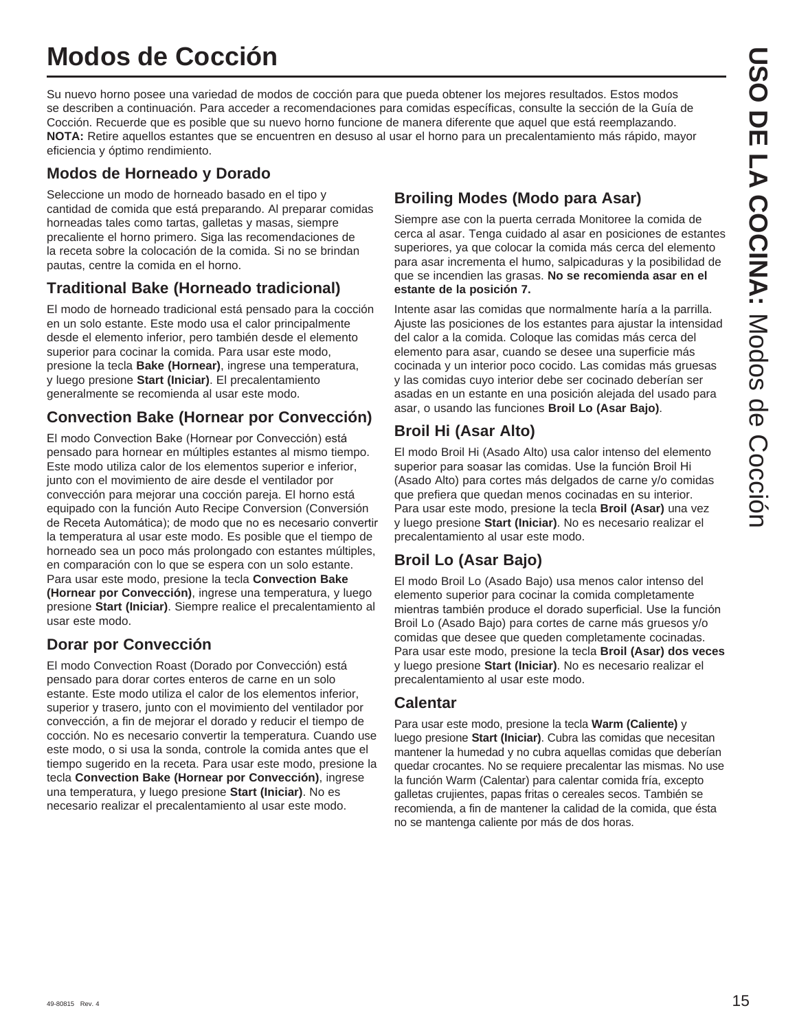## **Modos de Cocción**

Su nuevo horno posee una variedad de modos de cocción para que pueda obtener los mejores resultados. Estos modos se describen a continuación. Para acceder a recomendaciones para comidas específicas, consulte la sección de la Guía de Cocción. Recuerde que es posible que su nuevo horno funcione de manera diferente que aquel que está reemplazando. **NOTA:** Retire aquellos estantes que se encuentren en desuso al usar el horno para un precalentamiento más rápido, mayor eficiencia y óptimo rendimiento.

#### **Modos de Horneado y Dorado**

Seleccione un modo de horneado basado en el tipo y cantidad de comida que está preparando. Al preparar comidas horneadas tales como tartas, galletas y masas, siempre precaliente el horno primero. Siga las recomendaciones de la receta sobre la colocación de la comida. Si no se brindan pautas, centre la comida en el horno.

#### **Traditional Bake (Horneado tradicional)**

El modo de horneado tradicional está pensado para la cocción en un solo estante. Este modo usa el calor principalmente desde el elemento inferior, pero también desde el elemento superior para cocinar la comida. Para usar este modo, presione la tecla **Bake (Hornear)**, ingrese una temperatura, y luego presione **Start (Iniciar)**. El precalentamiento generalmente se recomienda al usar este modo.

#### **Convection Bake (Hornear por Convección)**

El modo Convection Bake (Hornear por Convección) está pensado para hornear en múltiples estantes al mismo tiempo. Este modo utiliza calor de los elementos superior e inferior, junto con el movimiento de aire desde el ventilador por convección para mejorar una cocción pareja. El horno está equipado con la función Auto Recipe Conversion (Conversión de Receta Automática); de modo que no es necesario convertir la temperatura al usar este modo. Es posible que el tiempo de horneado sea un poco más prolongado con estantes múltiples, en comparación con lo que se espera con un solo estante. Para usar este modo, presione la tecla **Convection Bake (Hornear por Convección)**, ingrese una temperatura, y luego presione **Start (Iniciar)**. Siempre realice el precalentamiento al usar este modo.

#### **Dorar por Convección**

El modo Convection Roast (Dorado por Convección) está pensado para dorar cortes enteros de carne en un solo estante. Este modo utiliza el calor de los elementos inferior, superior y trasero, junto con el movimiento del ventilador por convección, a fin de mejorar el dorado y reducir el tiempo de cocción. No es necesario convertir la temperatura. Cuando use este modo, o si usa la sonda, controle la comida antes que el tiempo sugerido en la receta. Para usar este modo, presione la tecla **Convection Bake (Hornear por Convección)**, ingrese una temperatura, y luego presione **Start (Iniciar)**. No es necesario realizar el precalentamiento al usar este modo.

#### **Broiling Modes (Modo para Asar)**

Siempre ase con la puerta cerrada Monitoree la comida de cerca al asar. Tenga cuidado al asar en posiciones de estantes superiores, ya que colocar la comida más cerca del elemento para asar incrementa el humo, salpicaduras y la posibilidad de que se incendien las grasas. **No se recomienda asar en el estante de la posición 7.**

Intente asar las comidas que normalmente haría a la parrilla. Ajuste las posiciones de los estantes para ajustar la intensidad del calor a la comida. Coloque las comidas más cerca del elemento para asar, cuando se desee una superficie más cocinada y un interior poco cocido. Las comidas más gruesas y las comidas cuyo interior debe ser cocinado deberían ser asadas en un estante en una posición alejada del usado para asar, o usando las funciones **Broil Lo (Asar Bajo)**.

#### **Broil Hi (Asar Alto)**

El modo Broil Hi (Asado Alto) usa calor intenso del elemento superior para soasar las comidas. Use la función Broil Hi (Asado Alto) para cortes más delgados de carne y/o comidas que prefiera que quedan menos cocinadas en su interior. Para usar este modo, presione la tecla **Broil (Asar)** una vez y luego presione **Start (Iniciar)**. No es necesario realizar el precalentamiento al usar este modo.

#### **Broil Lo (Asar Bajo)**

El modo Broil Lo (Asado Bajo) usa menos calor intenso del elemento superior para cocinar la comida completamente mientras también produce el dorado superficial. Use la función Broil Lo (Asado Bajo) para cortes de carne más gruesos y/o comidas que desee que queden completamente cocinadas. Para usar este modo, presione la tecla **Broil (Asar) dos veces** y luego presione **Start (Iniciar)**. No es necesario realizar el precalentamiento al usar este modo.

#### **Calentar**

Para usar este modo, presione la tecla **Warm (Caliente)** y luego presione **Start (Iniciar)**. Cubra las comidas que necesitan mantener la humedad y no cubra aquellas comidas que deberían quedar crocantes. No se requiere precalentar las mismas. No use la función Warm (Calentar) para calentar comida fría, excepto galletas crujientes, papas fritas o cereales secos. También se recomienda, a fin de mantener la calidad de la comida, que ésta no se mantenga caliente por más de dos horas.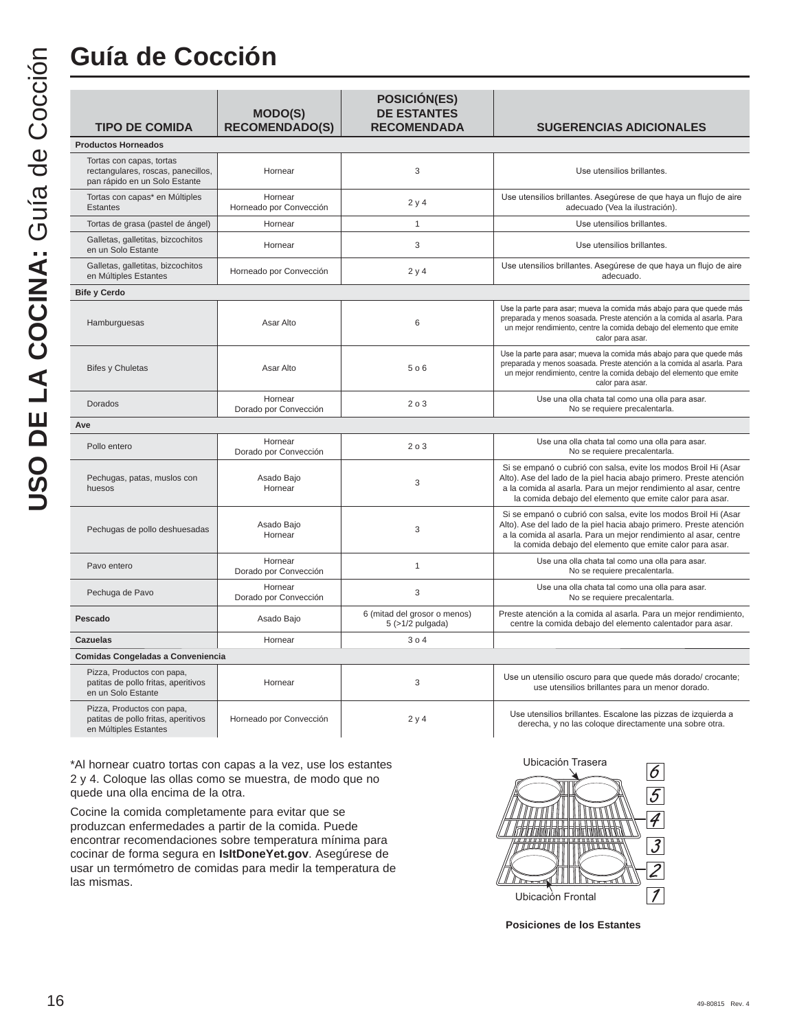## **Guía de Cocción**

| <b>TIPO DE COMIDA</b>                                                                           | <b>MODO(S)</b><br><b>RECOMENDADO(S)</b> | <b>POSICIÓN(ES)</b><br><b>DE ESTANTES</b><br><b>RECOMENDADA</b> | <b>SUGERENCIAS ADICIONALES</b>                                                                                                                                                                                                                                         |
|-------------------------------------------------------------------------------------------------|-----------------------------------------|-----------------------------------------------------------------|------------------------------------------------------------------------------------------------------------------------------------------------------------------------------------------------------------------------------------------------------------------------|
| <b>Productos Horneados</b>                                                                      |                                         |                                                                 |                                                                                                                                                                                                                                                                        |
| Tortas con capas, tortas<br>rectangulares, roscas, panecillos,<br>pan rápido en un Solo Estante | Hornear                                 | 3                                                               | Use utensilios brillantes.                                                                                                                                                                                                                                             |
| Tortas con capas* en Múltiples<br><b>Estantes</b>                                               | Hornear<br>Horneado por Convección      | 2y4                                                             | Use utensilios brillantes. Asegúrese de que haya un flujo de aire<br>adecuado (Vea la ilustración).                                                                                                                                                                    |
| Tortas de grasa (pastel de ángel)                                                               | Hornear                                 | $\mathbf{1}$                                                    | Use utensilios brillantes.                                                                                                                                                                                                                                             |
| Galletas, galletitas, bizcochitos<br>en un Solo Estante                                         | Hornear                                 | 3                                                               | Use utensilios brillantes.                                                                                                                                                                                                                                             |
| Galletas, galletitas, bizcochitos<br>en Múltiples Estantes                                      | Horneado por Convección                 | 2y4                                                             | Use utensilios brillantes. Asegúrese de que haya un flujo de aire<br>adecuado.                                                                                                                                                                                         |
| <b>Bife y Cerdo</b>                                                                             |                                         |                                                                 |                                                                                                                                                                                                                                                                        |
| Hamburguesas                                                                                    | Asar Alto                               | 6                                                               | Use la parte para asar; mueva la comida más abajo para que quede más<br>preparada y menos soasada. Preste atención a la comida al asarla. Para<br>un mejor rendimiento, centre la comida debajo del elemento que emite<br>calor para asar.                             |
| <b>Bifes y Chuletas</b>                                                                         | Asar Alto                               | 5 o 6                                                           | Use la parte para asar; mueva la comida más abajo para que quede más<br>preparada y menos soasada. Preste atención a la comida al asarla. Para<br>un mejor rendimiento, centre la comida debajo del elemento que emite<br>calor para asar.                             |
| Dorados                                                                                         | Hornear<br>Dorado por Convección        | 203                                                             | Use una olla chata tal como una olla para asar.<br>No se requiere precalentarla.                                                                                                                                                                                       |
| Ave                                                                                             |                                         |                                                                 |                                                                                                                                                                                                                                                                        |
| Pollo entero                                                                                    | Hornear<br>Dorado por Convección        | 203                                                             | Use una olla chata tal como una olla para asar.<br>No se requiere precalentarla.                                                                                                                                                                                       |
| Pechugas, patas, muslos con<br>huesos                                                           | Asado Bajo<br>Hornear                   | 3                                                               | Si se empanó o cubrió con salsa, evite los modos Broil Hi (Asar<br>Alto). Ase del lado de la piel hacia abajo primero. Preste atención<br>a la comida al asarla. Para un mejor rendimiento al asar, centre<br>la comida debajo del elemento que emite calor para asar. |
| Pechugas de pollo deshuesadas                                                                   | Asado Bajo<br>Hornear                   | 3                                                               | Si se empanó o cubrió con salsa, evite los modos Broil Hi (Asar<br>Alto). Ase del lado de la piel hacia abajo primero. Preste atención<br>a la comida al asarla. Para un mejor rendimiento al asar, centre<br>la comida debajo del elemento que emite calor para asar. |
| Pavo entero                                                                                     | Hornear<br>Dorado por Convección        | $\mathbf{1}$                                                    | Use una olla chata tal como una olla para asar.<br>No se requiere precalentarla.                                                                                                                                                                                       |
| Pechuga de Pavo                                                                                 | Hornear<br>Dorado por Convección        | 3                                                               | Use una olla chata tal como una olla para asar.<br>No se requiere precalentarla.                                                                                                                                                                                       |
| Pescado                                                                                         | Asado Bajo                              | 6 (mitad del grosor o menos)<br>$5$ (>1/2 pulgada)              | Preste atención a la comida al asarla. Para un mejor rendimiento,<br>centre la comida debajo del elemento calentador para asar.                                                                                                                                        |
| <b>Cazuelas</b>                                                                                 | Hornear                                 | 304                                                             |                                                                                                                                                                                                                                                                        |
| Comidas Congeladas a Conveniencia                                                               |                                         |                                                                 |                                                                                                                                                                                                                                                                        |
| Pizza, Productos con papa,<br>patitas de pollo fritas, aperitivos<br>en un Solo Estante         | Hornear                                 | 3                                                               | Use un utensilio oscuro para que quede más dorado/ crocante;<br>use utensilios brillantes para un menor dorado.                                                                                                                                                        |
| Pizza, Productos con papa,<br>patitas de pollo fritas, aperitivos                               | Horneado por Convección                 | 2y4                                                             | Use utensilios brillantes. Escalone las pizzas de izquierda a<br>derecha, y no las coloque directamente una sobre otra.                                                                                                                                                |

\*Al hornear cuatro tortas con capas a la vez, use los estantes 2 y 4. Coloque las ollas como se muestra, de modo que no quede una olla encima de la otra.

en Múltiples Estantes

Cocine la comida completamente para evitar que se produzcan enfermedades a partir de la comida. Puede encontrar recomendaciones sobre temperatura mínima para cocinar de forma segura en **IsItDoneYet.gov**. Asegúrese de usar un termómetro de comidas para medir la temperatura de las mismas.



**Posiciones de los Estantes**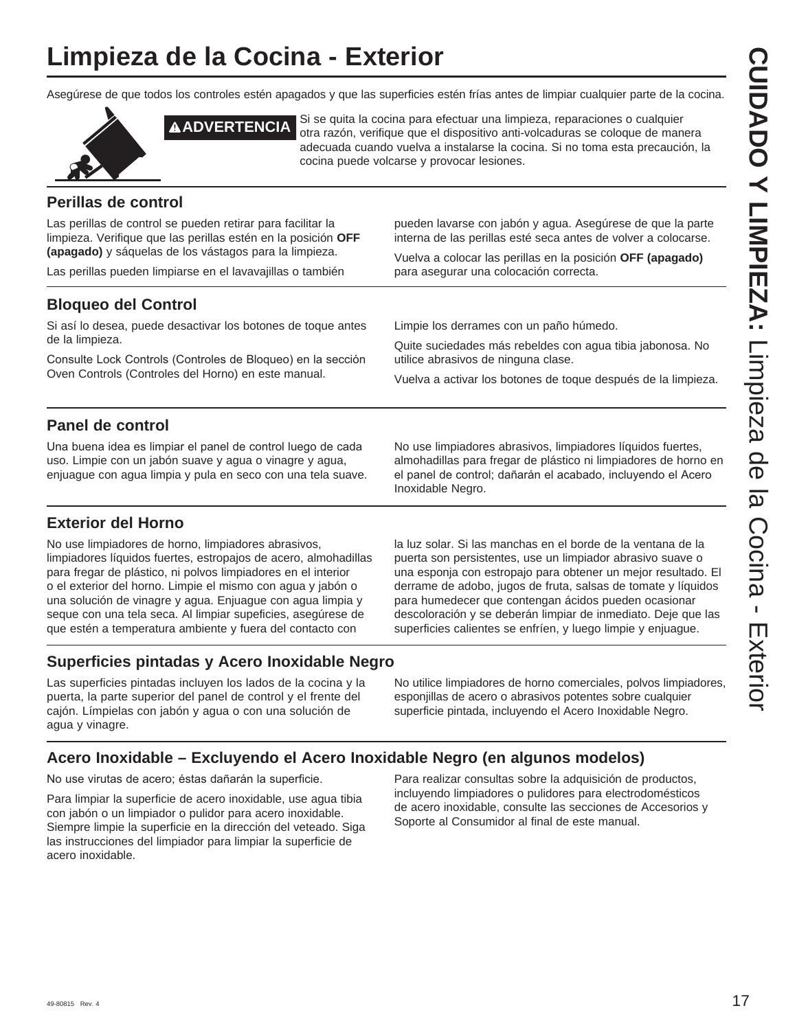## **Limpieza de la Cocina - Exterior**

Asegúrese de que todos los controles estén apagados y que las superficies estén frías antes de limpiar cualquier parte de la cocina.



**A ADVERTENCIA** Si se quita la cocina para efectuar una limpieza, reparaciones o cualquier otra razón, verifique que el dispositivo anti-volcaduras se coloque de manera adecuada cuando vuelva a instalarse la cocina. Si no toma esta precaución, la cocina puede volcarse y provocar lesiones.

#### **Perillas de control**

Las perillas de control se pueden retirar para facilitar la limpieza. Verifique que las perillas estén en la posición **OFF (apagado)** y sáquelas de los vástagos para la limpieza.

Las perillas pueden limpiarse en el lavavajillas o también

pueden lavarse con jabón y agua. Asegúrese de que la parte interna de las perillas esté seca antes de volver a colocarse.

Vuelva a colocar las perillas en la posición **OFF (apagado)** para asegurar una colocación correcta.

#### **Bloqueo del Control**

Si así lo desea, puede desactivar los botones de toque antes de la limpieza.

Consulte Lock Controls (Controles de Bloqueo) en la sección Oven Controls (Controles del Horno) en este manual.

Limpie los derrames con un paño húmedo.

Quite suciedades más rebeldes con agua tibia jabonosa. No utilice abrasivos de ninguna clase.

Vuelva a activar los botones de toque después de la limpieza.

#### **Panel de control**

Una buena idea es limpiar el panel de control luego de cada uso. Limpie con un jabón suave y agua o vinagre y agua, enjuague con agua limpia y pula en seco con una tela suave. No use limpiadores abrasivos, limpiadores líquidos fuertes, almohadillas para fregar de plástico ni limpiadores de horno en el panel de control; dañarán el acabado, incluyendo el Acero Inoxidable Negro.

#### **Exterior del Horno**

No use limpiadores de horno, limpiadores abrasivos, limpiadores líquidos fuertes, estropajos de acero, almohadillas para fregar de plástico, ni polvos limpiadores en el interior o el exterior del horno. Limpie el mismo con agua y jabón o una solución de vinagre y agua. Enjuague con agua limpia y seque con una tela seca. Al limpiar supeficies, asegúrese de que estén a temperatura ambiente y fuera del contacto con

la luz solar. Si las manchas en el borde de la ventana de la puerta son persistentes, use un limpiador abrasivo suave o una esponja con estropajo para obtener un mejor resultado. El derrame de adobo, jugos de fruta, salsas de tomate y líquidos para humedecer que contengan ácidos pueden ocasionar descoloración y se deberán limpiar de inmediato. Deje que las superficies calientes se enfríen, y luego limpie y enjuague.

#### **Superficies pintadas y Acero Inoxidable Negro**

Las superficies pintadas incluyen los lados de la cocina y la puerta, la parte superior del panel de control y el frente del cajón. Límpielas con jabón y agua o con una solución de agua y vinagre.

No utilice limpiadores de horno comerciales, polvos limpiadores, esponjillas de acero o abrasivos potentes sobre cualquier superficie pintada, incluyendo el Acero Inoxidable Negro.

#### **Acero Inoxidable – Excluyendo el Acero Inoxidable Negro (en algunos modelos)**

No use virutas de acero; éstas dañarán la superficie.

Para limpiar la superficie de acero inoxidable, use agua tibia con jabón o un limpiador o pulidor para acero inoxidable. Siempre limpie la superficie en la dirección del veteado. Siga las instrucciones del limpiador para limpiar la superficie de acero inoxidable.

Para realizar consultas sobre la adquisición de productos, incluyendo limpiadores o pulidores para electrodomésticos de acero inoxidable, consulte las secciones de Accesorios y Soporte al Consumidor al final de este manual.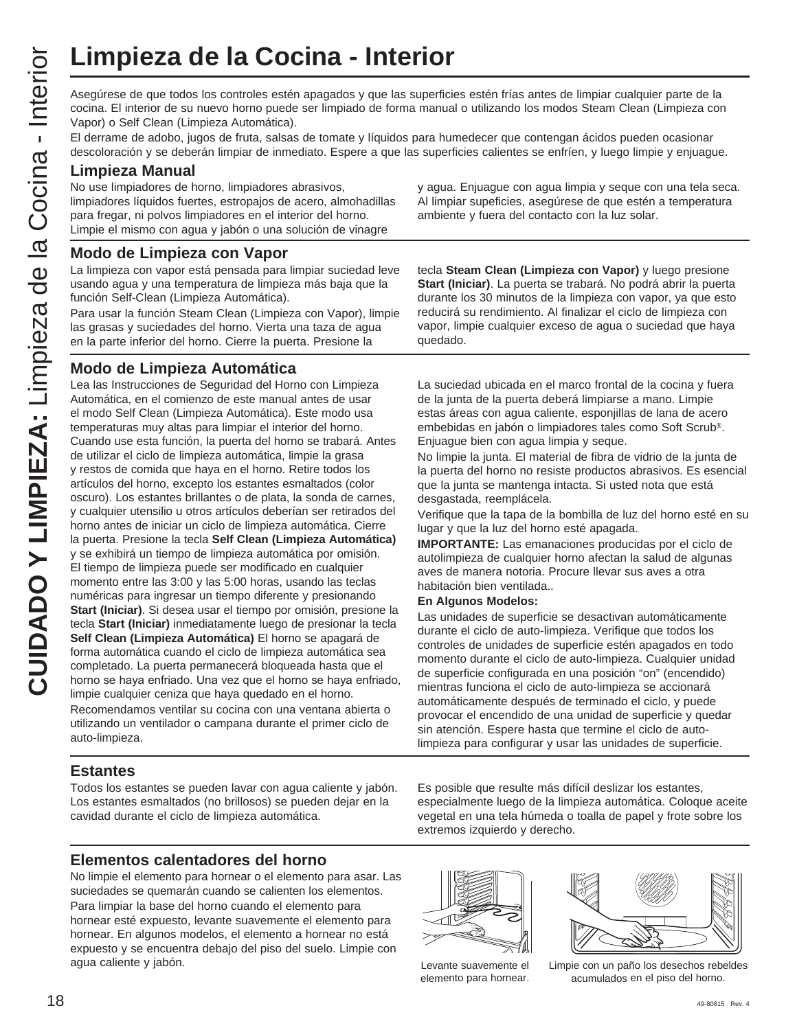Asegúrese de que todos los controles estén apagados y que las superficies estén frías antes de limpiar cualquier parte de la cocina. El interior de su nuevo horno puede ser limpiado de forma manual o utilizando los modos Steam Clean (Limpieza con Vapor) o Self Clean (Limpieza Automática).

El derrame de adobo, jugos de fruta, salsas de tomate y líquidos para humedecer que contengan ácidos pueden ocasionar descoloración y se deberán limpiar de inmediato. Espere a que las superficies calientes se enfríen, y luego limpie y enjuague.

#### **Limpieza Manual**

No use limpiadores de horno, limpiadores abrasivos, limpiadores líquidos fuertes, estropajos de acero, almohadillas para fregar, ni polvos limpiadores en el interior del horno. Limpie el mismo con agua y jabón o una solución de vinagre

#### **Modo de Limpieza con Vapor**

La limpieza con vapor está pensada para limpiar suciedad leve usando agua y una temperatura de limpieza más baja que la función Self-Clean (Limpieza Automática).

Para usar la función Steam Clean (Limpieza con Vapor), limpie las grasas y suciedades del horno. Vierta una taza de agua en la parte inferior del horno. Cierre la puerta. Presione la

#### **Modo de Limpieza Automática**

**CUI ACUTE COCONT CONTR** Associates the question of the contract Electron de all the control of the material control of the material control of the material control of the control of the control of the control of the contr Lea las Instrucciones de Seguridad del Horno con Limpieza Automática, en el comienzo de este manual antes de usar el modo Self Clean (Limpieza Automática). Este modo usa temperaturas muy altas para limpiar el interior del horno. Cuando use esta función, la puerta del horno se trabará. Antes de utilizar el ciclo de limpieza automática, limpie la grasa y restos de comida que haya en el horno. Retire todos los artículos del horno, excepto los estantes esmaltados (color oscuro). Los estantes brillantes o de plata, la sonda de carnes, y cualquier utensilio u otros artículos deberían ser retirados del horno antes de iniciar un ciclo de limpieza automática. Cierre la puerta. Presione la tecla **Self Clean (Limpieza Automática)** y se exhibirá un tiempo de limpieza automática por omisión. El tiempo de limpieza puede ser modificado en cualquier momento entre las 3:00 y las 5:00 horas, usando las teclas numéricas para ingresar un tiempo diferente y presionando **Start (Iniciar)**. Si desea usar el tiempo por omisión, presione la tecla **Start (Iniciar)** inmediatamente luego de presionar la tecla **Self Clean (Limpieza Automática)** El horno se apagará de forma automática cuando el ciclo de limpieza automática sea completado. La puerta permanecerá bloqueada hasta que el horno se haya enfriado. Una vez que el horno se haya enfriado, limpie cualquier ceniza que haya quedado en el horno. Recomendamos ventilar su cocina con una ventana abierta o utilizando un ventilador o campana durante el primer ciclo de auto-limpieza.

**Estantes**

Todos los estantes se pueden lavar con agua caliente y jabón. Los estantes esmaltados (no brillosos) se pueden dejar en la cavidad durante el ciclo de limpieza automática.

#### **Elementos calentadores del horno**

No limpie el elemento para hornear o el elemento para asar. Las suciedades se quemarán cuando se calienten los elementos. Para limpiar la base del horno cuando el elemento para hornear esté expuesto, levante suavemente el elemento para hornear. En algunos modelos, el elemento a hornear no está expuesto y se encuentra debajo del piso del suelo. Limpie con agua caliente y jabón. Limpie con un paño los desechos rebeldes

y agua. Enjuague con agua limpia y seque con una tela seca. Al limpiar supeficies, asegúrese de que estén a temperatura ambiente y fuera del contacto con la luz solar.

tecla **Steam Clean (Limpieza con Vapor)** y luego presione **Start (Iniciar)**. La puerta se trabará. No podrá abrir la puerta durante los 30 minutos de la limpieza con vapor, ya que esto reducirá su rendimiento. Al finalizar el ciclo de limpieza con vapor, limpie cualquier exceso de agua o suciedad que haya quedado.

La suciedad ubicada en el marco frontal de la cocina y fuera de la junta de la puerta deberá limpiarse a mano. Limpie estas áreas con agua caliente, esponjillas de lana de acero embebidas en jabón o limpiadores tales como Soft Scrub®. Enjuague bien con agua limpia y seque.

No limpie la junta. El material de fibra de vidrio de la junta de la puerta del horno no resiste productos abrasivos. Es esencial que la junta se mantenga intacta. Si usted nota que está desgastada, reemplácela.

Verifique que la tapa de la bombilla de luz del horno esté en su lugar y que la luz del horno esté apagada.

**IMPORTANTE:** Las emanaciones producidas por el ciclo de autolimpieza de cualquier horno afectan la salud de algunas aves de manera notoria. Procure llevar sus aves a otra habitación bien ventilada..

#### **En Algunos Modelos:**

Las unidades de superficie se desactivan automáticamente durante el ciclo de auto-limpieza. Verifique que todos los controles de unidades de superficie estén apagados en todo momento durante el ciclo de auto-limpieza. Cualquier unidad de superficie configurada en una posición "on" (encendido) mientras funciona el ciclo de auto-limpieza se accionará automáticamente después de terminado el ciclo, y puede provocar el encendido de una unidad de superficie y quedar sin atención. Espere hasta que termine el ciclo de autolimpieza para configurar y usar las unidades de superficie.

Es posible que resulte más difícil deslizar los estantes, especialmente luego de la limpieza automática. Coloque aceite vegetal en una tela húmeda o toalla de papel y frote sobre los extremos izquierdo y derecho.



Levante suavemente el elemento para hornear.



acumulados en el piso del horno.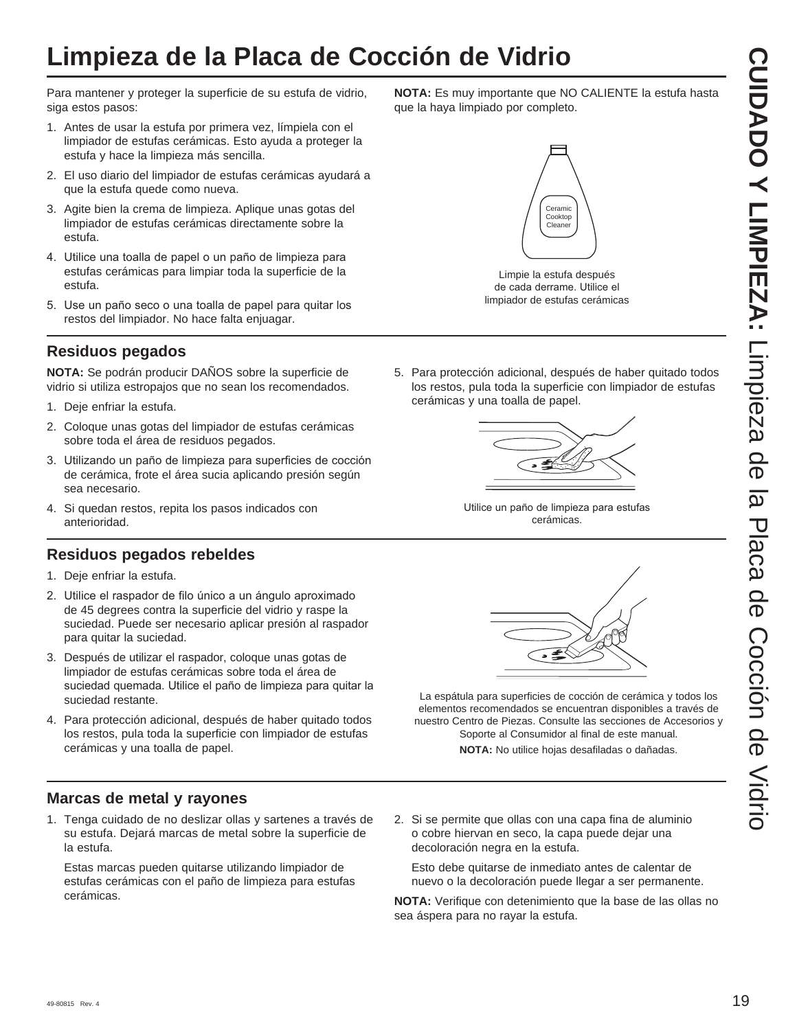## **Limpieza de la Placa de Cocción de Vidrio**

Para mantener y proteger la superficie de su estufa de vidrio, siga estos pasos:

- 1. Antes de usar la estufa por primera vez, límpiela con el limpiador de estufas cerámicas. Esto ayuda a proteger la estufa y hace la limpieza más sencilla.
- 2. El uso diario del limpiador de estufas cerámicas ayudará a que la estufa quede como nueva.
- 3. Agite bien la crema de limpieza. Aplique unas gotas del limpiador de estufas cerámicas directamente sobre la estufa.
- 4. Utilice una toalla de papel o un paño de limpieza para estufas cerámicas para limpiar toda la superficie de la estufa.
- 5. Use un paño seco o una toalla de papel para quitar los restos del limpiador. No hace falta enjuagar.

#### **Residuos pegados**

**NOTA:** Se podrán producir DAÑOS sobre la superficie de vidrio si utiliza estropajos que no sean los recomendados.

- 1. Deje enfriar la estufa.
- 2. Coloque unas gotas del limpiador de estufas cerámicas sobre toda el área de residuos pegados.
- 3. Utilizando un paño de limpieza para superficies de cocción de cerámica, frote el área sucia aplicando presión según sea necesario.
- 4. Si quedan restos, repita los pasos indicados con anterioridad.

#### **Residuos pegados rebeldes**

- 1. Deje enfriar la estufa.
- 2. Utilice el raspador de filo único a un ángulo aproximado de 45 degrees contra la superficie del vidrio y raspe la suciedad. Puede ser necesario aplicar presión al raspador para quitar la suciedad.
- 3. Después de utilizar el raspador, coloque unas gotas de limpiador de estufas cerámicas sobre toda el área de suciedad quemada. Utilice el paño de limpieza para quitar la suciedad restante.
- 4. Para protección adicional, después de haber quitado todos los restos, pula toda la superficie con limpiador de estufas cerámicas y una toalla de papel.

#### **Marcas de metal y rayones**

1. Tenga cuidado de no deslizar ollas y sartenes a través de su estufa. Dejará marcas de metal sobre la superficie de la estufa.

 Estas marcas pueden quitarse utilizando limpiador de estufas cerámicas con el paño de limpieza para estufas cerámicas.

**NOTA:** Es muy importante que NO CALIENTE la estufa hasta que la haya limpiado por completo.

# Ceramic Cooktop Cleaner

Limpie la estufa después de cada derrame. Utilice el limpiador de estufas cerámicas

5. Para protección adicional, después de haber quitado todos los restos, pula toda la superficie con limpiador de estufas cerámicas y una toalla de papel.



Utilice un paño de limpieza para estufas cerámicas.



La espátula para superficies de cocción de cerámica y todos los elementos recomendados se encuentran disponibles a través de nuestro Centro de Piezas. Consulte las secciones de Accesorios y Soporte al Consumidor al final de este manual.

**NOTA:** No utilice hojas desafiladas o dañadas.

2. Si se permite que ollas con una capa fina de aluminio o cobre hiervan en seco, la capa puede dejar una decoloración negra en la estufa.

 Esto debe quitarse de inmediato antes de calentar de nuevo o la decoloración puede llegar a ser permanente.

**NOTA:** Verifique con detenimiento que la base de las ollas no sea áspera para no rayar la estufa.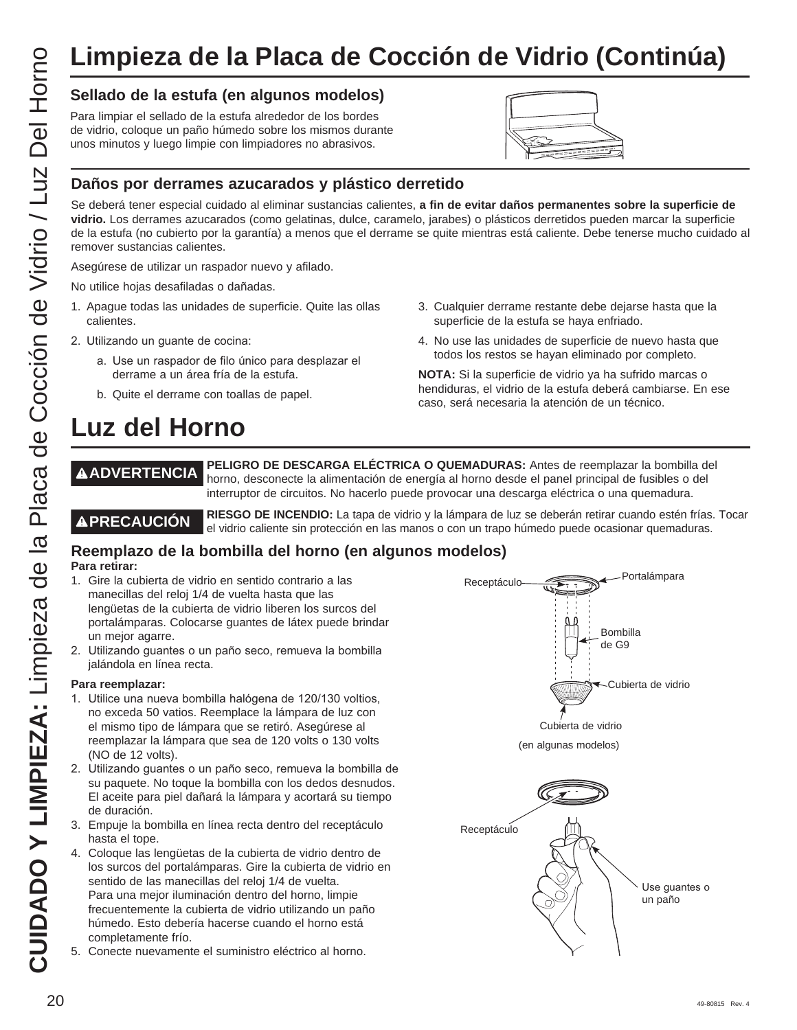## **Limpieza de la Placa de Cocción de Vidrio (Continúa)**

#### **Sellado de la estufa (en algunos modelos)**

Para limpiar el sellado de la estufa alrededor de los bordes de vidrio, coloque un paño húmedo sobre los mismos durante unos minutos y luego limpie con limpiadores no abrasivos.



3. Cualquier derrame restante debe dejarse hasta que la

4. No use las unidades de superficie de nuevo hasta que todos los restos se hayan eliminado por completo. **NOTA:** Si la superficie de vidrio ya ha sufrido marcas o hendiduras, el vidrio de la estufa deberá cambiarse. En ese

superficie de la estufa se haya enfriado.

caso, será necesaria la atención de un técnico.

Se deberá tener especial cuidado al eliminar sustancias calientes, **a fin de evitar daños permanentes sobre la superficie de vidrio.** Los derrames azucarados (como gelatinas, dulce, caramelo, jarabes) o plásticos derretidos pueden marcar la superficie de la estufa (no cubierto por la garantía) a menos que el derrame se quite mientras está caliente. Debe tenerse mucho cuidado al remover sustancias calientes.

Asegúrese de utilizar un raspador nuevo y afilado.

No utilice hojas desafiladas o dañadas.

- 1. Apague todas las unidades de superficie. Quite las ollas calientes.
- 2. Utilizando un guante de cocina:
	- a. Use un raspador de filo único para desplazar el derrame a un área fría de la estufa.
	- b. Quite el derrame con toallas de papel.

## **Luz del Horno**

**ADVERTENCIA PELIGRO DE DESCARGA ELÉCTRICA O QUEMADURAS:** Antes de reemplazar la bombilla del horno, desconecte la alimentación de energía al horno desde el panel principal de fusibles o del interruptor de circuitos. No hacerlo puede provocar una descarga eléctrica o una quemadura.

**A PRECAUCIÓN** RIESGO DE INCENDIO: La tapa de vidrio y la lámpara de luz se deberán retirar cuando estén frías. Tocar el vidrio caliente sin protección en las manos o con un trapo húmedo puede ocasionar quemaduras.

#### **Reemplazo de la bombilla del horno (en algunos modelos) Para retirar:**

- 1. Gire la cubierta de vidrio en sentido contrario a las manecillas del reloj 1/4 de vuelta hasta que las lengüetas de la cubierta de vidrio liberen los surcos del portalámparas. Colocarse guantes de látex puede brindar un mejor agarre.
- 2. Utilizando guantes o un paño seco, remueva la bombilla jalándola en línea recta.

#### **Para reemplazar:**

- 1. Utilice una nueva bombilla halógena de 120/130 voltios, no exceda 50 vatios. Reemplace la lámpara de luz con el mismo tipo de lámpara que se retiró. Asegúrese al reemplazar la lámpara que sea de 120 volts o 130 volts (NO de 12 volts).
- 2. Utilizando quantes o un paño seco, remueva la bombilla de su paquete. No toque la bombilla con los dedos desnudos. El aceite para piel dañará la lámpara y acortará su tiempo de duración.
- 3. Empuje la bombilla en línea recta dentro del receptáculo hasta el tope.
- 4. Coloque las lengüetas de la cubierta de vidrio dentro de los surcos del portalámparas. Gire la cubierta de vidrio en sentido de las manecillas del reloj 1/4 de vuelta. Para una mejor iluminación dentro del horno, limpie frecuentemente la cubierta de vidrio utilizando un paño húmedo. Esto debería hacerse cuando el horno está completamente frío.
- 5. Conecte nuevamente el suministro eléctrico al horno.



(en algunas modelos)

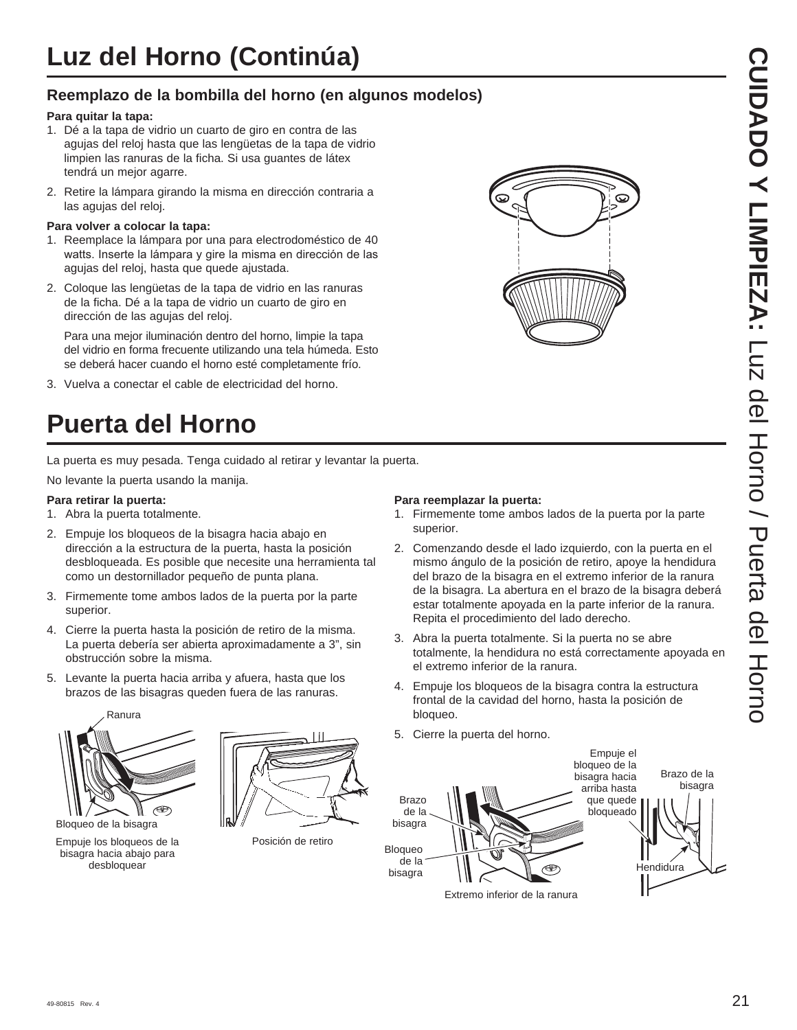## **Reemplazo de la bombilla del horno (en algunos modelos)**

#### **Para quitar la tapa:**

- 1. Dé a la tapa de vidrio un cuarto de giro en contra de las agujas del reloj hasta que las lengüetas de la tapa de vidrio limpien las ranuras de la ficha. Si usa guantes de látex tendrá un mejor agarre.
- 2. Retire la lámpara girando la misma en dirección contraria a las agujas del reloj.

#### **Para volver a colocar la tapa:**

- 1. Reemplace la lámpara por una para electrodoméstico de 40 watts. Inserte la lámpara y gire la misma en dirección de las agujas del reloj, hasta que quede ajustada.
- 2. Coloque las lengüetas de la tapa de vidrio en las ranuras de la ficha. Dé a la tapa de vidrio un cuarto de giro en dirección de las agujas del reloj.

Para una mejor iluminación dentro del horno, limpie la tapa del vidrio en forma frecuente utilizando una tela húmeda. Esto se deberá hacer cuando el horno esté completamente frío.

3. Vuelva a conectar el cable de electricidad del horno.

# **Puerta del Horno**

La puerta es muy pesada. Tenga cuidado al retirar y levantar la puerta.

No levante la puerta usando la manija.

#### **Para retirar la puerta:**

- 1. Abra la puerta totalmente.
- 2. Empuje los bloqueos de la bisagra hacia abajo en dirección a la estructura de la puerta, hasta la posición desbloqueada. Es posible que necesite una herramienta tal como un destornillador pequeño de punta plana.
- 3. Firmemente tome ambos lados de la puerta por la parte superior.
- 4. Cierre la puerta hasta la posición de retiro de la misma. La puerta debería ser abierta aproximadamente a 3", sin obstrucción sobre la misma.
- 5. Levante la puerta hacia arriba y afuera, hasta que los brazos de las bisagras queden fuera de las ranuras.





Empuje los bloqueos de la bisagra hacia abajo para desbloquear

Posición de retiro

#### **Para reemplazar la puerta:**

- 1. Firmemente tome ambos lados de la puerta por la parte superior.
- 2. Comenzando desde el lado izquierdo, con la puerta en el mismo ángulo de la posición de retiro, apoye la hendidura del brazo de la bisagra en el extremo inferior de la ranura de la bisagra. La abertura en el brazo de la bisagra deberá estar totalmente apoyada en la parte inferior de la ranura. Repita el procedimiento del lado derecho.
- 3. Abra la puerta totalmente. Si la puerta no se abre totalmente, la hendidura no está correctamente apoyada en el extremo inferior de la ranura.
- 4. Empuje los bloqueos de la bisagra contra la estructura frontal de la cavidad del horno, hasta la posición de bloqueo.
- 5. Cierre la puerta del horno.



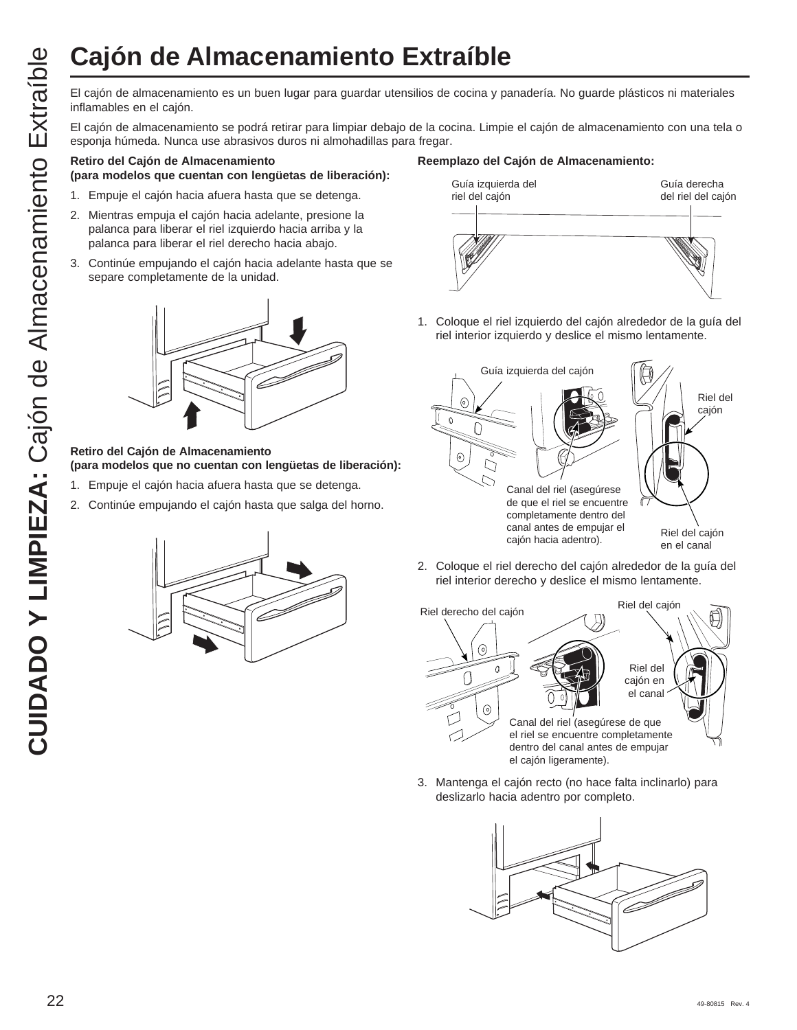El cajón de almacenamiento es un buen lugar para guardar utensilios de cocina y panadería. No guarde plásticos ni materiales inflamables en el cajón.

El cajón de almacenamiento se podrá retirar para limpiar debajo de la cocina. Limpie el cajón de almacenamiento con una tela o esponja húmeda. Nunca use abrasivos duros ni almohadillas para fregar.

#### **Retiro del Cajón de Almacenamiento**

- **(para modelos que cuentan con lengüetas de liberación):**
- 1. Empuje el cajón hacia afuera hasta que se detenga.
- 2. Mientras empuja el cajón hacia adelante, presione la palanca para liberar el riel izquierdo hacia arriba y la palanca para liberar el riel derecho hacia abajo.
- 3. Continúe empujando el cajón hacia adelante hasta que se separe completamente de la unidad.



#### **Retiro del Cajón de Almacenamiento (para modelos que no cuentan con lengüetas de liberación):**

- 1. Empuje el cajón hacia afuera hasta que se detenga.
- 2. Continúe empujando el cajón hasta que salga del horno.



#### **Reemplazo del Cajón de Almacenamiento:**



1. Coloque el riel izquierdo del cajón alrededor de la guía del riel interior izquierdo y deslice el mismo lentamente.



2. Coloque el riel derecho del cajón alrededor de la guía del riel interior derecho y deslice el mismo lentamente.



3. Mantenga el cajón recto (no hace falta inclinarlo) para deslizarlo hacia adentro por completo.

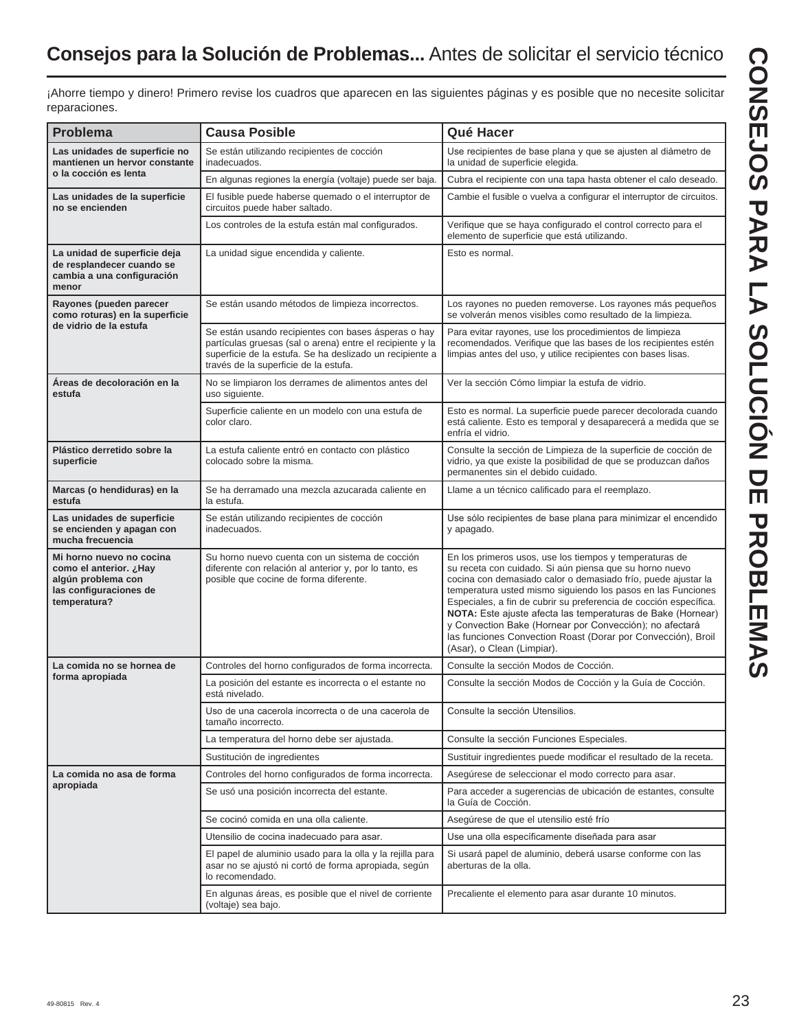## **Consejos para la Solución de Problemas...** Antes de solicitar el servicio técnico

¡Ahorre tiempo y dinero! Primero revise los cuadros que aparecen en las siguientes páginas y es posible que no necesite solicitar reparaciones.

| <b>Problema</b>                                                                                                        | <b>Causa Posible</b>                                                                                                                                                                                                  | Qué Hacer                                                                                                                                                                                                                                                                                                                                                                                                                                                                                                                                        |  |
|------------------------------------------------------------------------------------------------------------------------|-----------------------------------------------------------------------------------------------------------------------------------------------------------------------------------------------------------------------|--------------------------------------------------------------------------------------------------------------------------------------------------------------------------------------------------------------------------------------------------------------------------------------------------------------------------------------------------------------------------------------------------------------------------------------------------------------------------------------------------------------------------------------------------|--|
| Las unidades de superficie no<br>mantienen un hervor constante                                                         | Se están utilizando recipientes de cocción<br>inadecuados.                                                                                                                                                            | Use recipientes de base plana y que se ajusten al diámetro de<br>la unidad de superficie elegida.                                                                                                                                                                                                                                                                                                                                                                                                                                                |  |
| o la cocción es lenta                                                                                                  | En algunas regiones la energía (voltaje) puede ser baja.                                                                                                                                                              | Cubra el recipiente con una tapa hasta obtener el calo deseado.                                                                                                                                                                                                                                                                                                                                                                                                                                                                                  |  |
| Las unidades de la superficie<br>no se encienden                                                                       | El fusible puede haberse quemado o el interruptor de<br>circuitos puede haber saltado.                                                                                                                                | Cambie el fusible o vuelva a configurar el interruptor de circuitos.                                                                                                                                                                                                                                                                                                                                                                                                                                                                             |  |
|                                                                                                                        | Los controles de la estufa están mal configurados.                                                                                                                                                                    | Verifique que se haya configurado el control correcto para el<br>elemento de superficie que está utilizando.                                                                                                                                                                                                                                                                                                                                                                                                                                     |  |
| La unidad de superficie deja<br>de resplandecer cuando se<br>cambia a una configuración<br>menor                       | La unidad sigue encendida y caliente.                                                                                                                                                                                 | Esto es normal.                                                                                                                                                                                                                                                                                                                                                                                                                                                                                                                                  |  |
| Rayones (pueden parecer<br>como roturas) en la superficie                                                              | Se están usando métodos de limpieza incorrectos.                                                                                                                                                                      | Los rayones no pueden removerse. Los rayones más pequeños<br>se volverán menos visibles como resultado de la limpieza.                                                                                                                                                                                                                                                                                                                                                                                                                           |  |
| de vidrio de la estufa                                                                                                 | Se están usando recipientes con bases ásperas o hay<br>partículas gruesas (sal o arena) entre el recipiente y la<br>superficie de la estufa. Se ha deslizado un recipiente a<br>través de la superficie de la estufa. | Para evitar rayones, use los procedimientos de limpieza<br>recomendados. Verifique que las bases de los recipientes estén<br>limpias antes del uso, y utilice recipientes con bases lisas.                                                                                                                                                                                                                                                                                                                                                       |  |
| Áreas de decoloración en la<br>estufa                                                                                  | No se limpiaron los derrames de alimentos antes del<br>uso siguiente.                                                                                                                                                 | Ver la sección Cómo limpiar la estufa de vidrio.                                                                                                                                                                                                                                                                                                                                                                                                                                                                                                 |  |
|                                                                                                                        | Superficie caliente en un modelo con una estufa de<br>color claro.                                                                                                                                                    | Esto es normal. La superficie puede parecer decolorada cuando<br>está caliente. Esto es temporal y desaparecerá a medida que se<br>enfría el vidrio.                                                                                                                                                                                                                                                                                                                                                                                             |  |
| Plástico derretido sobre la<br>superficie                                                                              | La estufa caliente entró en contacto con plástico<br>colocado sobre la misma.                                                                                                                                         | Consulte la sección de Limpieza de la superficie de cocción de<br>vidrio, ya que existe la posibilidad de que se produzcan daños<br>permanentes sin el debido cuidado.                                                                                                                                                                                                                                                                                                                                                                           |  |
| Marcas (o hendiduras) en la<br>estufa                                                                                  | Se ha derramado una mezcla azucarada caliente en<br>la estufa.                                                                                                                                                        | Llame a un técnico calificado para el reemplazo.                                                                                                                                                                                                                                                                                                                                                                                                                                                                                                 |  |
| Las unidades de superficie<br>se encienden y apagan con<br>mucha frecuencia                                            | Se están utilizando recipientes de cocción<br>inadecuados.                                                                                                                                                            | Use sólo recipientes de base plana para minimizar el encendido<br>y apagado.                                                                                                                                                                                                                                                                                                                                                                                                                                                                     |  |
| Mi horno nuevo no cocina<br>Hayوcomo el anterior. ¿Hay<br>algún problema con<br>las configuraciones de<br>temperatura? | Su horno nuevo cuenta con un sistema de cocción<br>diferente con relación al anterior y, por lo tanto, es<br>posible que cocine de forma diferente.                                                                   | En los primeros usos, use los tiempos y temperaturas de<br>su receta con cuidado. Si aún piensa que su horno nuevo<br>cocina con demasiado calor o demasiado frío, puede ajustar la<br>temperatura usted mismo siguiendo los pasos en las Funciones<br>Especiales, a fin de cubrir su preferencia de cocción específica.<br>NOTA: Este ajuste afecta las temperaturas de Bake (Hornear)<br>y Convection Bake (Hornear por Convección); no afectará<br>las funciones Convection Roast (Dorar por Convección), Broil<br>(Asar), o Clean (Limpiar). |  |
| La comida no se hornea de                                                                                              | Controles del horno configurados de forma incorrecta.                                                                                                                                                                 | Consulte la sección Modos de Cocción.                                                                                                                                                                                                                                                                                                                                                                                                                                                                                                            |  |
| forma apropiada                                                                                                        | La posición del estante es incorrecta o el estante no<br>está nivelado.                                                                                                                                               | Consulte la sección Modos de Cocción y la Guía de Cocción.                                                                                                                                                                                                                                                                                                                                                                                                                                                                                       |  |
|                                                                                                                        | Uso de una cacerola incorrecta o de una cacerola de<br>tamaño incorrecto.                                                                                                                                             | Consulte la sección Utensilios.                                                                                                                                                                                                                                                                                                                                                                                                                                                                                                                  |  |
|                                                                                                                        | La temperatura del horno debe ser ajustada.                                                                                                                                                                           | Consulte la sección Funciones Especiales.                                                                                                                                                                                                                                                                                                                                                                                                                                                                                                        |  |
|                                                                                                                        | Sustitución de ingredientes                                                                                                                                                                                           | Sustituir ingredientes puede modificar el resultado de la receta.                                                                                                                                                                                                                                                                                                                                                                                                                                                                                |  |
| La comida no asa de forma                                                                                              | Controles del horno configurados de forma incorrecta.                                                                                                                                                                 | Asegúrese de seleccionar el modo correcto para asar.                                                                                                                                                                                                                                                                                                                                                                                                                                                                                             |  |
| apropiada                                                                                                              | Se usó una posición incorrecta del estante.                                                                                                                                                                           | Para acceder a sugerencias de ubicación de estantes, consulte<br>la Guía de Cocción.                                                                                                                                                                                                                                                                                                                                                                                                                                                             |  |
|                                                                                                                        | Se cocinó comida en una olla caliente.                                                                                                                                                                                | Asegúrese de que el utensilio esté frío                                                                                                                                                                                                                                                                                                                                                                                                                                                                                                          |  |
|                                                                                                                        | Utensilio de cocina inadecuado para asar.                                                                                                                                                                             | Use una olla específicamente diseñada para asar                                                                                                                                                                                                                                                                                                                                                                                                                                                                                                  |  |
|                                                                                                                        | El papel de aluminio usado para la olla y la rejilla para<br>asar no se ajustó ni cortó de forma apropiada, según<br>lo recomendado.                                                                                  | Si usará papel de aluminio, deberá usarse conforme con las<br>aberturas de la olla.                                                                                                                                                                                                                                                                                                                                                                                                                                                              |  |
|                                                                                                                        | En algunas áreas, es posible que el nivel de corriente<br>(voltaje) sea bajo.                                                                                                                                         | Precaliente el elemento para asar durante 10 minutos.                                                                                                                                                                                                                                                                                                                                                                                                                                                                                            |  |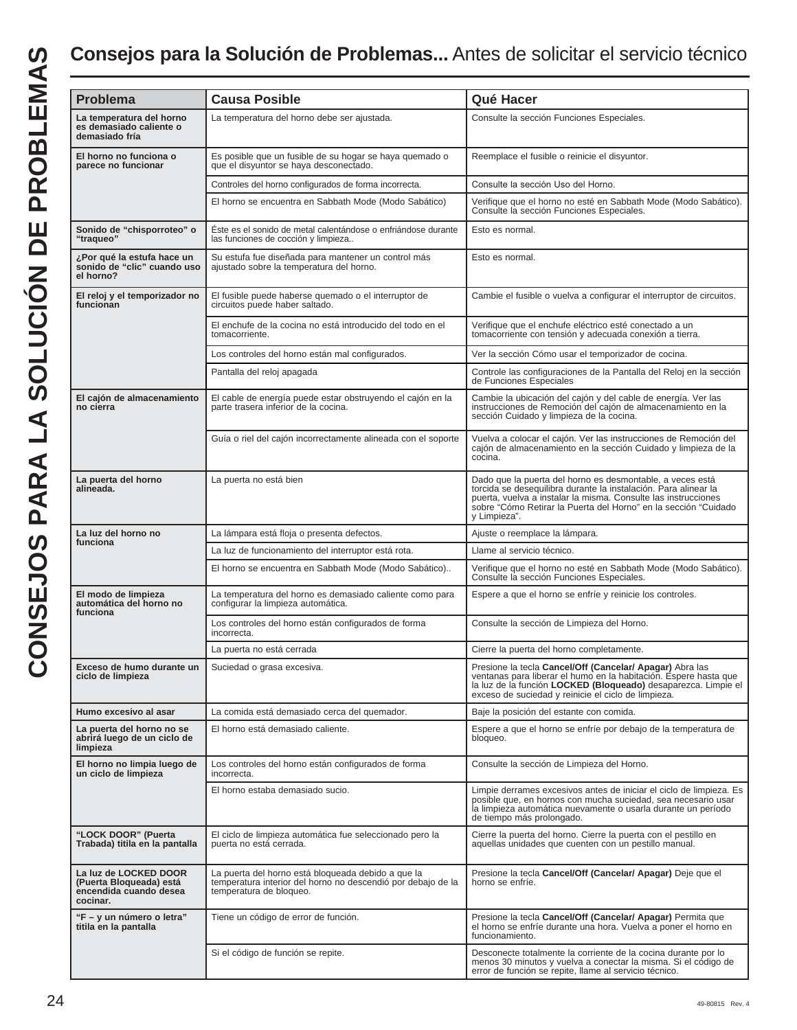## **Consejos para la Solución de Problemas...** Antes de solicitar el servicio técnico

| <b>Problema</b>                                                                        | <b>Causa Posible</b>                                                                                                                          | Qué Hacer                                                                                                                                                                                                                                                                         |
|----------------------------------------------------------------------------------------|-----------------------------------------------------------------------------------------------------------------------------------------------|-----------------------------------------------------------------------------------------------------------------------------------------------------------------------------------------------------------------------------------------------------------------------------------|
| La temperatura del horno                                                               | La temperatura del horno debe ser ajustada.                                                                                                   | Consulte la sección Funciones Especiales.                                                                                                                                                                                                                                         |
| es demasiado caliente o<br>demasiado fría                                              |                                                                                                                                               |                                                                                                                                                                                                                                                                                   |
| El horno no funciona o<br>parece no funcionar                                          | Es posible que un fusible de su hogar se haya quemado o<br>que el disyuntor se haya desconectado.                                             | Reemplace el fusible o reinicie el disyuntor.                                                                                                                                                                                                                                     |
|                                                                                        | Controles del horno configurados de forma incorrecta.                                                                                         | Consulte la sección Uso del Horno.                                                                                                                                                                                                                                                |
|                                                                                        | El horno se encuentra en Sabbath Mode (Modo Sabático)                                                                                         | Verifique que el horno no esté en Sabbath Mode (Modo Sabático).<br>Consulte la sección Funciones Especiales.                                                                                                                                                                      |
| Sonido de "chisporroteo" o<br>"traqueo"                                                | Éste es el sonido de metal calentándose o enfriándose durante<br>las funciones de cocción y limpieza                                          | Esto es normal.                                                                                                                                                                                                                                                                   |
| ¿Por qué la estufa hace un<br>sonido de "clic" cuando uso<br>el horno?                 | Su estufa fue diseñada para mantener un control más<br>ajustado sobre la temperatura del horno.                                               | Esto es normal.                                                                                                                                                                                                                                                                   |
| El reloj y el temporizador no<br>funcionan                                             | El fusible puede haberse quemado o el interruptor de<br>circuitos puede haber saltado.                                                        | Cambie el fusible o vuelva a configurar el interruptor de circuitos.                                                                                                                                                                                                              |
|                                                                                        | El enchufe de la cocina no está introducido del todo en el<br>tomacorriente.                                                                  | Verifique que el enchufe eléctrico esté conectado a un<br>tomacorriente con tensión y adecuada conexión a tierra.                                                                                                                                                                 |
|                                                                                        | Los controles del horno están mal configurados.                                                                                               | Ver la sección Cómo usar el temporizador de cocina.                                                                                                                                                                                                                               |
|                                                                                        | Pantalla del reloj apagada                                                                                                                    | Controle las configuraciones de la Pantalla del Reloj en la sección<br>de Funciones Especiales                                                                                                                                                                                    |
| El cajón de almacenamiento<br>no cierra                                                | El cable de energía puede estar obstruyendo el cajón en la<br>parte trasera inferior de la cocina.                                            | Cambie la ubicación del cajón y del cable de energía. Ver las<br>instrucciones de Remoción del cajón de almacenamiento en la<br>sección Cuidado y limpieza de la cocina.                                                                                                          |
|                                                                                        | Guía o riel del cajón incorrectamente alineada con el soporte                                                                                 | Vuelva a colocar el cajón. Ver las instrucciones de Remoción del<br>cajón de almacenamiento en la sección Cuidado y limpieza de la<br>cocina.                                                                                                                                     |
| La puerta del horno<br>alineada.                                                       | La puerta no está bien                                                                                                                        | Dado que la puerta del horno es desmontable, a veces está<br>torcida se desequilibra durante la instalación. Para alinear la<br>puerta, vuelva a instalar la misma. Consulte las instrucciones<br>sobre "Cómo Retirar la Puerta del Horno" en la sección "Cuidado<br>y Limpieza". |
| La luz del horno no<br>funciona                                                        | La lámpara está floja o presenta defectos.                                                                                                    | Ajuste o reemplace la lámpara.                                                                                                                                                                                                                                                    |
|                                                                                        | La luz de funcionamiento del interruptor está rota.                                                                                           | Llame al servicio técnico.                                                                                                                                                                                                                                                        |
|                                                                                        | El horno se encuentra en Sabbath Mode (Modo Sabático)                                                                                         | Verifique que el horno no esté en Sabbath Mode (Modo Sabático).<br>Consulte la sección Funciones Especiales.                                                                                                                                                                      |
| El modo de limpieza<br>automática del horno no<br>funciona                             | La temperatura del horno es demasiado caliente como para<br>configurar la limpieza automática.                                                | Espere a que el horno se enfríe y reinicie los controles.                                                                                                                                                                                                                         |
|                                                                                        | Los controles del horno están configurados de forma<br>incorrecta.                                                                            | Consulte la sección de Limpieza del Horno.                                                                                                                                                                                                                                        |
|                                                                                        | La puerta no está cerrada                                                                                                                     | Cierre la puerta del horno completamente.                                                                                                                                                                                                                                         |
| Exceso de humo durante un<br>ciclo de limpieza                                         | Suciedad o grasa excesiva.                                                                                                                    | Presione la tecla Cancel/Off (Cancelar/ Apagar) Abra las<br>ventanas para liberar el humo en la habitación. Espere hasta que<br>la luz de la función LOCKED (Bloqueado) desaparezca. Limpie el<br>exceso de suciedad y reinicie el ciclo de limpieza.                             |
| Humo excesivo al asar                                                                  | La comida está demasiado cerca del quemador.                                                                                                  | Baje la posición del estante con comida.                                                                                                                                                                                                                                          |
| La puerta del horno no se<br>abrirá luego de un ciclo de<br>limpieza                   | El horno está demasiado caliente.                                                                                                             | Espere a que el horno se enfríe por debajo de la temperatura de<br>bloqueo.                                                                                                                                                                                                       |
| El horno no limpia luego de<br>un ciclo de limpieza                                    | Los controles del horno están configurados de forma<br>incorrecta.                                                                            | Consulte la sección de Limpieza del Horno.                                                                                                                                                                                                                                        |
|                                                                                        | El horno estaba demasiado sucio.                                                                                                              | Limpie derrames excesivos antes de iniciar el ciclo de limpieza. Es<br>posible que, en hornos con mucha suciedad, sea necesario usar<br>la limpieza automática nuevamente o usarla durante un período<br>de tiempo más prolongado.                                                |
| "LOCK DOOR" (Puerta<br>Trabada) titila en la pantalla                                  | El ciclo de limpieza automática fue seleccionado pero la<br>puerta no está cerrada.                                                           | Cierre la puerta del horno. Cierre la puerta con el pestillo en<br>aquellas unidades que cuenten con un pestillo manual.                                                                                                                                                          |
| La luz de LOCKED DOOR<br>(Puerta Bloqueada) está<br>encendida cuando desea<br>cocinar. | La puerta del horno está bloqueada debido a que la<br>temperatura interior del horno no descendió por debajo de la<br>temperatura de bloqueo. | Presione la tecla Cancel/Off (Cancelar/ Apagar) Deje que el<br>horno se enfríe.                                                                                                                                                                                                   |
| "F – y un número o letra"<br>titila en la pantalla                                     | Tiene un código de error de función.                                                                                                          | Presione la tecla Cancel/Off (Cancelar/ Apagar) Permita que<br>el horno se enfríe durante una hora. Vuelva a poner el horno en<br>funcionamiento.                                                                                                                                 |
|                                                                                        | Si el código de función se repite.                                                                                                            | Desconecte totalmente la corriente de la cocina durante por lo<br>menos 30 minutos y vuelva a conectar la misma. Si el código de<br>error de función se repite, llame al servicio técnico.                                                                                        |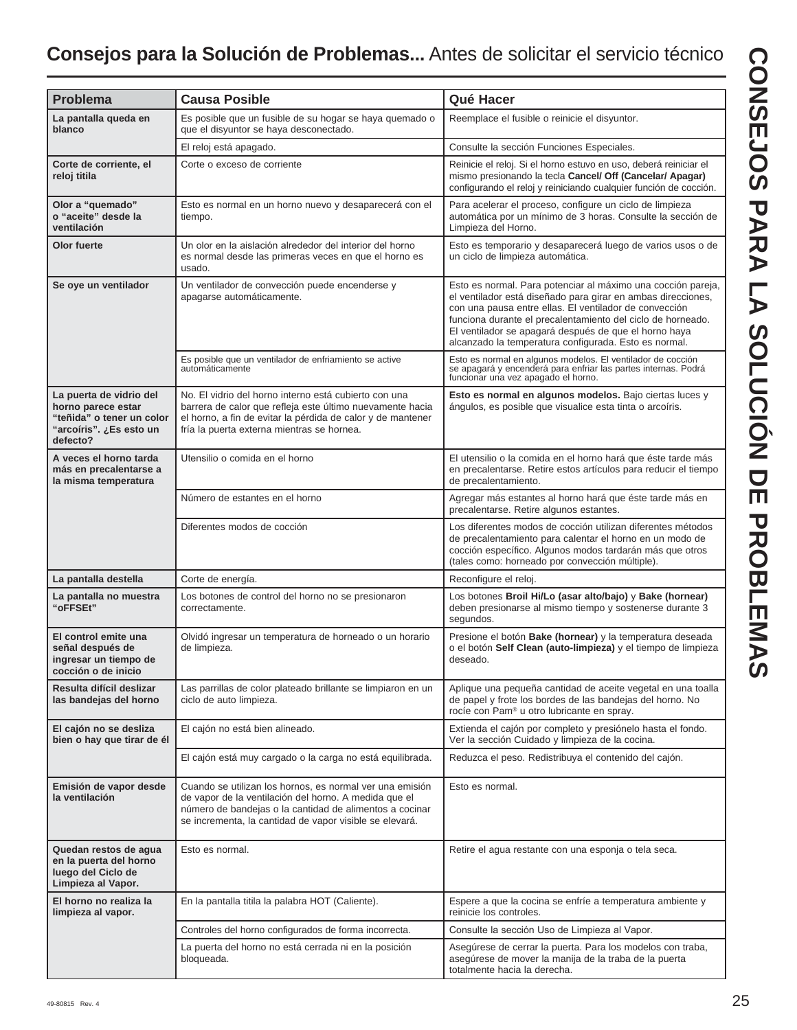## **Consejos para la Solución de Problemas...** Antes de solicitar el servicio técnico

| <b>Problema</b>                                                                                                   | <b>Causa Posible</b>                                                                                                                                                                                                                    | Qué Hacer                                                                                                                                                                                                                                                                                                                                                               |
|-------------------------------------------------------------------------------------------------------------------|-----------------------------------------------------------------------------------------------------------------------------------------------------------------------------------------------------------------------------------------|-------------------------------------------------------------------------------------------------------------------------------------------------------------------------------------------------------------------------------------------------------------------------------------------------------------------------------------------------------------------------|
| La pantalla queda en<br>blanco                                                                                    | Es posible que un fusible de su hogar se haya quemado o<br>que el disyuntor se haya desconectado.                                                                                                                                       | Reemplace el fusible o reinicie el disyuntor.                                                                                                                                                                                                                                                                                                                           |
|                                                                                                                   | El reloj está apagado.                                                                                                                                                                                                                  | Consulte la sección Funciones Especiales.                                                                                                                                                                                                                                                                                                                               |
| Corte de corriente, el<br>reloj titila                                                                            | Corte o exceso de corriente                                                                                                                                                                                                             | Reinicie el reloj. Si el horno estuvo en uso, deberá reiniciar el<br>mismo presionando la tecla Cancel/ Off (Cancelar/ Apagar)<br>configurando el reloj y reiniciando cualquier función de cocción.                                                                                                                                                                     |
| Olor a "quemado"<br>o "aceite" desde la<br>ventilación                                                            | Esto es normal en un horno nuevo y desaparecerá con el<br>tiempo.                                                                                                                                                                       | Para acelerar el proceso, configure un ciclo de limpieza<br>automática por un mínimo de 3 horas. Consulte la sección de<br>Limpieza del Horno.                                                                                                                                                                                                                          |
| Olor fuerte                                                                                                       | Un olor en la aislación alrededor del interior del horno<br>es normal desde las primeras veces en que el horno es<br>usado.                                                                                                             | Esto es temporario y desaparecerá luego de varios usos o de<br>un ciclo de limpieza automática.                                                                                                                                                                                                                                                                         |
| Se oye un ventilador                                                                                              | Un ventilador de convección puede encenderse y<br>apagarse automáticamente.                                                                                                                                                             | Esto es normal. Para potenciar al máximo una cocción pareja,<br>el ventilador está diseñado para girar en ambas direcciones,<br>con una pausa entre ellas. El ventilador de convección<br>funciona durante el precalentamiento del ciclo de horneado.<br>El ventilador se apagará después de que el horno haya<br>alcanzado la temperatura configurada. Esto es normal. |
|                                                                                                                   | Es posible que un ventilador de enfriamiento se active<br>automáticamente                                                                                                                                                               | Esto es normal en algunos modelos. El ventilador de cocción<br>se apagará y encenderá para enfriar las partes internas. Podrá<br>funcionar una vez apagado el horno.                                                                                                                                                                                                    |
| La puerta de vidrio del<br>horno parece estar<br>"teñida" o tener un color<br>"arcoíris". ¿Es esto un<br>defecto? | No. El vidrio del horno interno está cubierto con una<br>barrera de calor que refleja este último nuevamente hacia<br>el horno, a fin de evitar la pérdida de calor y de mantener<br>fría la puerta externa mientras se hornea.         | Esto es normal en algunos modelos. Bajo ciertas luces y<br>ángulos, es posible que visualice esta tinta o arcoíris.                                                                                                                                                                                                                                                     |
| A veces el horno tarda<br>más en precalentarse a<br>la misma temperatura                                          | Utensilio o comida en el horno                                                                                                                                                                                                          | El utensilio o la comida en el horno hará que éste tarde más<br>en precalentarse. Retire estos artículos para reducir el tiempo<br>de precalentamiento.                                                                                                                                                                                                                 |
|                                                                                                                   | Número de estantes en el horno                                                                                                                                                                                                          | Agregar más estantes al horno hará que éste tarde más en<br>precalentarse. Retire algunos estantes.                                                                                                                                                                                                                                                                     |
|                                                                                                                   | Diferentes modos de cocción                                                                                                                                                                                                             | Los diferentes modos de cocción utilizan diferentes métodos<br>de precalentamiento para calentar el horno en un modo de<br>cocción específico. Algunos modos tardarán más que otros<br>(tales como: horneado por convección múltiple).                                                                                                                                  |
| La pantalla destella                                                                                              | Corte de energía.                                                                                                                                                                                                                       | Reconfigure el reloj.                                                                                                                                                                                                                                                                                                                                                   |
| La pantalla no muestra<br>"oFFSEt"                                                                                | Los botones de control del horno no se presionaron<br>correctamente.                                                                                                                                                                    | Los botones Broil Hi/Lo (asar alto/bajo) y Bake (hornear)<br>deben presionarse al mismo tiempo y sostenerse durante 3<br>segundos.                                                                                                                                                                                                                                      |
| El control emite una<br>señal después de<br>ingresar un tiempo de<br>cocción o de inicio                          | Olvidó ingresar un temperatura de horneado o un horario<br>de limpieza.                                                                                                                                                                 | Presione el botón Bake (hornear) y la temperatura deseada<br>o el botón Self Clean (auto-limpieza) y el tiempo de limpieza<br>deseado.                                                                                                                                                                                                                                  |
| Resulta difícil deslizar<br>las bandejas del horno                                                                | Las parrillas de color plateado brillante se limpiaron en un<br>ciclo de auto limpieza.                                                                                                                                                 | Aplique una pequeña cantidad de aceite vegetal en una toalla<br>de papel y frote los bordes de las bandejas del horno. No<br>rocíe con Pam <sup>®</sup> u otro lubricante en spray.                                                                                                                                                                                     |
| El cajón no se desliza<br>bien o hay que tirar de él                                                              | El cajón no está bien alineado.                                                                                                                                                                                                         | Extienda el cajón por completo y presiónelo hasta el fondo.<br>Ver la sección Cuidado y limpieza de la cocina.                                                                                                                                                                                                                                                          |
|                                                                                                                   | El cajón está muy cargado o la carga no está equilibrada.                                                                                                                                                                               | Reduzca el peso. Redistribuya el contenido del cajón.                                                                                                                                                                                                                                                                                                                   |
| Emisión de vapor desde<br>la ventilación                                                                          | Cuando se utilizan los hornos, es normal ver una emisión<br>de vapor de la ventilación del horno. A medida que el<br>número de bandejas o la cantidad de alimentos a cocinar<br>se incrementa, la cantidad de vapor visible se elevará. | Esto es normal.                                                                                                                                                                                                                                                                                                                                                         |
| Quedan restos de agua<br>en la puerta del horno<br>luego del Ciclo de<br>Limpieza al Vapor.                       | Esto es normal.                                                                                                                                                                                                                         | Retire el agua restante con una esponja o tela seca.                                                                                                                                                                                                                                                                                                                    |
| El horno no realiza la<br>limpieza al vapor.                                                                      | En la pantalla titila la palabra HOT (Caliente).                                                                                                                                                                                        | Espere a que la cocina se enfríe a temperatura ambiente y<br>reinicie los controles.                                                                                                                                                                                                                                                                                    |
|                                                                                                                   | Controles del horno configurados de forma incorrecta.                                                                                                                                                                                   | Consulte la sección Uso de Limpieza al Vapor.                                                                                                                                                                                                                                                                                                                           |
|                                                                                                                   | La puerta del horno no está cerrada ni en la posición<br>bloqueada.                                                                                                                                                                     | Asegúrese de cerrar la puerta. Para los modelos con traba,<br>asegúrese de mover la manija de la traba de la puerta<br>totalmente hacia la derecha.                                                                                                                                                                                                                     |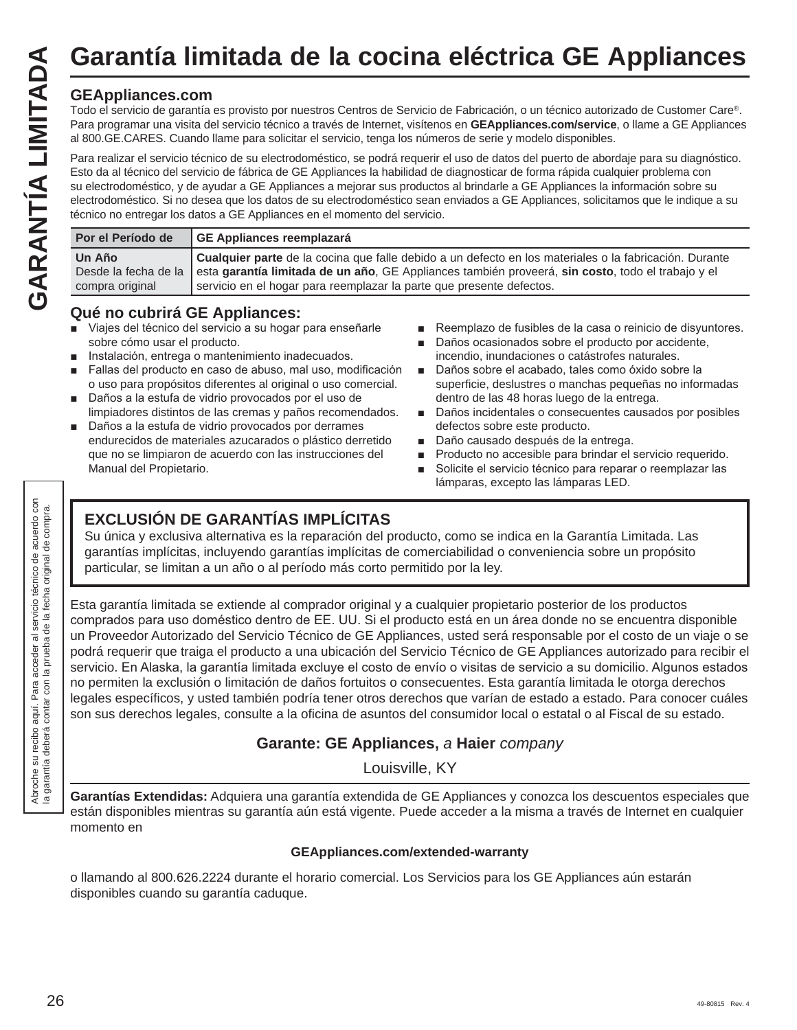Todo el servicio de garantía es provisto por nuestros Centros de Servicio de Fabricación, o un técnico autorizado de Customer Care®. Para programar una visita del servicio técnico a través de Internet, visítenos en **GEAppliances.com/service**, o llame a GE Appliances al 800.GE.CARES. Cuando llame para solicitar el servicio, tenga los números de serie y modelo disponibles.

Para realizar el servicio técnico de su electrodoméstico, se podrá requerir el uso de datos del puerto de abordaje para su diagnóstico. Esto da al técnico del servicio de fábrica de GE Appliances la habilidad de diagnosticar de forma rápida cualquier problema con su electrodoméstico, y de ayudar a GE Appliances a mejorar sus productos al brindarle a GE Appliances la información sobre su electrodoméstico. Si no desea que los datos de su electrodoméstico sean enviados a GE Appliances, solicitamos que le indique a su técnico no entregar los datos a GE Appliances en el momento del servicio. Garantía limitada de la cocina eléctrica GE Appliances<br>
For experiments are provisive por nuestros Centros de Servicio de Fabricación, o un técnico autorizado de Customer Care<sup>®</sup>.<br>
Para programar una visita del servicio té

| Por el Período de         | GE Appliances reemplazará                                                                                                                                                                                                                                                                                |
|---------------------------|----------------------------------------------------------------------------------------------------------------------------------------------------------------------------------------------------------------------------------------------------------------------------------------------------------|
| Un Año<br>compra original | Cualquier parte de la cocina que falle debido a un defecto en los materiales o la fabricación. Durante<br>Desde la fecha de la esta garantía limitada de un año, GE Appliances también proveerá, sin costo, todo el trabajo y el<br>servicio en el hogar para reemplazar la parte que presente defectos. |

#### **Qué no cubrirá GE Appliances:**

- Viajes del técnico del servicio a su hogar para enseñarle sobre cómo usar el producto.
- Instalación, entrega o mantenimiento inadecuados.
- Fallas del producto en caso de abuso, mal uso, modificación o uso para propósitos diferentes al original o uso comercial.
- Daños a la estufa de vidrio provocados por el uso de limpiadores distintos de las cremas y paños recomendados.
- Daños a la estufa de vidrio provocados por derrames endurecidos de materiales azucarados o plástico derretido que no se limpiaron de acuerdo con las instrucciones del Manual del Propietario.
- Reemplazo de fusibles de la casa o reinicio de disyuntores.
- Daños ocasionados sobre el producto por accidente, incendio, inundaciones o catástrofes naturales.
- Daños sobre el acabado, tales como óxido sobre la superficie, deslustres o manchas pequeñas no informadas dentro de las 48 horas luego de la entrega.
- Daños incidentales o consecuentes causados por posibles defectos sobre este producto.
- Daño causado después de la entrega.
- Producto no accesible para brindar el servicio requerido.
- Solicite el servicio técnico para reparar o reemplazar las lámparas, excepto las lámparas LED.

#### **EXCLUSIÓN DE GARANTÍAS IMPLÍCITAS**

Su única y exclusiva alternativa es la reparación del producto, como se indica en la Garantía Limitada. Las garantías implícitas, incluyendo garantías implícitas de comerciabilidad o conveniencia sobre un propósito particular, se limitan a un año o al período más corto permitido por la ley.

Esta garantía limitada se extiende al comprador original y a cualquier propietario posterior de los productos comprados para uso doméstico dentro de EE. UU. Si el producto está en un área donde no se encuentra disponible un Proveedor Autorizado del Servicio Técnico de GE Appliances, usted será responsable por el costo de un viaje o se podrá requerir que traiga el producto a una ubicación del Servicio Técnico de GE Appliances autorizado para recibir el servicio. En Alaska, la garantía limitada excluye el costo de envío o visitas de servicio a su domicilio. Algunos estados no permiten la exclusión o limitación de daños fortuitos o consecuentes. Esta garantía limitada le otorga derechos legales específicos, y usted también podría tener otros derechos que varían de estado a estado. Para conocer cuáles son sus derechos legales, consulte a la oficina de asuntos del consumidor local o estatal o al Fiscal de su estado.

#### **Garante: GE Appliances,** a **Haier** company

Louisville, KY

**Garantías Extendidas:** Adquiera una garantía extendida de GE Appliances y conozca los descuentos especiales que están disponibles mientras su garantía aún está vigente. Puede acceder a la misma a través de Internet en cualquier momento en

#### **GEAppliances.com/extended-warranty**

o llamando al 800.626.2224 durante el horario comercial. Los Servicios para los GE Appliances aún estarán disponibles cuando su garantía caduque.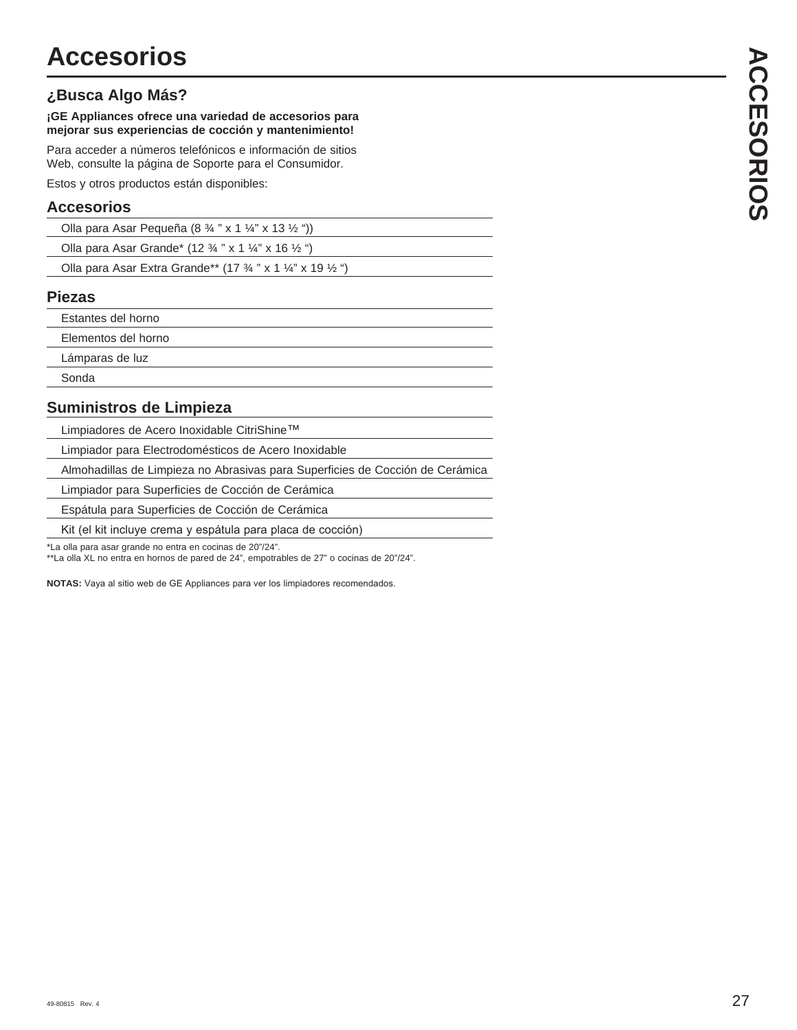#### **¿Busca Algo Más?**

#### **¡GE Appliances ofrece una variedad de accesorios para mejorar sus experiencias de cocción y mantenimiento!**

Para acceder a números telefónicos e información de sitios Web, consulte la página de Soporte para el Consumidor.

Estos y otros productos están disponibles:

#### **Accesorios**

| Olla para Asar Pequeña (8 $\frac{3}{4}$ " x 1 $\frac{1}{4}$ " x 13 $\frac{1}{2}$ ")         |
|---------------------------------------------------------------------------------------------|
| Olla para Asar Grande* (12 $\frac{3}{4}$ " x 1 $\frac{1}{4}$ " x 16 $\frac{1}{2}$ ")        |
| Olla para Asar Extra Grande** (17 $\frac{3}{4}$ " x 1 $\frac{1}{4}$ " x 19 $\frac{1}{2}$ ") |

#### **Piezas**

| Estantes del horno  |
|---------------------|
| Elementos del horno |
| Lámparas de luz     |
|                     |

Sonda

#### **Suministros de Limpieza**

Limpiadores de Acero Inoxidable CitriShine™

Limpiador para Electrodomésticos de Acero Inoxidable

Almohadillas de Limpieza no Abrasivas para Superficies de Cocción de Cerámica

Limpiador para Superficies de Cocción de Cerámica

Espátula para Superficies de Cocción de Cerámica

Kit (el kit incluye crema y espátula para placa de cocción)

\*La olla para asar grande no entra en cocinas de 20"/24".

\*\*La olla XL no entra en hornos de pared de 24", empotrables de 27" o cocinas de 20"/24".

NOTAS: Vaya al sitio web de GE Appliances para ver los limpiadores recomendados.